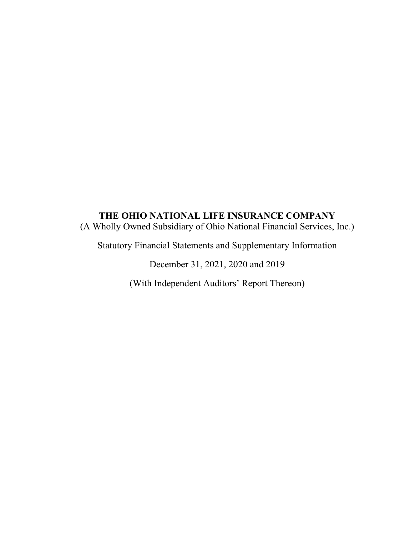# **THE OHIO NATIONAL LIFE INSURANCE COMPANY**  (A Wholly Owned Subsidiary of Ohio National Financial Services, Inc.)

Statutory Financial Statements and Supplementary Information

December 31, 2021, 2020 and 2019

(With Independent Auditors' Report Thereon)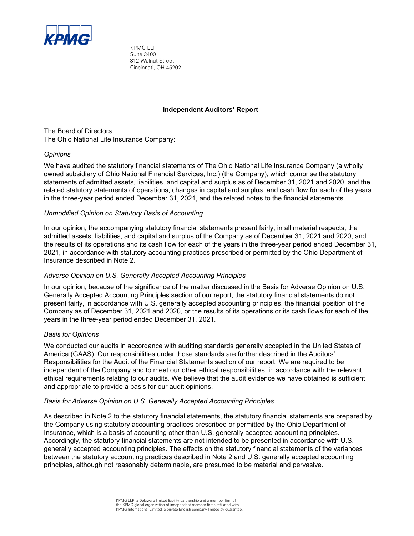

KPMG LLP Suite 3400 312 Walnut Street Cincinnati, OH 45202

#### **Independent Auditors' Report**

The Board of Directors The Ohio National Life Insurance Company:

#### *Opinions*

We have audited the statutory financial statements of The Ohio National Life Insurance Company (a wholly owned subsidiary of Ohio National Financial Services, Inc.) (the Company), which comprise the statutory statements of admitted assets, liabilities, and capital and surplus as of December 31, 2021 and 2020, and the related statutory statements of operations, changes in capital and surplus, and cash flow for each of the years in the three-year period ended December 31, 2021, and the related notes to the financial statements.

#### *Unmodified Opinion on Statutory Basis of Accounting*

In our opinion, the accompanying statutory financial statements present fairly, in all material respects, the admitted assets, liabilities, and capital and surplus of the Company as of December 31, 2021 and 2020, and the results of its operations and its cash flow for each of the years in the three-year period ended December 31, 2021, in accordance with statutory accounting practices prescribed or permitted by the Ohio Department of Insurance described in Note 2.

#### *Adverse Opinion on U.S. Generally Accepted Accounting Principles*

In our opinion, because of the significance of the matter discussed in the Basis for Adverse Opinion on U.S. Generally Accepted Accounting Principles section of our report, the statutory financial statements do not present fairly, in accordance with U.S. generally accepted accounting principles, the financial position of the Company as of December 31, 2021 and 2020, or the results of its operations or its cash flows for each of the years in the three-year period ended December 31, 2021.

#### *Basis for Opinions*

We conducted our audits in accordance with auditing standards generally accepted in the United States of America (GAAS). Our responsibilities under those standards are further described in the Auditors' Responsibilities for the Audit of the Financial Statements section of our report. We are required to be independent of the Company and to meet our other ethical responsibilities, in accordance with the relevant ethical requirements relating to our audits. We believe that the audit evidence we have obtained is sufficient and appropriate to provide a basis for our audit opinions.

#### *Basis for Adverse Opinion on U.S. Generally Accepted Accounting Principles*

As described in Note 2 to the statutory financial statements, the statutory financial statements are prepared by the Company using statutory accounting practices prescribed or permitted by the Ohio Department of Insurance, which is a basis of accounting other than U.S. generally accepted accounting principles. Accordingly, the statutory financial statements are not intended to be presented in accordance with U.S. generally accepted accounting principles. The effects on the statutory financial statements of the variances between the statutory accounting practices described in Note 2 and U.S. generally accepted accounting principles, although not reasonably determinable, are presumed to be material and pervasive.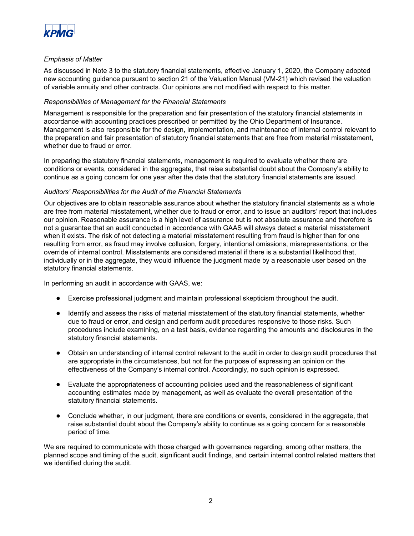

#### *Emphasis of Matter*

As discussed in Note 3 to the statutory financial statements, effective January 1, 2020, the Company adopted new accounting guidance pursuant to section 21 of the Valuation Manual (VM-21) which revised the valuation of variable annuity and other contracts. Our opinions are not modified with respect to this matter.

#### *Responsibilities of Management for the Financial Statements*

Management is responsible for the preparation and fair presentation of the statutory financial statements in accordance with accounting practices prescribed or permitted by the Ohio Department of Insurance. Management is also responsible for the design, implementation, and maintenance of internal control relevant to the preparation and fair presentation of statutory financial statements that are free from material misstatement, whether due to fraud or error.

In preparing the statutory financial statements, management is required to evaluate whether there are conditions or events, considered in the aggregate, that raise substantial doubt about the Company's ability to continue as a going concern for one year after the date that the statutory financial statements are issued.

#### *Auditors' Responsibilities for the Audit of the Financial Statements*

Our objectives are to obtain reasonable assurance about whether the statutory financial statements as a whole are free from material misstatement, whether due to fraud or error, and to issue an auditors' report that includes our opinion. Reasonable assurance is a high level of assurance but is not absolute assurance and therefore is not a guarantee that an audit conducted in accordance with GAAS will always detect a material misstatement when it exists. The risk of not detecting a material misstatement resulting from fraud is higher than for one resulting from error, as fraud may involve collusion, forgery, intentional omissions, misrepresentations, or the override of internal control. Misstatements are considered material if there is a substantial likelihood that, individually or in the aggregate, they would influence the judgment made by a reasonable user based on the statutory financial statements.

In performing an audit in accordance with GAAS, we:

- Exercise professional judgment and maintain professional skepticism throughout the audit.
- Identify and assess the risks of material misstatement of the statutory financial statements, whether due to fraud or error, and design and perform audit procedures responsive to those risks. Such procedures include examining, on a test basis, evidence regarding the amounts and disclosures in the statutory financial statements.
- Obtain an understanding of internal control relevant to the audit in order to design audit procedures that are appropriate in the circumstances, but not for the purpose of expressing an opinion on the effectiveness of the Company's internal control. Accordingly, no such opinion is expressed.
- Evaluate the appropriateness of accounting policies used and the reasonableness of significant accounting estimates made by management, as well as evaluate the overall presentation of the statutory financial statements.
- Conclude whether, in our judgment, there are conditions or events, considered in the aggregate, that raise substantial doubt about the Company's ability to continue as a going concern for a reasonable period of time.

We are required to communicate with those charged with governance regarding, among other matters, the planned scope and timing of the audit, significant audit findings, and certain internal control related matters that we identified during the audit.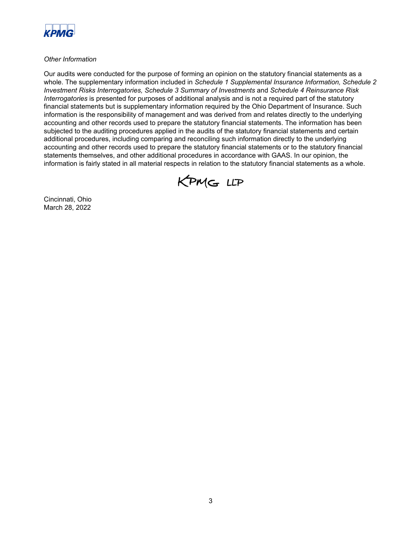

*Other Information*

Our audits were conducted for the purpose of forming an opinion on the statutory financial statements as a whole. The supplementary information included in *Schedule 1 Supplemental Insurance Information, Schedule 2 Investment Risks Interrogatories, Schedule 3 Summary of Investments* and *Schedule 4 Reinsurance Risk Interrogatories* is presented for purposes of additional analysis and is not a required part of the statutory financial statements but is supplementary information required by the Ohio Department of Insurance. Such information is the responsibility of management and was derived from and relates directly to the underlying accounting and other records used to prepare the statutory financial statements. The information has been subjected to the auditing procedures applied in the audits of the statutory financial statements and certain additional procedures, including comparing and reconciling such information directly to the underlying accounting and other records used to prepare the statutory financial statements or to the statutory financial statements themselves, and other additional procedures in accordance with GAAS. In our opinion, the information is fairly stated in all material respects in relation to the statutory financial statements as a whole.



Cincinnati, Ohio March 28, 2022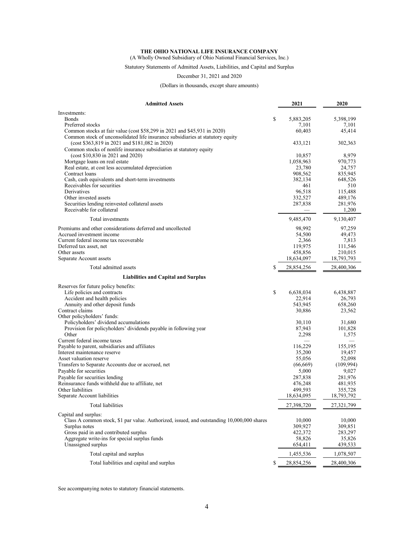(A Wholly Owned Subsidiary of Ohio National Financial Services, Inc.)

Statutory Statements of Admitted Assets, Liabilities, and Capital and Surplus

#### December 31, 2021 and 2020

(Dollars in thousands, except share amounts)

| <b>Admitted Assets</b>                                                                                                           |    | 2021              | 2020              |
|----------------------------------------------------------------------------------------------------------------------------------|----|-------------------|-------------------|
| Investments:                                                                                                                     |    |                   |                   |
| <b>Bonds</b>                                                                                                                     | \$ | 5,883,205         | 5,398,199         |
| Preferred stocks                                                                                                                 |    | 7,101             | 7,101             |
| Common stocks at fair value (cost \$58,299 in 2021 and \$45,931 in 2020)                                                         |    | 60,403            | 45,414            |
| Common stock of unconsolidated life insurance subsidiaries at statutory equity<br>(cost \$363,819 in 2021 and \$181,082 in 2020) |    |                   |                   |
| Common stocks of nonlife insurance subsidiaries at statutory equity                                                              |    | 433,121           | 302,363           |
| $(cost $10,830$ in 2021 and 2020)                                                                                                |    | 10,857            | 8,979             |
| Mortgage loans on real estate                                                                                                    |    | 1,058,963         | 970,773           |
| Real estate, at cost less accumulated depreciation                                                                               |    | 23,780            | 24,757            |
| Contract loans                                                                                                                   |    | 908,562           | 835,945           |
| Cash, cash equivalents and short-term investments                                                                                |    | 382,134           | 648,526           |
| Receivables for securities<br>Derivatives                                                                                        |    | 461<br>96,518     | 510<br>115,488    |
| Other invested assets                                                                                                            |    | 332,527           | 489,176           |
| Securities lending reinvested collateral assets                                                                                  |    | 287,838           | 281,976           |
| Receivable for collateral                                                                                                        |    |                   | 1,200             |
| Total investments                                                                                                                |    | 9,485,470         | 9,130,407         |
| Premiums and other considerations deferred and uncollected                                                                       |    | 98,992            | 97,259            |
| Accrued investment income                                                                                                        |    | 54,500            | 49,473            |
| Current federal income tax recoverable                                                                                           |    | 2,366             | 7,813             |
| Deferred tax asset, net                                                                                                          |    | 119,975           | 111,546           |
| Other assets                                                                                                                     |    | 458,856           | 210,015           |
| Separate Account assets                                                                                                          |    | 18,634,097        | 18,793,793        |
| Total admitted assets                                                                                                            | S  | 28,854,256        | 28,400,306        |
| <b>Liabilities and Capital and Surplus</b>                                                                                       |    |                   |                   |
| Reserves for future policy benefits:                                                                                             |    |                   |                   |
| Life policies and contracts                                                                                                      | \$ | 6,638,034         | 6,438,887         |
| Accident and health policies<br>Annuity and other deposit funds                                                                  |    | 22,914<br>543,945 | 26,793<br>658,260 |
| Contract claims                                                                                                                  |    | 30,886            | 23,562            |
| Other policyholders' funds:                                                                                                      |    |                   |                   |
| Policyholders' dividend accumulations                                                                                            |    | 30,110            | 31,680            |
| Provision for policyholders' dividends payable in following year                                                                 |    | 87,943            | 101,828           |
| Other                                                                                                                            |    | 2,298             | 1,575             |
| Current federal income taxes<br>Payable to parent, subsidiaries and affiliates                                                   |    | 116,229           | 155,195           |
| Interest maintenance reserve                                                                                                     |    | 35,200            | 19,457            |
| Asset valuation reserve                                                                                                          |    | 55,056            | 52,098            |
| Transfers to Separate Accounts due or accrued, net                                                                               |    | (66, 669)         | (109, 994)        |
| Payable for securities                                                                                                           |    | 5,000             | 9,027             |
| Payable for securities lending                                                                                                   |    | 287,838           | 281,976           |
| Reinsurance funds withheld due to affiliate, net                                                                                 |    | 476,248           | 481,935           |
| Other liabilities                                                                                                                |    | 499,593           | 355,728           |
| Separate Account liabilities                                                                                                     |    | 18,634,095        | 18,793,792        |
| Total liabilities                                                                                                                |    | 27,398,720        | 27,321,799        |
| Capital and surplus:                                                                                                             |    |                   |                   |
| Class A common stock, $$1$ par value. Authorized, issued, and outstanding $10,000,000$ shares<br>Surplus notes                   |    | 10,000<br>309,927 | 10,000<br>309,851 |
| Gross paid in and contributed surplus                                                                                            |    | 422,372           | 283,297           |
| Aggregate write-ins for special surplus funds                                                                                    |    | 58,826            | 35,826            |
| Unassigned surplus                                                                                                               |    | 654,411           | 439,533           |
| Total capital and surplus                                                                                                        |    | 1,455,536         | 1,078,507         |
| Total liabilities and capital and surplus                                                                                        | S  | 28,854,256        | 28,400,306        |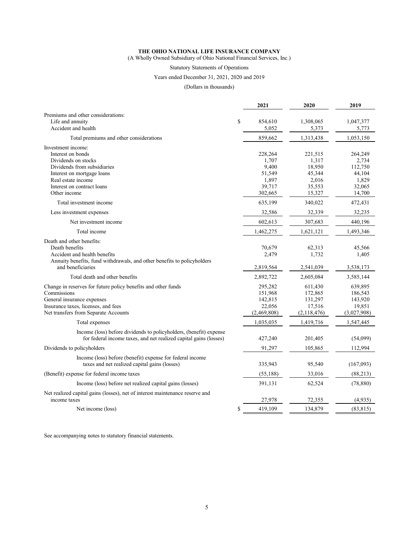(A Wholly Owned Subsidiary of Ohio National Financial Services, Inc.)

#### Statutory Statements of Operations

#### Years ended December 31, 2021, 2020 and 2019

(Dollars in thousands)

|                                                                                                            | 2021                  | 2020                  | 2019              |
|------------------------------------------------------------------------------------------------------------|-----------------------|-----------------------|-------------------|
| Premiums and other considerations:                                                                         |                       |                       |                   |
| Life and annuity                                                                                           | \$<br>854,610         | 1,308,065             | 1,047,377         |
| Accident and health                                                                                        | 5,052                 | 5,373                 | 5,773             |
| Total premiums and other considerations                                                                    | 859,662               | 1,313,438             | 1,053,150         |
| Investment income:                                                                                         |                       |                       |                   |
| Interest on bonds                                                                                          | 228,264               | 221,515               | 264,249           |
| Dividends on stocks                                                                                        | 1,707                 | 1,317                 | 2,734             |
| Dividends from subsidiaries                                                                                | 9,400<br>51,549       | 18,950<br>45,344      | 112,750<br>44,104 |
| Interest on mortgage loans<br>Real estate income                                                           | 1,897                 | 2,016                 | 1,829             |
| Interest on contract loans                                                                                 | 39,717                | 35,553                | 32,065            |
| Other income                                                                                               | 302,665               | 15,327                | 14,700            |
| Total investment income                                                                                    | 635,199               | 340,022               | 472,431           |
| Less investment expenses                                                                                   | 32,586                | 32,339                | 32,235            |
| Net investment income                                                                                      | 602,613               | 307,683               | 440,196           |
| Total income                                                                                               | 1,462,275             | 1,621,121             | 1,493,346         |
| Death and other benefits:                                                                                  |                       |                       |                   |
| Death benefits                                                                                             | 70,679                | 62,313                | 45,566            |
| Accident and health benefits                                                                               | 2,479                 | 1,732                 | 1,405             |
| Annuity benefits, fund withdrawals, and other benefits to policyholders                                    |                       |                       |                   |
| and beneficiaries                                                                                          | 2,819,564             | 2,541,039             | 3,538,173         |
| Total death and other benefits                                                                             | 2,892,722             | 2,605,084             | 3,585,144         |
| Change in reserves for future policy benefits and other funds                                              | 295,282               | 611,430               | 639,895           |
| Commissions                                                                                                | 151,968               | 172,865               | 186,543           |
| General insurance expenses                                                                                 | 142,815               | 131,297               | 143,920           |
| Insurance taxes, licenses, and fees<br>Net transfers from Separate Accounts                                | 22,056<br>(2,469,808) | 17,516<br>(2,118,476) | 19,851            |
|                                                                                                            |                       |                       | (3,027,908)       |
| Total expenses                                                                                             | 1,035,035             | 1,419,716             | 1,547,445         |
| Income (loss) before dividends to policyholders, (benefit) expense                                         |                       |                       |                   |
| for federal income taxes, and net realized capital gains (losses)                                          | 427,240               | 201,405               | (54,099)          |
| Dividends to policyholders                                                                                 | 91,297                | 105,865               | 112,994           |
| Income (loss) before (benefit) expense for federal income<br>taxes and net realized capital gains (losses) | 335,943               | 95,540                | (167,093)         |
| (Benefit) expense for federal income taxes                                                                 | (55, 188)             | 33,016                | (88,213)          |
|                                                                                                            |                       |                       |                   |
| Income (loss) before net realized capital gains (losses)                                                   | 391,131               | 62,524                | (78, 880)         |
| Net realized capital gains (losses), net of interest maintenance reserve and<br>income taxes               | 27,978                | 72,355                | (4,935)           |
| Net income (loss)                                                                                          | \$<br>419,109         | 134,879               | (83, 815)         |
|                                                                                                            |                       |                       |                   |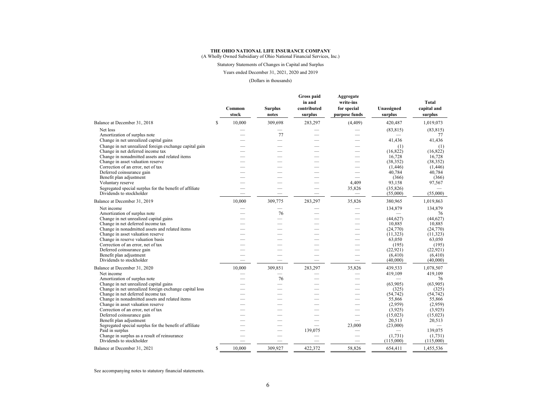**THE OHIO NATIONAL LIFE INSURANCE COMPANY** (A Wholly Owned Subsidiary of Ohio National Financial Services, Inc.)

Statutory Statements of Changes in Capital and Surplus

#### Years ended December 31, 2021, 2020 and 2019

#### (Dollars in thousands)

|                                                                                     |    | Common<br>stock          | <b>Surplus</b><br>notes        | Gross paid<br>in and<br>contributed<br>surplus | Aggregate<br>write-ins<br>for special<br>purpose funds | Unassigned<br>surplus | Total<br>capital and<br>surplus |
|-------------------------------------------------------------------------------------|----|--------------------------|--------------------------------|------------------------------------------------|--------------------------------------------------------|-----------------------|---------------------------------|
| Balance at December 31, 2018                                                        | S  | 10,000                   | 309,698                        | 283,297                                        | (4, 409)                                               | 420,487               | 1,019,073                       |
| Net loss                                                                            |    |                          | 77                             |                                                |                                                        | (83, 815)             | (83, 815)                       |
| Amortization of surplus note<br>Change in net unrealized capital gains              |    |                          |                                |                                                |                                                        | 41.436                | 77<br>41,436                    |
| Change in net unrealized foreign exchange capital gain                              |    |                          |                                |                                                |                                                        | (1)                   | (1)                             |
| Change in net deferred income tax                                                   |    |                          |                                |                                                |                                                        | (16, 822)             | (16.822)                        |
| Change in nonadmitted assets and related items                                      |    |                          |                                |                                                |                                                        | 16,728                | 16,728                          |
| Change in asset valuation reserve                                                   |    |                          |                                |                                                |                                                        | (38, 352)             | (38, 352)                       |
| Correction of an error, net of tax                                                  |    |                          |                                |                                                |                                                        | (1, 446)              | (1,446)                         |
| Deferred coinsurance gain                                                           |    |                          |                                |                                                |                                                        | 40,784                | 40,784                          |
| Benefit plan adjustment                                                             |    |                          |                                | $\overline{\phantom{a}}$                       | $\overline{\phantom{a}}$                               | (366)                 | (366)                           |
| Voluntary reserve                                                                   |    |                          |                                |                                                | 4.409                                                  | 93,158                | 97,567                          |
| Segregated special surplus for the benefit of affiliate<br>Dividends to stockholder |    |                          | $\sim$                         | $\overline{\phantom{a}}$                       | 35,826                                                 | (35, 826)<br>(55,000) | (55,000)                        |
|                                                                                     |    |                          |                                |                                                |                                                        |                       |                                 |
| Balance at December 31, 2019                                                        |    | 10,000                   | 309,775                        | 283,297                                        | 35,826                                                 | 380,965               | 1,019,863                       |
| Net income                                                                          |    |                          |                                |                                                |                                                        | 134,879               | 134,879                         |
| Amortization of surplus note<br>Change in net unrealized capital gains              |    |                          | 76<br>$\overline{\phantom{0}}$ | $\sim$                                         |                                                        | (44, 627)             | 76<br>(44, 627)                 |
| Change in net deferred income tax                                                   |    |                          | $\sim$                         | $\overline{\phantom{a}}$                       |                                                        | 10,885                | 10,885                          |
| Change in nonadmitted assets and related items                                      |    |                          |                                | $\overline{\phantom{a}}$                       |                                                        | (24,770)              | (24,770)                        |
| Change in asset valuation reserve                                                   |    |                          |                                | $\overline{\phantom{a}}$                       |                                                        | (11, 323)             | (11, 323)                       |
| Change in reserve valuation basis                                                   |    |                          | e e c                          | $\overline{\phantom{a}}$                       |                                                        | 63,050                | 63,050                          |
| Correction of an error, net of tax                                                  |    |                          |                                |                                                |                                                        | (195)                 | (195)                           |
| Deferred coinsurance gain                                                           |    |                          | $\overline{\phantom{a}}$       | $\overline{\phantom{a}}$                       | $\overline{\phantom{a}}$                               | (22, 921)             | (22, 921)                       |
| Benefit plan adjustment                                                             |    |                          |                                | $\overline{\phantom{a}}$                       |                                                        | (6, 410)              | (6,410)                         |
| Dividends to stockholder                                                            |    | $\overline{\phantom{a}}$ |                                |                                                |                                                        | (40,000)              | (40,000)                        |
| Balance at December 31, 2020                                                        |    | 10,000                   | 309,851                        | 283,297                                        | 35,826                                                 | 439,533               | 1,078,507                       |
| Net income                                                                          |    |                          |                                |                                                |                                                        | 419,109               | 419,109                         |
| Amortization of surplus note                                                        |    |                          | 76                             |                                                |                                                        |                       | 76                              |
| Change in net unrealized capital gains                                              |    |                          | $\overline{\phantom{0}}$       |                                                |                                                        | (63,905)              | (63,905)                        |
| Change in net unrealized foreign exchange capital loss                              |    |                          |                                |                                                |                                                        | (325)                 | (325)                           |
| Change in net deferred income tax                                                   |    |                          |                                |                                                |                                                        | (54, 742)             | (54, 742)                       |
| Change in nonadmitted assets and related items                                      |    |                          |                                |                                                |                                                        | 55,866                | 55,866                          |
| Change in asset valuation reserve                                                   |    |                          | and the                        | $\overline{\phantom{0}}$                       |                                                        | (2,959)               | (2,959)                         |
| Correction of an error, net of tax                                                  |    |                          |                                |                                                |                                                        | (3,925)               | (3,925)                         |
| Deferred coinsurance gain                                                           |    |                          |                                |                                                |                                                        | (15,023)<br>20,513    | (15,023)                        |
| Benefit plan adjustment<br>Segregated special surplus for the benefit of affiliate  |    |                          |                                | $\overline{\phantom{a}}$                       | 23,000                                                 | (23,000)              | 20,513                          |
| Paid in surplus                                                                     |    |                          |                                | 139,075                                        |                                                        |                       | 139,075                         |
| Change in surplus as a result of reinsurance                                        |    | $\overline{\phantom{a}}$ |                                |                                                | $\overline{\phantom{a}}$                               | (1,731)               | (1,731)                         |
| Dividends to stockholder                                                            |    |                          |                                |                                                |                                                        | (115,000)             | (115,000)                       |
| Balance at December 31, 2021                                                        | \$ | 10,000                   | 309,927                        | 422,372                                        | 58,826                                                 | 654,411               | 1,455,536                       |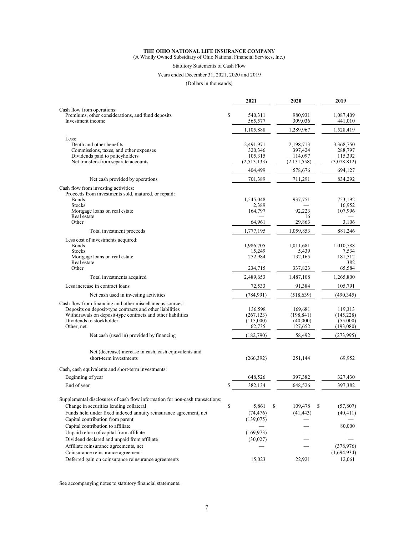(A Wholly Owned Subsidiary of Ohio National Financial Services, Inc.)

#### Statutory Statements of Cash Flow

#### Years ended December 31, 2021, 2020 and 2019

(Dollars in thousands)

|                                                                              | 2021                 | 2020                    | 2019                 |
|------------------------------------------------------------------------------|----------------------|-------------------------|----------------------|
| Cash flow from operations:                                                   |                      |                         |                      |
| Premiums, other considerations, and fund deposits                            | \$<br>540,311        | 980,931                 | 1,087,409            |
| Investment income                                                            | 565,577              | 309,036                 | 441,010              |
|                                                                              | 1,105,888            | 1,289,967               | 1,528,419            |
|                                                                              |                      |                         |                      |
| Less:                                                                        |                      |                         |                      |
| Death and other benefits<br>Commissions, taxes, and other expenses           | 2,491,971<br>320,346 | 2,198,713<br>397,424    | 3,368,750<br>288,797 |
| Dividends paid to policyholders                                              | 105,315              | 114,097                 | 115,392              |
| Net transfers from separate accounts                                         | (2,513,133)          | (2, 131, 558)           | (3,078,812)          |
|                                                                              | 404,499              |                         |                      |
|                                                                              |                      | 578,676                 | 694,127              |
| Net cash provided by operations                                              | 701,389              | 711,291                 | 834,292              |
| Cash flow from investing activities:                                         |                      |                         |                      |
| Proceeds from investments sold, matured, or repaid:                          |                      |                         |                      |
| <b>Bonds</b>                                                                 | 1,545,048            | 937,751                 | 753,192              |
| <b>Stocks</b><br>Mortgage loans on real estate                               | 2,389<br>164,797     | 92.223                  | 16,952<br>107,996    |
| Real estate                                                                  |                      | 16                      |                      |
| Other                                                                        | 64,961               | 29,863                  | 3,106                |
| Total investment proceeds                                                    | 1,777,195            | 1,059,853               | 881,246              |
|                                                                              |                      |                         |                      |
| Less cost of investments acquired:                                           |                      |                         |                      |
| <b>Bonds</b>                                                                 | 1,986,705            | 1,011,681               | 1,010,788            |
| <b>Stocks</b><br>Mortgage loans on real estate                               | 15,249<br>252,984    | 5,439<br>132,165        | 7,534<br>181,512     |
| Real estate                                                                  |                      |                         | 382                  |
| Other                                                                        | 234,715              | 337,823                 | 65,584               |
| Total investments acquired                                                   | 2,489,653            | 1,487,108               | 1,265,800            |
|                                                                              |                      |                         |                      |
| Less increase in contract loans                                              | 72,533               | 91,384                  | 105,791              |
| Net cash used in investing activities                                        | (784, 991)           | (518, 639)              | (490, 345)           |
| Cash flow from financing and other miscellaneous sources:                    |                      |                         |                      |
| Deposits on deposit-type contracts and other liabilities                     | 136,598              | 169,681                 | 119,313              |
| Withdrawals on deposit-type contracts and other liabilities                  | (267, 123)           | (198, 841)              | (145,228)            |
| Dividends to stockholder                                                     | (115,000)            | (40,000)                | (55,000)             |
| Other, net                                                                   | 62,735               | 127,652                 | (193,080)            |
| Net cash (used in) provided by financing                                     | (182,790)            | 58,492                  | (273,995)            |
|                                                                              |                      |                         |                      |
| Net (decrease) increase in cash, cash equivalents and                        |                      |                         |                      |
| short-term investments                                                       | (266,392)            | 251,144                 | 69,952               |
|                                                                              |                      |                         |                      |
| Cash, cash equivalents and short-term investments:                           |                      |                         |                      |
| Beginning of year                                                            | 648,526              | 397,382                 | 327,430              |
| End of year                                                                  | \$<br>382,134        | 648,526                 | 397,382              |
|                                                                              |                      |                         |                      |
| Supplemental disclosures of cash flow information for non-cash transactions: |                      |                         |                      |
| Change in securities lending collateral                                      | \$<br>\$<br>5,861    | $\mathbb{S}$<br>109,478 | (57, 807)            |
| Funds held under fixed indexed annuity reinsurance agreement, net            | (74, 476)            | (41, 443)               | (40, 411)            |
| Capital contribution from parent                                             | (139,075)            |                         |                      |
| Capital contribution to affiliate                                            |                      |                         | 80,000               |
| Unpaid return of capital from affiliate                                      | (169, 973)           |                         |                      |
| Dividend declared and unpaid from affiliate                                  | (30,027)             |                         |                      |
| Affiliate reinsurance agreements, net                                        |                      |                         | (378, 976)           |
| Coinsurance reinsurance agreement                                            |                      |                         | (1,694,934)          |
| Deferred gain on coinsurance reinsurance agreements                          | 15,023               | 22,921                  | 12,061               |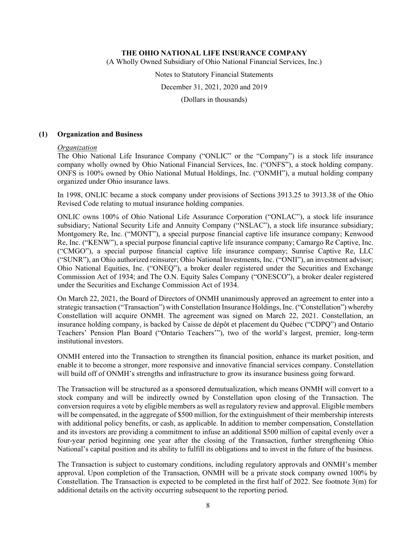(A Wholly Owned Subsidiary of Ohio National Financial Services, Inc.)

Notes to Statutory Financial Statements

December 31, 2021, 2020 and 2019

(Dollars in thousands)

#### **(1) Organization and Business**

#### *Organization*

The Ohio National Life Insurance Company ("ONLIC" or the "Company") is a stock life insurance company wholly owned by Ohio National Financial Services, Inc. ("ONFS"), a stock holding company. ONFS is 100% owned by Ohio National Mutual Holdings, Inc. ("ONMH"), a mutual holding company organized under Ohio insurance laws.

In 1998, ONLIC became a stock company under provisions of Sections 3913.25 to 3913.38 of the Ohio Revised Code relating to mutual insurance holding companies.

ONLIC owns 100% of Ohio National Life Assurance Corporation ("ONLAC"), a stock life insurance subsidiary; National Security Life and Annuity Company ("NSLAC"), a stock life insurance subsidiary; Montgomery Re, Inc. ("MONT"), a special purpose financial captive life insurance company; Kenwood Re, Inc. ("KENW"), a special purpose financial captive life insurance company; Camargo Re Captive, Inc. ("CMGO"), a special purpose financial captive life insurance company; Sunrise Captive Re, LLC ("SUNR"), an Ohio authorized reinsurer; Ohio National Investments, Inc. ("ONII"), an investment advisor; Ohio National Equities, Inc. ("ONEQ"), a broker dealer registered under the Securities and Exchange Commission Act of 1934; and The O.N. Equity Sales Company ("ONESCO"), a broker dealer registered under the Securities and Exchange Commission Act of 1934.

On March 22, 2021, the Board of Directors of ONMH unanimously approved an agreement to enter into a strategic transaction ("Transaction") with Constellation Insurance Holdings, Inc. ("Constellation") whereby Constellation will acquire ONMH. The agreement was signed on March 22, 2021. Constellation, an insurance holding company, is backed by Caisse de dépôt et placement du Québec ("CDPQ") and Ontario Teachers' Pension Plan Board ("Ontario Teachers'"), two of the world's largest, premier, long-term institutional investors.

ONMH entered into the Transaction to strengthen its financial position, enhance its market position, and enable it to become a stronger, more responsive and innovative financial services company. Constellation will build off of ONMH's strengths and infrastructure to grow its insurance business going forward.

The Transaction will be structured as a sponsored demutualization, which means ONMH will convert to a stock company and will be indirectly owned by Constellation upon closing of the Transaction. The conversion requires a vote by eligible members as well as regulatory review and approval. Eligible members will be compensated, in the aggregate of \$500 million, for the extinguishment of their membership interests with additional policy benefits, or cash, as applicable. In addition to member compensation, Constellation and its investors are providing a commitment to infuse an additional \$500 million of capital evenly over a four-year period beginning one year after the closing of the Transaction, further strengthening Ohio National's capital position and its ability to fulfill its obligations and to invest in the future of the business.

The Transaction is subject to customary conditions, including regulatory approvals and ONMH's member approval. Upon completion of the Transaction, ONMH will be a private stock company owned 100% by Constellation. The Transaction is expected to be completed in the first half of 2022. See footnote 3(m) for additional details on the activity occurring subsequent to the reporting period.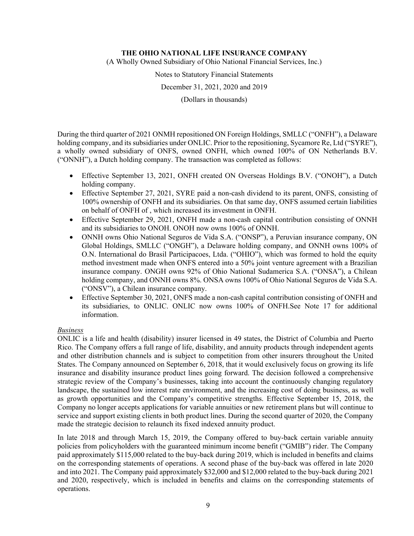(A Wholly Owned Subsidiary of Ohio National Financial Services, Inc.)

Notes to Statutory Financial Statements

December 31, 2021, 2020 and 2019

(Dollars in thousands)

During the third quarter of 2021 ONMH repositioned ON Foreign Holdings, SMLLC ("ONFH"), a Delaware holding company, and its subsidiaries under ONLIC. Prior to the repositioning, Sycamore Re, Ltd ("SYRE"), a wholly owned subsidiary of ONFS, owned ONFH, which owned 100% of ON Netherlands B.V. ("ONNH"), a Dutch holding company. The transaction was completed as follows:

- Effective September 13, 2021, ONFH created ON Overseas Holdings B.V. ("ONOH"), a Dutch holding company.
- Effective September 27, 2021, SYRE paid a non-cash dividend to its parent, ONFS, consisting of 100% ownership of ONFH and its subsidiaries. On that same day, ONFS assumed certain liabilities on behalf of ONFH of , which increased its investment in ONFH.
- Effective September 29, 2021, ONFH made a non-cash capital contribution consisting of ONNH and its subsidiaries to ONOH. ONOH now owns 100% of ONNH.
- ONNH owns Ohio National Seguros de Vida S.A. ("ONSP"), a Peruvian insurance company, ON Global Holdings, SMLLC ("ONGH"), a Delaware holding company, and ONNH owns 100% of O.N. International do Brasil Participacoes, Ltda. ("OHIO"), which was formed to hold the equity method investment made when ONFS entered into a 50% joint venture agreement with a Brazilian insurance company. ONGH owns 92% of Ohio National Sudamerica S.A. ("ONSA"), a Chilean holding company, and ONNH owns 8%. ONSA owns 100% of Ohio National Seguros de Vida S.A. ("ONSV"), a Chilean insurance company.
- Effective September 30, 2021, ONFS made a non-cash capital contribution consisting of ONFH and its subsidiaries, to ONLIC. ONLIC now owns 100% of ONFH.See Note 17 for additional information.

#### *Business*

ONLIC is a life and health (disability) insurer licensed in 49 states, the District of Columbia and Puerto Rico. The Company offers a full range of life, disability, and annuity products through independent agents and other distribution channels and is subject to competition from other insurers throughout the United States. The Company announced on September 6, 2018, that it would exclusively focus on growing its life insurance and disability insurance product lines going forward. The decision followed a comprehensive strategic review of the Company's businesses, taking into account the continuously changing regulatory landscape, the sustained low interest rate environment, and the increasing cost of doing business, as well as growth opportunities and the Company's competitive strengths. Effective September 15, 2018, the Company no longer accepts applications for variable annuities or new retirement plans but will continue to service and support existing clients in both product lines. During the second quarter of 2020, the Company made the strategic decision to relaunch its fixed indexed annuity product.

In late 2018 and through March 15, 2019, the Company offered to buy-back certain variable annuity policies from policyholders with the guaranteed minimum income benefit ("GMIB") rider. The Company paid approximately \$115,000 related to the buy-back during 2019, which is included in benefits and claims on the corresponding statements of operations. A second phase of the buy-back was offered in late 2020 and into 2021. The Company paid approximately \$32,000 and \$12,000 related to the buy-back during 2021 and 2020, respectively, which is included in benefits and claims on the corresponding statements of operations.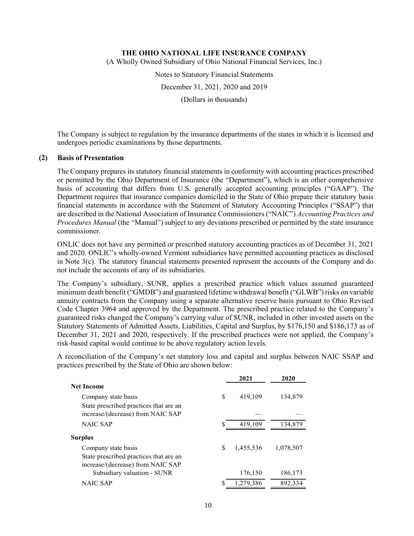(A Wholly Owned Subsidiary of Ohio National Financial Services, Inc.)

Notes to Statutory Financial Statements

December 31, 2021, 2020 and 2019

(Dollars in thousands)

The Company is subject to regulation by the insurance departments of the states in which it is licensed and undergoes periodic examinations by those departments.

#### **(2) Basis of Presentation**

The Company prepares its statutory financial statements in conformity with accounting practices prescribed or permitted by the Ohio Department of Insurance (the "Department"), which is an other comprehensive basis of accounting that differs from U.S. generally accepted accounting principles ("GAAP"). The Department requires that insurance companies domiciled in the State of Ohio prepare their statutory basis financial statements in accordance with the Statement of Statutory Accounting Principles ("SSAP") that are described in the National Association of Insurance Commissioners ("NAIC") *Accounting Practices and Procedures Manual* (the "Manual") subject to any deviations prescribed or permitted by the state insurance commissioner.

ONLIC does not have any permitted or prescribed statutory accounting practices as of December 31, 2021 and 2020. ONLIC's wholly-owned Vermont subsidiaries have permitted accounting practices as disclosed in Note  $3(c)$ . The statutory financial statements presented represent the accounts of the Company and do not include the accounts of any of its subsidiaries.

The Company's subsidiary, SUNR, applies a prescribed practice which values assumed guaranteed minimum death benefit ("GMDB") and guaranteed lifetime withdrawal benefit ("GLWB") risks on variable annuity contracts from the Company using a separate alternative reserve basis pursuant to Ohio Revised Code Chapter 3964 and approved by the Department. The prescribed practice related to the Company's guaranteed risks changed the Company's carrying value of SUNR, included in other invested assets on the Statutory Statements of Admitted Assets, Liabilities, Capital and Surplus, by \$176,150 and \$186,173 as of December 31, 2021 and 2020, respectively. If the prescribed practices were not applied, the Company's risk-based capital would continue to be above regulatory action levels.

A reconciliation of the Company's net statutory loss and capital and surplus between NAIC SSAP and practices prescribed by the State of Ohio are shown below:

|                                        |    | 2021      | 2020      |
|----------------------------------------|----|-----------|-----------|
| <b>Net Income</b>                      |    |           |           |
| Company state basis                    | \$ | 419,109   | 134.879   |
| State prescribed practices that are an |    |           |           |
| increase/(decrease) from NAIC SAP      |    |           |           |
| <b>NAIC SAP</b>                        | S  | 419.109   | 134,879   |
| <b>Surplus</b>                         |    |           |           |
| Company state basis                    | S  | 1.455.536 | 1,078,507 |
| State prescribed practices that are an |    |           |           |
| increase/(decrease) from NAIC SAP      |    |           |           |
| Subsidiary valuation - SUNR            |    | 176,150   | 186,173   |
| <b>NAIC SAP</b>                        | S  | 1.279.386 | 892.334   |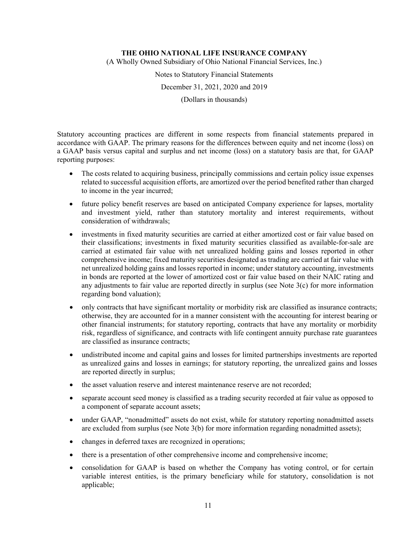(A Wholly Owned Subsidiary of Ohio National Financial Services, Inc.)

Notes to Statutory Financial Statements

December 31, 2021, 2020 and 2019

(Dollars in thousands)

Statutory accounting practices are different in some respects from financial statements prepared in accordance with GAAP. The primary reasons for the differences between equity and net income (loss) on a GAAP basis versus capital and surplus and net income (loss) on a statutory basis are that, for GAAP reporting purposes:

- The costs related to acquiring business, principally commissions and certain policy issue expenses related to successful acquisition efforts, are amortized over the period benefited rather than charged to income in the year incurred;
- future policy benefit reserves are based on anticipated Company experience for lapses, mortality and investment yield, rather than statutory mortality and interest requirements, without consideration of withdrawals;
- investments in fixed maturity securities are carried at either amortized cost or fair value based on their classifications; investments in fixed maturity securities classified as available-for-sale are carried at estimated fair value with net unrealized holding gains and losses reported in other comprehensive income; fixed maturity securities designated as trading are carried at fair value with net unrealized holding gains and losses reported in income; under statutory accounting, investments in bonds are reported at the lower of amortized cost or fair value based on their NAIC rating and any adjustments to fair value are reported directly in surplus (see Note 3(c) for more information regarding bond valuation);
- only contracts that have significant mortality or morbidity risk are classified as insurance contracts; otherwise, they are accounted for in a manner consistent with the accounting for interest bearing or other financial instruments; for statutory reporting, contracts that have any mortality or morbidity risk, regardless of significance, and contracts with life contingent annuity purchase rate guarantees are classified as insurance contracts;
- undistributed income and capital gains and losses for limited partnerships investments are reported as unrealized gains and losses in earnings; for statutory reporting, the unrealized gains and losses are reported directly in surplus;
- the asset valuation reserve and interest maintenance reserve are not recorded;
- separate account seed money is classified as a trading security recorded at fair value as opposed to a component of separate account assets;
- under GAAP, "nonadmitted" assets do not exist, while for statutory reporting nonadmitted assets are excluded from surplus (see Note 3(b) for more information regarding nonadmitted assets);
- changes in deferred taxes are recognized in operations;
- there is a presentation of other comprehensive income and comprehensive income;
- consolidation for GAAP is based on whether the Company has voting control, or for certain variable interest entities, is the primary beneficiary while for statutory, consolidation is not applicable;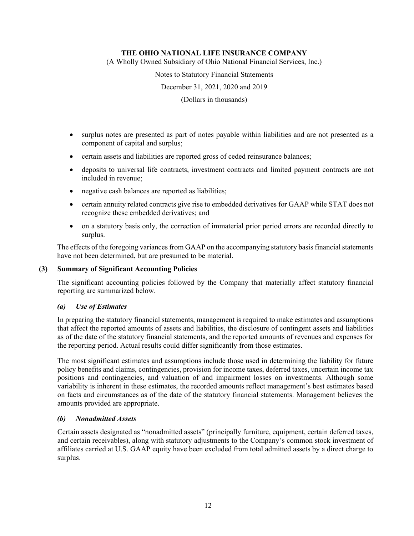(A Wholly Owned Subsidiary of Ohio National Financial Services, Inc.)

Notes to Statutory Financial Statements

December 31, 2021, 2020 and 2019

(Dollars in thousands)

- surplus notes are presented as part of notes payable within liabilities and are not presented as a component of capital and surplus;
- certain assets and liabilities are reported gross of ceded reinsurance balances;
- deposits to universal life contracts, investment contracts and limited payment contracts are not included in revenue;
- negative cash balances are reported as liabilities;
- certain annuity related contracts give rise to embedded derivatives for GAAP while STAT does not recognize these embedded derivatives; and
- on a statutory basis only, the correction of immaterial prior period errors are recorded directly to surplus.

The effects of the foregoing variances from GAAP on the accompanying statutory basis financial statements have not been determined, but are presumed to be material.

#### **(3) Summary of Significant Accounting Policies**

The significant accounting policies followed by the Company that materially affect statutory financial reporting are summarized below.

#### *(a) Use of Estimates*

In preparing the statutory financial statements, management is required to make estimates and assumptions that affect the reported amounts of assets and liabilities, the disclosure of contingent assets and liabilities as of the date of the statutory financial statements, and the reported amounts of revenues and expenses for the reporting period. Actual results could differ significantly from those estimates.

The most significant estimates and assumptions include those used in determining the liability for future policy benefits and claims, contingencies, provision for income taxes, deferred taxes, uncertain income tax positions and contingencies, and valuation of and impairment losses on investments. Although some variability is inherent in these estimates, the recorded amounts reflect management's best estimates based on facts and circumstances as of the date of the statutory financial statements. Management believes the amounts provided are appropriate.

#### *(b) Nonadmitted Assets*

Certain assets designated as "nonadmitted assets" (principally furniture, equipment, certain deferred taxes, and certain receivables), along with statutory adjustments to the Company's common stock investment of affiliates carried at U.S. GAAP equity have been excluded from total admitted assets by a direct charge to surplus.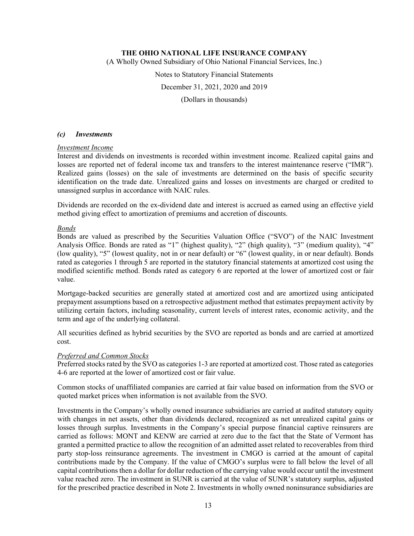(A Wholly Owned Subsidiary of Ohio National Financial Services, Inc.)

Notes to Statutory Financial Statements

December 31, 2021, 2020 and 2019

(Dollars in thousands)

#### *(c) Investments*

#### *Investment Income*

Interest and dividends on investments is recorded within investment income. Realized capital gains and losses are reported net of federal income tax and transfers to the interest maintenance reserve ("IMR"). Realized gains (losses) on the sale of investments are determined on the basis of specific security identification on the trade date. Unrealized gains and losses on investments are charged or credited to unassigned surplus in accordance with NAIC rules.

Dividends are recorded on the ex-dividend date and interest is accrued as earned using an effective yield method giving effect to amortization of premiums and accretion of discounts.

#### *Bonds*

Bonds are valued as prescribed by the Securities Valuation Office ("SVO") of the NAIC Investment Analysis Office. Bonds are rated as "1" (highest quality), "2" (high quality), "3" (medium quality), "4" (low quality), "5" (lowest quality, not in or near default) or "6" (lowest quality, in or near default). Bonds rated as categories 1 through 5 are reported in the statutory financial statements at amortized cost using the modified scientific method. Bonds rated as category 6 are reported at the lower of amortized cost or fair value.

Mortgage-backed securities are generally stated at amortized cost and are amortized using anticipated prepayment assumptions based on a retrospective adjustment method that estimates prepayment activity by utilizing certain factors, including seasonality, current levels of interest rates, economic activity, and the term and age of the underlying collateral.

All securities defined as hybrid securities by the SVO are reported as bonds and are carried at amortized cost.

#### *Preferred and Common Stocks*

Preferred stocks rated by the SVO as categories 1-3 are reported at amortized cost. Those rated as categories 4-6 are reported at the lower of amortized cost or fair value.

Common stocks of unaffiliated companies are carried at fair value based on information from the SVO or quoted market prices when information is not available from the SVO.

Investments in the Company's wholly owned insurance subsidiaries are carried at audited statutory equity with changes in net assets, other than dividends declared, recognized as net unrealized capital gains or losses through surplus. Investments in the Company's special purpose financial captive reinsurers are carried as follows: MONT and KENW are carried at zero due to the fact that the State of Vermont has granted a permitted practice to allow the recognition of an admitted asset related to recoverables from third party stop-loss reinsurance agreements. The investment in CMGO is carried at the amount of capital contributions made by the Company. If the value of CMGO's surplus were to fall below the level of all capital contributions then a dollar for dollar reduction of the carrying value would occur until the investment value reached zero. The investment in SUNR is carried at the value of SUNR's statutory surplus, adjusted for the prescribed practice described in Note 2. Investments in wholly owned noninsurance subsidiaries are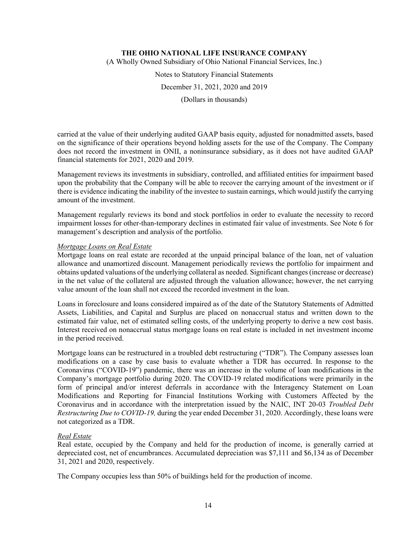(A Wholly Owned Subsidiary of Ohio National Financial Services, Inc.)

Notes to Statutory Financial Statements

December 31, 2021, 2020 and 2019

(Dollars in thousands)

carried at the value of their underlying audited GAAP basis equity, adjusted for nonadmitted assets, based on the significance of their operations beyond holding assets for the use of the Company. The Company does not record the investment in ONII, a noninsurance subsidiary, as it does not have audited GAAP financial statements for 2021, 2020 and 2019.

Management reviews its investments in subsidiary, controlled, and affiliated entities for impairment based upon the probability that the Company will be able to recover the carrying amount of the investment or if there is evidence indicating the inability of the investee to sustain earnings, which would justify the carrying amount of the investment.

Management regularly reviews its bond and stock portfolios in order to evaluate the necessity to record impairment losses for other-than-temporary declines in estimated fair value of investments. See Note 6 for management's description and analysis of the portfolio.

#### *Mortgage Loans on Real Estate*

Mortgage loans on real estate are recorded at the unpaid principal balance of the loan, net of valuation allowance and unamortized discount. Management periodically reviews the portfolio for impairment and obtains updated valuations of the underlying collateral as needed. Significant changes (increase or decrease) in the net value of the collateral are adjusted through the valuation allowance; however, the net carrying value amount of the loan shall not exceed the recorded investment in the loan.

Loans in foreclosure and loans considered impaired as of the date of the Statutory Statements of Admitted Assets, Liabilities, and Capital and Surplus are placed on nonaccrual status and written down to the estimated fair value, net of estimated selling costs, of the underlying property to derive a new cost basis. Interest received on nonaccrual status mortgage loans on real estate is included in net investment income in the period received.

Mortgage loans can be restructured in a troubled debt restructuring ("TDR"). The Company assesses loan modifications on a case by case basis to evaluate whether a TDR has occurred. In response to the Coronavirus ("COVID-19") pandemic, there was an increase in the volume of loan modifications in the Company's mortgage portfolio during 2020. The COVID-19 related modifications were primarily in the form of principal and/or interest deferrals in accordance with the Interagency Statement on Loan Modifications and Reporting for Financial Institutions Working with Customers Affected by the Coronavirus and in accordance with the interpretation issued by the NAIC, INT 20-03 *Troubled Debt Restructuring Due to COVID-19,* during the year ended December 31, 2020. Accordingly, these loans were not categorized as a TDR.

#### *Real Estate*

Real estate, occupied by the Company and held for the production of income, is generally carried at depreciated cost, net of encumbrances. Accumulated depreciation was \$7,111 and \$6,134 as of December 31, 2021 and 2020, respectively.

The Company occupies less than 50% of buildings held for the production of income.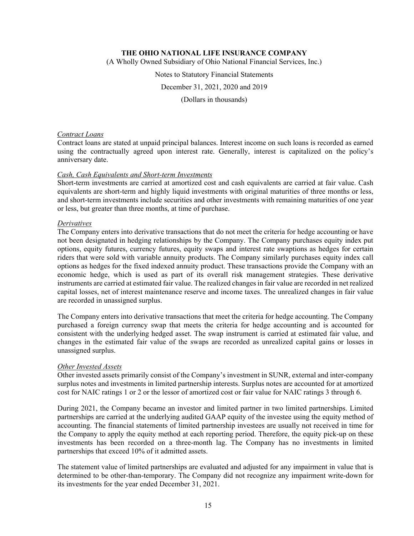(A Wholly Owned Subsidiary of Ohio National Financial Services, Inc.)

Notes to Statutory Financial Statements

December 31, 2021, 2020 and 2019

(Dollars in thousands)

#### *Contract Loans*

Contract loans are stated at unpaid principal balances. Interest income on such loans is recorded as earned using the contractually agreed upon interest rate. Generally, interest is capitalized on the policy's anniversary date.

#### *Cash, Cash Equivalents and Short-term Investments*

Short-term investments are carried at amortized cost and cash equivalents are carried at fair value. Cash equivalents are short-term and highly liquid investments with original maturities of three months or less, and short-term investments include securities and other investments with remaining maturities of one year or less, but greater than three months, at time of purchase.

#### *Derivatives*

The Company enters into derivative transactions that do not meet the criteria for hedge accounting or have not been designated in hedging relationships by the Company. The Company purchases equity index put options, equity futures, currency futures, equity swaps and interest rate swaptions as hedges for certain riders that were sold with variable annuity products. The Company similarly purchases equity index call options as hedges for the fixed indexed annuity product. These transactions provide the Company with an economic hedge, which is used as part of its overall risk management strategies. These derivative instruments are carried at estimated fair value. The realized changes in fair value are recorded in net realized capital losses, net of interest maintenance reserve and income taxes. The unrealized changes in fair value are recorded in unassigned surplus.

The Company enters into derivative transactions that meet the criteria for hedge accounting. The Company purchased a foreign currency swap that meets the criteria for hedge accounting and is accounted for consistent with the underlying hedged asset. The swap instrument is carried at estimated fair value, and changes in the estimated fair value of the swaps are recorded as unrealized capital gains or losses in unassigned surplus.

#### *Other Invested Assets*

Other invested assets primarily consist of the Company's investment in SUNR, external and inter-company surplus notes and investments in limited partnership interests. Surplus notes are accounted for at amortized cost for NAIC ratings 1 or 2 or the lessor of amortized cost or fair value for NAIC ratings 3 through 6.

During 2021, the Company became an investor and limited partner in two limited partnerships. Limited partnerships are carried at the underlying audited GAAP equity of the investee using the equity method of accounting. The financial statements of limited partnership investees are usually not received in time for the Company to apply the equity method at each reporting period. Therefore, the equity pick-up on these investments has been recorded on a three-month lag. The Company has no investments in limited partnerships that exceed 10% of it admitted assets.

The statement value of limited partnerships are evaluated and adjusted for any impairment in value that is determined to be other-than-temporary. The Company did not recognize any impairment write-down for its investments for the year ended December 31, 2021.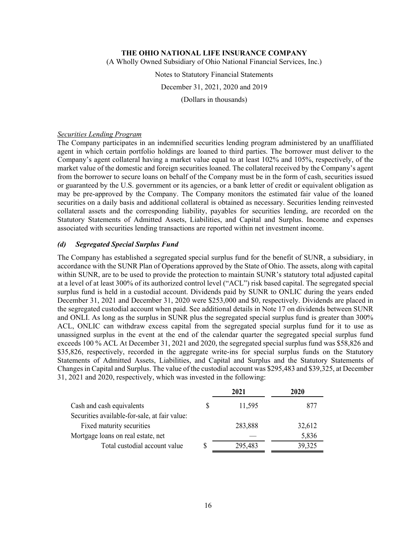(A Wholly Owned Subsidiary of Ohio National Financial Services, Inc.)

Notes to Statutory Financial Statements

December 31, 2021, 2020 and 2019

(Dollars in thousands)

#### *Securities Lending Program*

The Company participates in an indemnified securities lending program administered by an unaffiliated agent in which certain portfolio holdings are loaned to third parties. The borrower must deliver to the Company's agent collateral having a market value equal to at least 102% and 105%, respectively, of the market value of the domestic and foreign securities loaned. The collateral received by the Company's agent from the borrower to secure loans on behalf of the Company must be in the form of cash, securities issued or guaranteed by the U.S. government or its agencies, or a bank letter of credit or equivalent obligation as may be pre-approved by the Company. The Company monitors the estimated fair value of the loaned securities on a daily basis and additional collateral is obtained as necessary. Securities lending reinvested collateral assets and the corresponding liability, payables for securities lending, are recorded on the Statutory Statements of Admitted Assets, Liabilities, and Capital and Surplus. Income and expenses associated with securities lending transactions are reported within net investment income.

#### *(d) Segregated Special Surplus Fund*

The Company has established a segregated special surplus fund for the benefit of SUNR, a subsidiary, in accordance with the SUNR Plan of Operations approved by the State of Ohio. The assets, along with capital within SUNR, are to be used to provide the protection to maintain SUNR's statutory total adjusted capital at a level of at least 300% of its authorized control level ("ACL") risk based capital. The segregated special surplus fund is held in a custodial account. Dividends paid by SUNR to ONLIC during the years ended December 31, 2021 and December 31, 2020 were \$253,000 and \$0, respectively. Dividends are placed in the segregated custodial account when paid. See additional details in Note 17 on dividends between SUNR and ONLI. As long as the surplus in SUNR plus the segregated special surplus fund is greater than 300% ACL, ONLIC can withdraw excess capital from the segregated special surplus fund for it to use as unassigned surplus in the event at the end of the calendar quarter the segregated special surplus fund exceeds 100 % ACL At December 31, 2021 and 2020, the segregated special surplus fund was \$58,826 and \$35,826, respectively, recorded in the aggregate write-ins for special surplus funds on the Statutory Statements of Admitted Assets, Liabilities, and Capital and Surplus and the Statutory Statements of Changes in Capital and Surplus. The value of the custodial account was \$295,483 and \$39,325, at December 31, 2021 and 2020, respectively, which was invested in the following:

|                                               |   | 2021    | 2020   |
|-----------------------------------------------|---|---------|--------|
| Cash and cash equivalents                     | S | 11,595  | 877    |
| Securities available-for-sale, at fair value: |   |         |        |
| Fixed maturity securities                     |   | 283,888 | 32,612 |
| Mortgage loans on real estate, net            |   |         | 5,836  |
| Total custodial account value                 |   | 295,483 | 39,325 |
|                                               |   |         |        |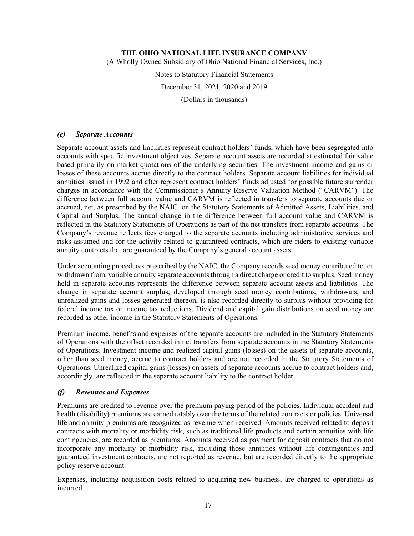(A Wholly Owned Subsidiary of Ohio National Financial Services, Inc.)

Notes to Statutory Financial Statements

December 31, 2021, 2020 and 2019

(Dollars in thousands)

## *(e) Separate Accounts*

Separate account assets and liabilities represent contract holders' funds, which have been segregated into accounts with specific investment objectives. Separate account assets are recorded at estimated fair value based primarily on market quotations of the underlying securities. The investment income and gains or losses of these accounts accrue directly to the contract holders. Separate account liabilities for individual annuities issued in 1992 and after represent contract holders' funds adjusted for possible future surrender charges in accordance with the Commissioner's Annuity Reserve Valuation Method ("CARVM"). The difference between full account value and CARVM is reflected in transfers to separate accounts due or accrued, net, as prescribed by the NAIC, on the Statutory Statements of Admitted Assets, Liabilities, and Capital and Surplus. The annual change in the difference between full account value and CARVM is reflected in the Statutory Statements of Operations as part of the net transfers from separate accounts. The Company's revenue reflects fees charged to the separate accounts including administrative services and risks assumed and for the activity related to guaranteed contracts, which are riders to existing variable annuity contracts that are guaranteed by the Company's general account assets.

Under accounting procedures prescribed by the NAIC, the Company records seed money contributed to, or withdrawn from, variable annuity separate accounts through a direct charge or credit to surplus. Seed money held in separate accounts represents the difference between separate account assets and liabilities. The change in separate account surplus, developed through seed money contributions, withdrawals, and unrealized gains and losses generated thereon, is also recorded directly to surplus without providing for federal income tax or income tax reductions. Dividend and capital gain distributions on seed money are recorded as other income in the Statutory Statements of Operations.

Premium income, benefits and expenses of the separate accounts are included in the Statutory Statements of Operations with the offset recorded in net transfers from separate accounts in the Statutory Statements of Operations. Investment income and realized capital gains (losses) on the assets of separate accounts, other than seed money, accrue to contract holders and are not recorded in the Statutory Statements of Operations. Unrealized capital gains (losses) on assets of separate accounts accrue to contract holders and, accordingly, are reflected in the separate account liability to the contract holder.

## *(f) Revenues and Expenses*

Premiums are credited to revenue over the premium paying period of the policies. Individual accident and health (disability) premiums are earned ratably over the terms of the related contracts or policies. Universal life and annuity premiums are recognized as revenue when received. Amounts received related to deposit contracts with mortality or morbidity risk, such as traditional life products and certain annuities with life contingencies, are recorded as premiums. Amounts received as payment for deposit contracts that do not incorporate any mortality or morbidity risk, including those annuities without life contingencies and guaranteed investment contracts, are not reported as revenue, but are recorded directly to the appropriate policy reserve account.

Expenses, including acquisition costs related to acquiring new business, are charged to operations as incurred.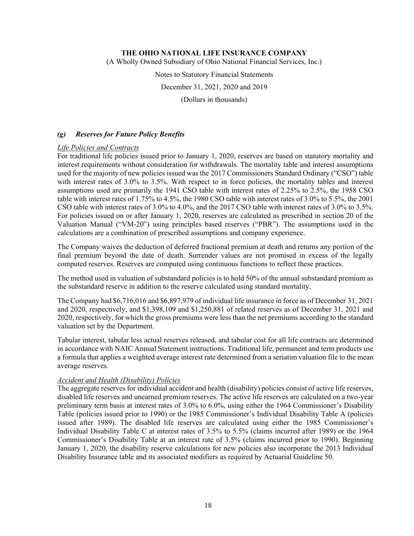(A Wholly Owned Subsidiary of Ohio National Financial Services, Inc.)

Notes to Statutory Financial Statements

December 31, 2021, 2020 and 2019

(Dollars in thousands)

#### *(g) Reserves for Future Policy Benefits*

#### *Life Policies and Contracts*

For traditional life policies issued prior to January 1, 2020, reserves are based on statutory mortality and interest requirements without consideration for withdrawals. The mortality table and interest assumptions used for the majority of new policies issued was the 2017 Commissioners Standard Ordinary ("CSO") table with interest rates of 3.0% to 3.5%. With respect to in force policies, the mortality tables and interest assumptions used are primarily the 1941 CSO table with interest rates of 2.25% to 2.5%, the 1958 CSO table with interest rates of 1.75% to 4.5%, the 1980 CSO table with interest rates of 3.0% to 5.5%, the 2001 CSO table with interest rates of 3.0% to 4.0%, and the 2017 CSO table with interest rates of 3.0% to 3.5%. For policies issued on or after January 1, 2020, reserves are calculated as prescribed in section 20 of the Valuation Manual ("VM-20") using principles based reserves ("PBR"). The assumptions used in the calculations are a combination of prescribed assumptions and company experience.

The Company waives the deduction of deferred fractional premium at death and returns any portion of the final premium beyond the date of death. Surrender values are not promised in excess of the legally computed reserves. Reserves are computed using continuous functions to reflect these practices.

The method used in valuation of substandard policies is to hold 50% of the annual substandard premium as the substandard reserve in addition to the reserve calculated using standard mortality.

The Company had \$6,716,016 and \$6,897,979 of individual life insurance in force as of December 31, 2021 and 2020, respectively, and \$1,398,109 and \$1,250,881 of related reserves as of December 31, 2021 and 2020, respectively, for which the gross premiums were less than the net premiums according to the standard valuation set by the Department.

Tabular interest, tabular less actual reserves released, and tabular cost for all life contracts are determined in accordance with NAIC Annual Statement instructions. Traditional life, permanent and term products use a formula that applies a weighted average interest rate determined from a seriatim valuation file to the mean average reserves.

#### *Accident and Health (Disability) Policies*

The aggregate reserves for individual accident and health (disability) policies consist of active life reserves, disabled life reserves and unearned premium reserves. The active life reserves are calculated on a two-year preliminary term basis at interest rates of 3.0% to 6.0%, using either the 1964 Commissioner's Disability Table (policies issued prior to 1990) or the 1985 Commissioner's Individual Disability Table A (policies issued after 1989). The disabled life reserves are calculated using either the 1985 Commissioner's Individual Disability Table C at interest rates of 3.5% to 5.5% (claims incurred after 1989) or the 1964 Commissioner's Disability Table at an interest rate of 3.5% (claims incurred prior to 1990). Beginning January 1, 2020, the disability reserve calculations for new policies also incorporate the 2013 Individual Disability Insurance table and its associated modifiers as required by Actuarial Guideline 50.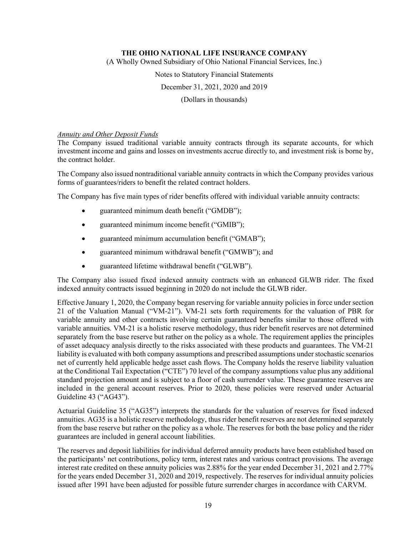(A Wholly Owned Subsidiary of Ohio National Financial Services, Inc.)

Notes to Statutory Financial Statements

December 31, 2021, 2020 and 2019

(Dollars in thousands)

#### *Annuity and Other Deposit Funds*

The Company issued traditional variable annuity contracts through its separate accounts, for which investment income and gains and losses on investments accrue directly to, and investment risk is borne by, the contract holder.

The Company also issued nontraditional variable annuity contracts in which the Company provides various forms of guarantees/riders to benefit the related contract holders.

The Company has five main types of rider benefits offered with individual variable annuity contracts:

- guaranteed minimum death benefit ("GMDB");
- guaranteed minimum income benefit ("GMIB");
- guaranteed minimum accumulation benefit ("GMAB");
- guaranteed minimum withdrawal benefit ("GMWB"); and
- guaranteed lifetime withdrawal benefit ("GLWB").

The Company also issued fixed indexed annuity contracts with an enhanced GLWB rider. The fixed indexed annuity contracts issued beginning in 2020 do not include the GLWB rider.

Effective January 1, 2020, the Company began reserving for variable annuity policies in force under section 21 of the Valuation Manual ("VM-21"). VM-21 sets forth requirements for the valuation of PBR for variable annuity and other contracts involving certain guaranteed benefits similar to those offered with variable annuities. VM-21 is a holistic reserve methodology, thus rider benefit reserves are not determined separately from the base reserve but rather on the policy as a whole. The requirement applies the principles of asset adequacy analysis directly to the risks associated with these products and guarantees. The VM-21 liability is evaluated with both company assumptions and prescribed assumptions under stochastic scenarios net of currently held applicable hedge asset cash flows. The Company holds the reserve liability valuation at the Conditional Tail Expectation ("CTE") 70 level of the company assumptions value plus any additional standard projection amount and is subject to a floor of cash surrender value. These guarantee reserves are included in the general account reserves. Prior to 2020, these policies were reserved under Actuarial Guideline 43 ("AG43").

Actuarial Guideline 35 ("AG35") interprets the standards for the valuation of reserves for fixed indexed annuities. AG35 is a holistic reserve methodology, thus rider benefit reserves are not determined separately from the base reserve but rather on the policy as a whole. The reserves for both the base policy and the rider guarantees are included in general account liabilities.

The reserves and deposit liabilities for individual deferred annuity products have been established based on the participants' net contributions, policy term, interest rates and various contract provisions. The average interest rate credited on these annuity policies was 2.88% for the year ended December 31, 2021 and 2.77% for the years ended December 31, 2020 and 2019, respectively. The reserves for individual annuity policies issued after 1991 have been adjusted for possible future surrender charges in accordance with CARVM.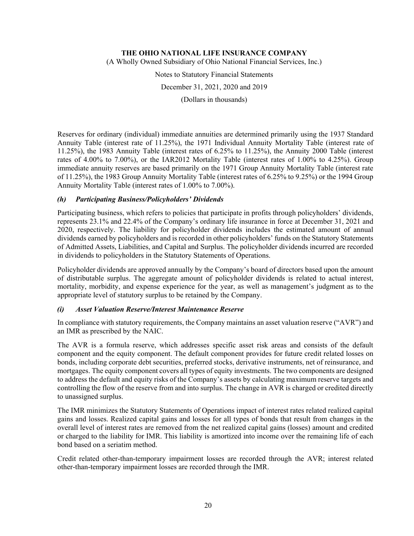(A Wholly Owned Subsidiary of Ohio National Financial Services, Inc.)

Notes to Statutory Financial Statements

December 31, 2021, 2020 and 2019

(Dollars in thousands)

Reserves for ordinary (individual) immediate annuities are determined primarily using the 1937 Standard Annuity Table (interest rate of 11.25%), the 1971 Individual Annuity Mortality Table (interest rate of 11.25%), the 1983 Annuity Table (interest rates of 6.25% to 11.25%), the Annuity 2000 Table (interest rates of 4.00% to 7.00%), or the IAR2012 Mortality Table (interest rates of 1.00% to 4.25%). Group immediate annuity reserves are based primarily on the 1971 Group Annuity Mortality Table (interest rate of 11.25%), the 1983 Group Annuity Mortality Table (interest rates of 6.25% to 9.25%) or the 1994 Group Annuity Mortality Table (interest rates of 1.00% to 7.00%).

#### *(h) Participating Business/Policyholders' Dividends*

Participating business, which refers to policies that participate in profits through policyholders' dividends, represents 23.1% and 22.4% of the Company's ordinary life insurance in force at December 31, 2021 and 2020, respectively. The liability for policyholder dividends includes the estimated amount of annual dividends earned by policyholders and is recorded in other policyholders' funds on the Statutory Statements of Admitted Assets, Liabilities, and Capital and Surplus. The policyholder dividends incurred are recorded in dividends to policyholders in the Statutory Statements of Operations.

Policyholder dividends are approved annually by the Company's board of directors based upon the amount of distributable surplus. The aggregate amount of policyholder dividends is related to actual interest, mortality, morbidity, and expense experience for the year, as well as management's judgment as to the appropriate level of statutory surplus to be retained by the Company.

#### *(i) Asset Valuation Reserve/Interest Maintenance Reserve*

In compliance with statutory requirements, the Company maintains an asset valuation reserve ("AVR") and an IMR as prescribed by the NAIC.

The AVR is a formula reserve, which addresses specific asset risk areas and consists of the default component and the equity component. The default component provides for future credit related losses on bonds, including corporate debt securities, preferred stocks, derivative instruments, net of reinsurance, and mortgages. The equity component covers all types of equity investments. The two components are designed to address the default and equity risks of the Company's assets by calculating maximum reserve targets and controlling the flow of the reserve from and into surplus. The change in AVR is charged or credited directly to unassigned surplus.

The IMR minimizes the Statutory Statements of Operations impact of interest rates related realized capital gains and losses. Realized capital gains and losses for all types of bonds that result from changes in the overall level of interest rates are removed from the net realized capital gains (losses) amount and credited or charged to the liability for IMR. This liability is amortized into income over the remaining life of each bond based on a seriatim method.

Credit related other-than-temporary impairment losses are recorded through the AVR; interest related other-than-temporary impairment losses are recorded through the IMR.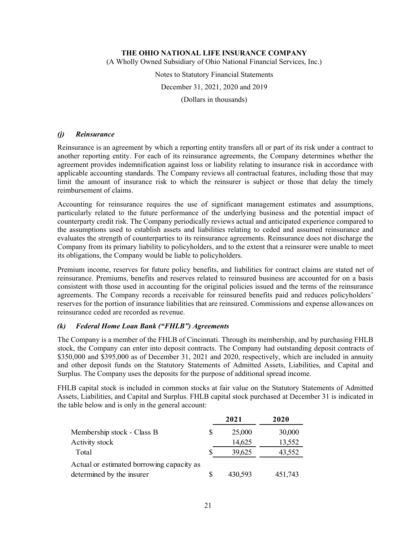(A Wholly Owned Subsidiary of Ohio National Financial Services, Inc.)

Notes to Statutory Financial Statements

December 31, 2021, 2020 and 2019

(Dollars in thousands)

#### *(j) Reinsurance*

Reinsurance is an agreement by which a reporting entity transfers all or part of its risk under a contract to another reporting entity. For each of its reinsurance agreements, the Company determines whether the agreement provides indemnification against loss or liability relating to insurance risk in accordance with applicable accounting standards. The Company reviews all contractual features, including those that may limit the amount of insurance risk to which the reinsurer is subject or those that delay the timely reimbursement of claims.

Accounting for reinsurance requires the use of significant management estimates and assumptions, particularly related to the future performance of the underlying business and the potential impact of counterparty credit risk. The Company periodically reviews actual and anticipated experience compared to the assumptions used to establish assets and liabilities relating to ceded and assumed reinsurance and evaluates the strength of counterparties to its reinsurance agreements. Reinsurance does not discharge the Company from its primary liability to policyholders, and to the extent that a reinsurer were unable to meet its obligations, the Company would be liable to policyholders.

Premium income, reserves for future policy benefits, and liabilities for contract claims are stated net of reinsurance. Premiums, benefits and reserves related to reinsured business are accounted for on a basis consistent with those used in accounting for the original policies issued and the terms of the reinsurance agreements. The Company records a receivable for reinsured benefits paid and reduces policyholders' reserves for the portion of insurance liabilities that are reinsured. Commissions and expense allowances on reinsurance ceded are recorded as revenue.

#### *(k) Federal Home Loan Bank ("FHLB") Agreements*

The Company is a member of the FHLB of Cincinnati. Through its membership, and by purchasing FHLB stock, the Company can enter into deposit contracts. The Company had outstanding deposit contracts of \$350,000 and \$395,000 as of December 31, 2021 and 2020, respectively, which are included in annuity and other deposit funds on the Statutory Statements of Admitted Assets, Liabilities, and Capital and Surplus. The Company uses the deposits for the purpose of additional spread income.

FHLB capital stock is included in common stocks at fair value on the Statutory Statements of Admitted Assets, Liabilities, and Capital and Surplus. FHLB capital stock purchased at December 31 is indicated in the table below and is only in the general account:

|                                           | 2021 |         | 2020    |
|-------------------------------------------|------|---------|---------|
| Membership stock - Class B                | S    | 25,000  | 30,000  |
| Activity stock                            |      | 14,625  | 13,552  |
| Total                                     |      | 39,625  | 43,552  |
| Actual or estimated borrowing capacity as |      |         |         |
| determined by the insurer                 | S    | 430,593 | 451,743 |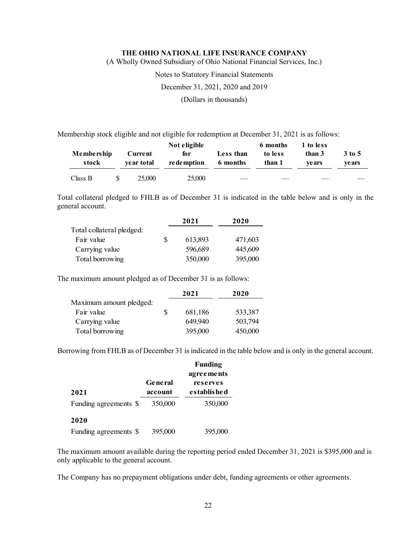(A Wholly Owned Subsidiary of Ohio National Financial Services, Inc.)

Notes to Statutory Financial Statements

December 31, 2021, 2020 and 2019

(Dollars in thousands)

Membership stock eligible and not eligible for redemption at December 31, 2021 is as follows:

|            |                | Not eligible |           | 6 months | 1 to less |          |
|------------|----------------|--------------|-----------|----------|-----------|----------|
| Membership | <b>Current</b> | for          | Less than | to less  | than 3    | $3$ to 5 |
| stock      | ve ar total    | redemption   | 6 months  | than 1   | ve ars    | ve ars   |
| Class B    | 25.000         | 25,000       |           |          |           |          |

Total collateral pledged to FHLB as of December 31 is indicated in the table below and is only in the general account.

|                           | 2021 |         | 2020    |
|---------------------------|------|---------|---------|
| Total collateral pledged: |      |         |         |
| Fair value                | S    | 613,893 | 471,603 |
| Carrying value            |      | 596,689 | 445,609 |
| Total borrowing           |      | 350,000 | 395,000 |

The maximum amount pledged as of December 31 is as follows:

|                         |   | 2021    | 2020    |
|-------------------------|---|---------|---------|
| Maximum amount pledged: |   |         |         |
| Fair value              | S | 681,186 | 533,387 |
| Carrying value          |   | 649,940 | 503,794 |
| Total borrowing         |   | 395,000 | 450,000 |

Borrowing from FHLB as of December 31 is indicated in the table below and is only in the general account.

|                       |                           | <b>Funding</b><br>agreements |
|-----------------------|---------------------------|------------------------------|
| 2021                  | <b>General</b><br>account | reserves<br>established      |
| Funding agreements \$ | 350,000                   | 350,000                      |
| 2020                  |                           |                              |
| Funding agreements \$ | 395,000                   | 395,000                      |

The maximum amount available during the reporting period ended December 31, 2021 is \$395,000 and is only applicable to the general account.

The Company has no prepayment obligations under debt, funding agreements or other agreements.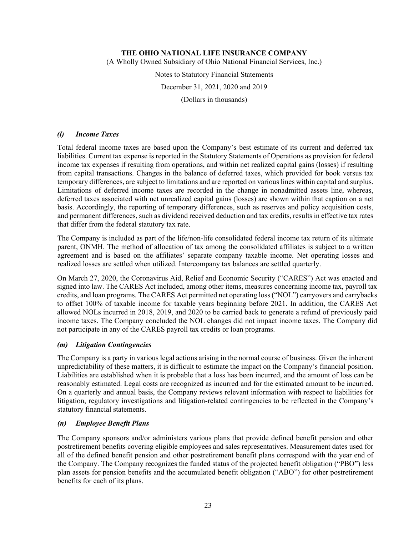(A Wholly Owned Subsidiary of Ohio National Financial Services, Inc.)

Notes to Statutory Financial Statements

December 31, 2021, 2020 and 2019

(Dollars in thousands)

## *(l) Income Taxes*

Total federal income taxes are based upon the Company's best estimate of its current and deferred tax liabilities. Current tax expense is reported in the Statutory Statements of Operations as provision for federal income tax expenses if resulting from operations, and within net realized capital gains (losses) if resulting from capital transactions. Changes in the balance of deferred taxes, which provided for book versus tax temporary differences, are subject to limitations and are reported on various lines within capital and surplus. Limitations of deferred income taxes are recorded in the change in nonadmitted assets line, whereas, deferred taxes associated with net unrealized capital gains (losses) are shown within that caption on a net basis. Accordingly, the reporting of temporary differences, such as reserves and policy acquisition costs, and permanent differences, such as dividend received deduction and tax credits, results in effective tax rates that differ from the federal statutory tax rate.

The Company is included as part of the life/non-life consolidated federal income tax return of its ultimate parent, ONMH. The method of allocation of tax among the consolidated affiliates is subject to a written agreement and is based on the affiliates' separate company taxable income. Net operating losses and realized losses are settled when utilized. Intercompany tax balances are settled quarterly.

On March 27, 2020, the Coronavirus Aid, Relief and Economic Security ("CARES") Act was enacted and signed into law. The CARES Act included, among other items, measures concerning income tax, payroll tax credits, and loan programs. The CARES Act permitted net operating loss ("NOL") carryovers and carrybacks to offset 100% of taxable income for taxable years beginning before 2021. In addition, the CARES Act allowed NOLs incurred in 2018, 2019, and 2020 to be carried back to generate a refund of previously paid income taxes. The Company concluded the NOL changes did not impact income taxes. The Company did not participate in any of the CARES payroll tax credits or loan programs.

#### *(m) Litigation Contingencies*

The Company is a party in various legal actions arising in the normal course of business. Given the inherent unpredictability of these matters, it is difficult to estimate the impact on the Company's financial position. Liabilities are established when it is probable that a loss has been incurred, and the amount of loss can be reasonably estimated. Legal costs are recognized as incurred and for the estimated amount to be incurred. On a quarterly and annual basis, the Company reviews relevant information with respect to liabilities for litigation, regulatory investigations and litigation-related contingencies to be reflected in the Company's statutory financial statements.

#### *(n) Employee Benefit Plans*

The Company sponsors and/or administers various plans that provide defined benefit pension and other postretirement benefits covering eligible employees and sales representatives. Measurement dates used for all of the defined benefit pension and other postretirement benefit plans correspond with the year end of the Company. The Company recognizes the funded status of the projected benefit obligation ("PBO") less plan assets for pension benefits and the accumulated benefit obligation ("ABO") for other postretirement benefits for each of its plans.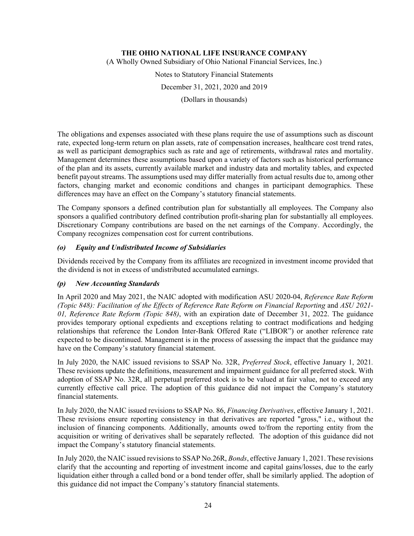(A Wholly Owned Subsidiary of Ohio National Financial Services, Inc.)

Notes to Statutory Financial Statements

December 31, 2021, 2020 and 2019

(Dollars in thousands)

The obligations and expenses associated with these plans require the use of assumptions such as discount rate, expected long-term return on plan assets, rate of compensation increases, healthcare cost trend rates, as well as participant demographics such as rate and age of retirements, withdrawal rates and mortality. Management determines these assumptions based upon a variety of factors such as historical performance of the plan and its assets, currently available market and industry data and mortality tables, and expected benefit payout streams. The assumptions used may differ materially from actual results due to, among other factors, changing market and economic conditions and changes in participant demographics. These differences may have an effect on the Company's statutory financial statements.

The Company sponsors a defined contribution plan for substantially all employees. The Company also sponsors a qualified contributory defined contribution profit-sharing plan for substantially all employees. Discretionary Company contributions are based on the net earnings of the Company. Accordingly, the Company recognizes compensation cost for current contributions.

## *(o) Equity and Undistributed Income of Subsidiaries*

Dividends received by the Company from its affiliates are recognized in investment income provided that the dividend is not in excess of undistributed accumulated earnings.

## *(p) New Accounting Standards*

In April 2020 and May 2021, the NAIC adopted with modification ASU 2020-04, *Reference Rate Reform (Topic 848): Facilitation of the Effects of Reference Rate Reform on Financial Reporting* and *ASU 2021- 01, Reference Rate Reform (Topic 848)*, with an expiration date of December 31, 2022. The guidance provides temporary optional expedients and exceptions relating to contract modifications and hedging relationships that reference the London Inter-Bank Offered Rate ("LIBOR") or another reference rate expected to be discontinued. Management is in the process of assessing the impact that the guidance may have on the Company's statutory financial statement.

In July 2020, the NAIC issued revisions to SSAP No. 32R, *Preferred Stock*, effective January 1, 2021*.*  These revisions update the definitions, measurement and impairment guidance for all preferred stock. With adoption of SSAP No. 32R, all perpetual preferred stock is to be valued at fair value, not to exceed any currently effective call price. The adoption of this guidance did not impact the Company's statutory financial statements.

In July 2020, the NAIC issued revisions to SSAP No. 86, *Financing Derivatives*, effective January 1, 2021. These revisions ensure reporting consistency in that derivatives are reported "gross," i.e., without the inclusion of financing components. Additionally, amounts owed to/from the reporting entity from the acquisition or writing of derivatives shall be separately reflected. The adoption of this guidance did not impact the Company's statutory financial statements.

In July 2020, the NAIC issued revisions to SSAP No.26R, *Bonds*, effective January 1, 2021. These revisions clarify that the accounting and reporting of investment income and capital gains/losses, due to the early liquidation either through a called bond or a bond tender offer, shall be similarly applied. The adoption of this guidance did not impact the Company's statutory financial statements.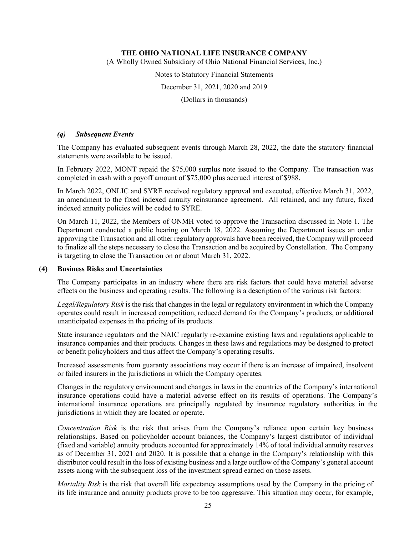(A Wholly Owned Subsidiary of Ohio National Financial Services, Inc.)

Notes to Statutory Financial Statements

December 31, 2021, 2020 and 2019

(Dollars in thousands)

#### *(q) Subsequent Events*

The Company has evaluated subsequent events through March 28, 2022, the date the statutory financial statements were available to be issued.

In February 2022, MONT repaid the \$75,000 surplus note issued to the Company. The transaction was completed in cash with a payoff amount of \$75,000 plus accrued interest of \$988.

In March 2022, ONLIC and SYRE received regulatory approval and executed, effective March 31, 2022, an amendment to the fixed indexed annuity reinsurance agreement. All retained, and any future, fixed indexed annuity policies will be ceded to SYRE.

On March 11, 2022, the Members of ONMH voted to approve the Transaction discussed in Note 1. The Department conducted a public hearing on March 18, 2022. Assuming the Department issues an order approving the Transaction and all other regulatory approvals have been received, the Company will proceed to finalize all the steps necessary to close the Transaction and be acquired by Constellation. The Company is targeting to close the Transaction on or about March 31, 2022.

#### **(4) Business Risks and Uncertainties**

The Company participates in an industry where there are risk factors that could have material adverse effects on the business and operating results. The following is a description of the various risk factors:

*Legal/Regulatory Risk* is the risk that changes in the legal or regulatory environment in which the Company operates could result in increased competition, reduced demand for the Company's products, or additional unanticipated expenses in the pricing of its products.

State insurance regulators and the NAIC regularly re-examine existing laws and regulations applicable to insurance companies and their products. Changes in these laws and regulations may be designed to protect or benefit policyholders and thus affect the Company's operating results.

Increased assessments from guaranty associations may occur if there is an increase of impaired, insolvent or failed insurers in the jurisdictions in which the Company operates.

Changes in the regulatory environment and changes in laws in the countries of the Company's international insurance operations could have a material adverse effect on its results of operations. The Company's international insurance operations are principally regulated by insurance regulatory authorities in the jurisdictions in which they are located or operate.

*Concentration Risk* is the risk that arises from the Company's reliance upon certain key business relationships. Based on policyholder account balances, the Company's largest distributor of individual (fixed and variable) annuity products accounted for approximately 14% of total individual annuity reserves as of December 31, 2021 and 2020. It is possible that a change in the Company's relationship with this distributor could result in the loss of existing business and a large outflow of the Company's general account assets along with the subsequent loss of the investment spread earned on those assets.

*Mortality Risk* is the risk that overall life expectancy assumptions used by the Company in the pricing of its life insurance and annuity products prove to be too aggressive. This situation may occur, for example,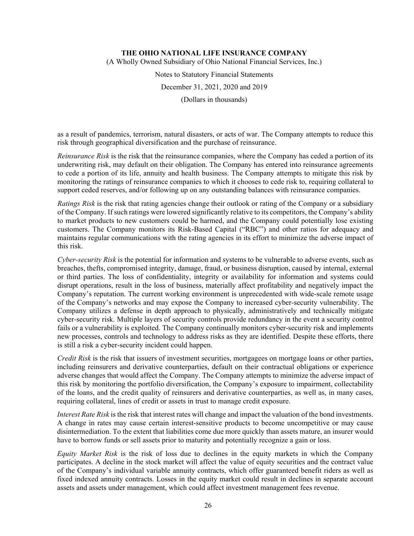(A Wholly Owned Subsidiary of Ohio National Financial Services, Inc.)

Notes to Statutory Financial Statements

December 31, 2021, 2020 and 2019

(Dollars in thousands)

as a result of pandemics, terrorism, natural disasters, or acts of war. The Company attempts to reduce this risk through geographical diversification and the purchase of reinsurance.

*Reinsurance Risk* is the risk that the reinsurance companies, where the Company has ceded a portion of its underwriting risk, may default on their obligation. The Company has entered into reinsurance agreements to cede a portion of its life, annuity and health business. The Company attempts to mitigate this risk by monitoring the ratings of reinsurance companies to which it chooses to cede risk to, requiring collateral to support ceded reserves, and/or following up on any outstanding balances with reinsurance companies.

*Ratings Risk* is the risk that rating agencies change their outlook or rating of the Company or a subsidiary of the Company. If such ratings were lowered significantly relative to its competitors, the Company's ability to market products to new customers could be harmed, and the Company could potentially lose existing customers. The Company monitors its Risk-Based Capital ("RBC") and other ratios for adequacy and maintains regular communications with the rating agencies in its effort to minimize the adverse impact of this risk.

*Cyber-security Risk* is the potential for information and systems to be vulnerable to adverse events, such as breaches, thefts, compromised integrity, damage, fraud, or business disruption, caused by internal, external or third parties. The loss of confidentiality, integrity or availability for information and systems could disrupt operations, result in the loss of business, materially affect profitability and negatively impact the Company's reputation. The current working environment is unprecedented with wide-scale remote usage of the Company's networks and may expose the Company to increased cyber-security vulnerability. The Company utilizes a defense in depth approach to physically, administratively and technically mitigate cyber-security risk. Multiple layers of security controls provide redundancy in the event a security control fails or a vulnerability is exploited. The Company continually monitors cyber-security risk and implements new processes, controls and technology to address risks as they are identified. Despite these efforts, there is still a risk a cyber-security incident could happen.

*Credit Risk* is the risk that issuers of investment securities, mortgagees on mortgage loans or other parties, including reinsurers and derivative counterparties, default on their contractual obligations or experience adverse changes that would affect the Company. The Company attempts to minimize the adverse impact of this risk by monitoring the portfolio diversification, the Company's exposure to impairment, collectability of the loans, and the credit quality of reinsurers and derivative counterparties, as well as, in many cases, requiring collateral, lines of credit or assets in trust to manage credit exposure.

*Interest Rate Risk* is the risk that interest rates will change and impact the valuation of the bond investments. A change in rates may cause certain interest-sensitive products to become uncompetitive or may cause disintermediation. To the extent that liabilities come due more quickly than assets mature, an insurer would have to borrow funds or sell assets prior to maturity and potentially recognize a gain or loss.

*Equity Market Risk* is the risk of loss due to declines in the equity markets in which the Company participates. A decline in the stock market will affect the value of equity securities and the contract value of the Company's individual variable annuity contracts, which offer guaranteed benefit riders as well as fixed indexed annuity contracts. Losses in the equity market could result in declines in separate account assets and assets under management, which could affect investment management fees revenue.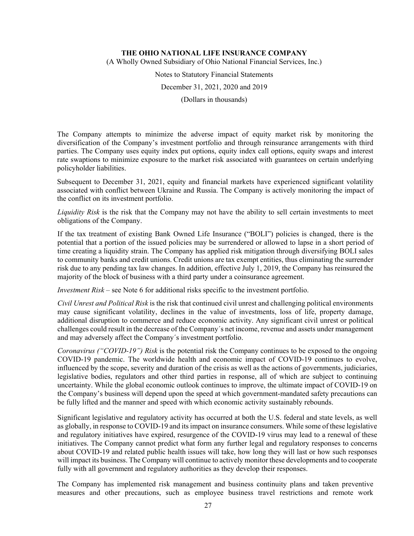(A Wholly Owned Subsidiary of Ohio National Financial Services, Inc.)

Notes to Statutory Financial Statements

December 31, 2021, 2020 and 2019

(Dollars in thousands)

The Company attempts to minimize the adverse impact of equity market risk by monitoring the diversification of the Company's investment portfolio and through reinsurance arrangements with third parties. The Company uses equity index put options, equity index call options, equity swaps and interest rate swaptions to minimize exposure to the market risk associated with guarantees on certain underlying policyholder liabilities.

Subsequent to December 31, 2021, equity and financial markets have experienced significant volatility associated with conflict between Ukraine and Russia. The Company is actively monitoring the impact of the conflict on its investment portfolio.

*Liquidity Risk* is the risk that the Company may not have the ability to sell certain investments to meet obligations of the Company.

If the tax treatment of existing Bank Owned Life Insurance ("BOLI") policies is changed, there is the potential that a portion of the issued policies may be surrendered or allowed to lapse in a short period of time creating a liquidity strain. The Company has applied risk mitigation through diversifying BOLI sales to community banks and credit unions. Credit unions are tax exempt entities, thus eliminating the surrender risk due to any pending tax law changes. In addition, effective July 1, 2019, the Company has reinsured the majority of the block of business with a third party under a coinsurance agreement.

*Investment Risk* – see Note 6 for additional risks specific to the investment portfolio.

*Civil Unrest and Political Risk* is the risk that continued civil unrest and challenging political environments may cause significant volatility, declines in the value of investments, loss of life, property damage, additional disruption to commerce and reduce economic activity. Any significant civil unrest or political challenges could result in the decrease of the Company´s net income, revenue and assets under management and may adversely affect the Company´s investment portfolio.

*Coronavirus ("COVID-19") Risk* is the potential risk the Company continues to be exposed to the ongoing COVID-19 pandemic. The worldwide health and economic impact of COVID-19 continues to evolve, influenced by the scope, severity and duration of the crisis as well as the actions of governments, judiciaries, legislative bodies, regulators and other third parties in response, all of which are subject to continuing uncertainty. While the global economic outlook continues to improve, the ultimate impact of COVID-19 on the Company's business will depend upon the speed at which government-mandated safety precautions can be fully lifted and the manner and speed with which economic activity sustainably rebounds.

Significant legislative and regulatory activity has occurred at both the U.S. federal and state levels, as well as globally, in response to COVID-19 and its impact on insurance consumers. While some of these legislative and regulatory initiatives have expired, resurgence of the COVID-19 virus may lead to a renewal of these initiatives. The Company cannot predict what form any further legal and regulatory responses to concerns about COVID-19 and related public health issues will take, how long they will last or how such responses will impact its business. The Company will continue to actively monitor these developments and to cooperate fully with all government and regulatory authorities as they develop their responses.

The Company has implemented risk management and business continuity plans and taken preventive measures and other precautions, such as employee business travel restrictions and remote work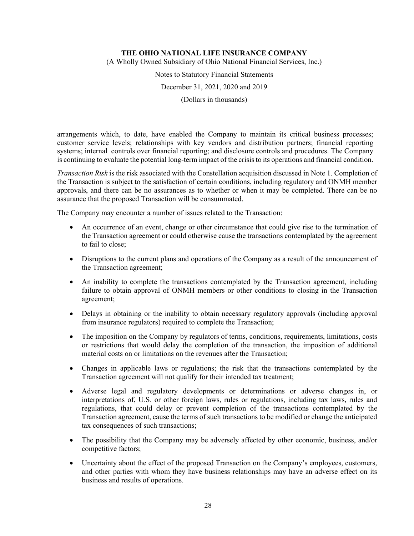(A Wholly Owned Subsidiary of Ohio National Financial Services, Inc.)

Notes to Statutory Financial Statements

December 31, 2021, 2020 and 2019

(Dollars in thousands)

arrangements which, to date, have enabled the Company to maintain its critical business processes; customer service levels; relationships with key vendors and distribution partners; financial reporting systems; internal controls over financial reporting; and disclosure controls and procedures. The Company is continuing to evaluate the potential long-term impact of the crisis to its operations and financial condition.

*Transaction Risk* is the risk associated with the Constellation acquisition discussed in Note 1. Completion of the Transaction is subject to the satisfaction of certain conditions, including regulatory and ONMH member approvals, and there can be no assurances as to whether or when it may be completed. There can be no assurance that the proposed Transaction will be consummated.

The Company may encounter a number of issues related to the Transaction:

- An occurrence of an event, change or other circumstance that could give rise to the termination of the Transaction agreement or could otherwise cause the transactions contemplated by the agreement to fail to close;
- Disruptions to the current plans and operations of the Company as a result of the announcement of the Transaction agreement;
- An inability to complete the transactions contemplated by the Transaction agreement, including failure to obtain approval of ONMH members or other conditions to closing in the Transaction agreement;
- Delays in obtaining or the inability to obtain necessary regulatory approvals (including approval from insurance regulators) required to complete the Transaction;
- The imposition on the Company by regulators of terms, conditions, requirements, limitations, costs or restrictions that would delay the completion of the transaction, the imposition of additional material costs on or limitations on the revenues after the Transaction;
- Changes in applicable laws or regulations; the risk that the transactions contemplated by the Transaction agreement will not qualify for their intended tax treatment;
- Adverse legal and regulatory developments or determinations or adverse changes in, or interpretations of, U.S. or other foreign laws, rules or regulations, including tax laws, rules and regulations, that could delay or prevent completion of the transactions contemplated by the Transaction agreement, cause the terms of such transactions to be modified or change the anticipated tax consequences of such transactions;
- The possibility that the Company may be adversely affected by other economic, business, and/or competitive factors;
- Uncertainty about the effect of the proposed Transaction on the Company's employees, customers, and other parties with whom they have business relationships may have an adverse effect on its business and results of operations.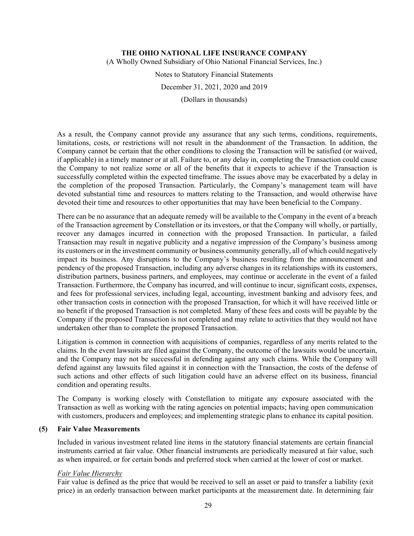(A Wholly Owned Subsidiary of Ohio National Financial Services, Inc.)

Notes to Statutory Financial Statements

December 31, 2021, 2020 and 2019

(Dollars in thousands)

As a result, the Company cannot provide any assurance that any such terms, conditions, requirements, limitations, costs, or restrictions will not result in the abandonment of the Transaction. In addition, the Company cannot be certain that the other conditions to closing the Transaction will be satisfied (or waived, if applicable) in a timely manner or at all. Failure to, or any delay in, completing the Transaction could cause the Company to not realize some or all of the benefits that it expects to achieve if the Transaction is successfully completed within the expected timeframe. The issues above may be exacerbated by a delay in the completion of the proposed Transaction. Particularly, the Company's management team will have devoted substantial time and resources to matters relating to the Transaction, and would otherwise have devoted their time and resources to other opportunities that may have been beneficial to the Company.

There can be no assurance that an adequate remedy will be available to the Company in the event of a breach of the Transaction agreement by Constellation or its investors, or that the Company will wholly, or partially, recover any damages incurred in connection with the proposed Transaction. In particular, a failed Transaction may result in negative publicity and a negative impression of the Company's business among its customers or in the investment community or business community generally, all of which could negatively impact its business. Any disruptions to the Company's business resulting from the announcement and pendency of the proposed Transaction, including any adverse changes in its relationships with its customers, distribution partners, business partners, and employees, may continue or accelerate in the event of a failed Transaction. Furthermore, the Company has incurred, and will continue to incur, significant costs, expenses, and fees for professional services, including legal, accounting, investment banking and advisory fees, and other transaction costs in connection with the proposed Transaction, for which it will have received little or no benefit if the proposed Transaction is not completed. Many of these fees and costs will be payable by the Company if the proposed Transaction is not completed and may relate to activities that they would not have undertaken other than to complete the proposed Transaction.

Litigation is common in connection with acquisitions of companies, regardless of any merits related to the claims. In the event lawsuits are filed against the Company, the outcome of the lawsuits would be uncertain, and the Company may not be successful in defending against any such claims. While the Company will defend against any lawsuits filed against it in connection with the Transaction, the costs of the defense of such actions and other effects of such litigation could have an adverse effect on its business, financial condition and operating results.

The Company is working closely with Constellation to mitigate any exposure associated with the Transaction as well as working with the rating agencies on potential impacts; having open communication with customers, producers and employees; and implementing strategic plans to enhance its capital position.

#### **(5) Fair Value Measurements**

Included in various investment related line items in the statutory financial statements are certain financial instruments carried at fair value. Other financial instruments are periodically measured at fair value, such as when impaired, or for certain bonds and preferred stock when carried at the lower of cost or market.

#### *Fair Value Hierarchy*

Fair value is defined as the price that would be received to sell an asset or paid to transfer a liability (exit price) in an orderly transaction between market participants at the measurement date. In determining fair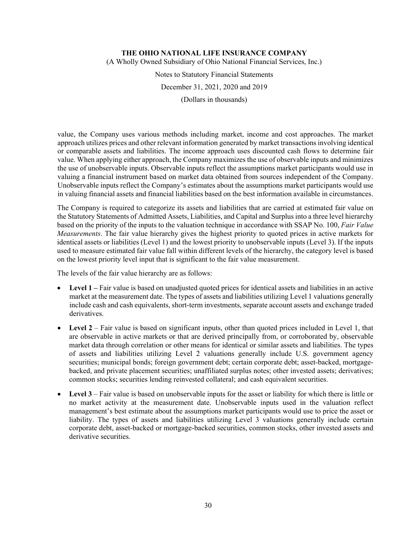(A Wholly Owned Subsidiary of Ohio National Financial Services, Inc.)

Notes to Statutory Financial Statements

December 31, 2021, 2020 and 2019

(Dollars in thousands)

value, the Company uses various methods including market, income and cost approaches. The market approach utilizes prices and other relevant information generated by market transactions involving identical or comparable assets and liabilities. The income approach uses discounted cash flows to determine fair value. When applying either approach, the Company maximizes the use of observable inputs and minimizes the use of unobservable inputs. Observable inputs reflect the assumptions market participants would use in valuing a financial instrument based on market data obtained from sources independent of the Company. Unobservable inputs reflect the Company's estimates about the assumptions market participants would use in valuing financial assets and financial liabilities based on the best information available in circumstances.

The Company is required to categorize its assets and liabilities that are carried at estimated fair value on the Statutory Statements of Admitted Assets, Liabilities, and Capital and Surplus into a three level hierarchy based on the priority of the inputs to the valuation technique in accordance with SSAP No. 100, *Fair Value Measurements*. The fair value hierarchy gives the highest priority to quoted prices in active markets for identical assets or liabilities (Level 1) and the lowest priority to unobservable inputs (Level 3). If the inputs used to measure estimated fair value fall within different levels of the hierarchy, the category level is based on the lowest priority level input that is significant to the fair value measurement.

The levels of the fair value hierarchy are as follows:

- Level 1 Fair value is based on unadjusted quoted prices for identical assets and liabilities in an active market at the measurement date. The types of assets and liabilities utilizing Level 1 valuations generally include cash and cash equivalents, short-term investments, separate account assets and exchange traded derivatives.
- Level 2 Fair value is based on significant inputs, other than quoted prices included in Level 1, that are observable in active markets or that are derived principally from, or corroborated by, observable market data through correlation or other means for identical or similar assets and liabilities. The types of assets and liabilities utilizing Level 2 valuations generally include U.S. government agency securities; municipal bonds; foreign government debt; certain corporate debt; asset-backed, mortgagebacked, and private placement securities; unaffiliated surplus notes; other invested assets; derivatives; common stocks; securities lending reinvested collateral; and cash equivalent securities.
- **Level 3** Fair value is based on unobservable inputs for the asset or liability for which there is little or no market activity at the measurement date. Unobservable inputs used in the valuation reflect management's best estimate about the assumptions market participants would use to price the asset or liability. The types of assets and liabilities utilizing Level 3 valuations generally include certain corporate debt, asset-backed or mortgage-backed securities, common stocks, other invested assets and derivative securities.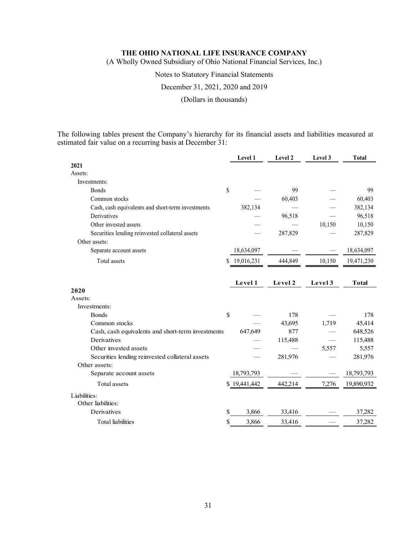(A Wholly Owned Subsidiary of Ohio National Financial Services, Inc.)

Notes to Statutory Financial Statements

December 31, 2021, 2020 and 2019

#### (Dollars in thousands)

The following tables present the Company's hierarchy for its financial assets and liabilities measured at estimated fair value on a recurring basis at December 31:

|                                                   | Level 1         | Level 2 | Level 3 | <b>Total</b> |
|---------------------------------------------------|-----------------|---------|---------|--------------|
| 2021                                              |                 |         |         |              |
| Assets:                                           |                 |         |         |              |
| Investments:                                      |                 |         |         |              |
| <b>Bonds</b>                                      | \$              | 99      |         | 99           |
| Common stocks                                     |                 | 60,403  |         | 60,403       |
| Cash, cash equivalents and short-term investments | 382,134         |         |         | 382,134      |
| Derivatives                                       |                 | 96,518  |         | 96,518       |
| Other invested assets                             |                 |         | 10,150  | 10,150       |
| Securities lending reinvested collateral assets   |                 | 287,829 |         | 287,829      |
| Other assets:                                     |                 |         |         |              |
| Separate account assets                           | 18,634,097      |         |         | 18,634,097   |
| Total assets                                      | 19,016,231<br>S | 444,849 | 10,150  | 19,471,230   |
|                                                   |                 |         |         |              |
|                                                   | Level 1         | Level 2 | Level 3 | <b>Total</b> |
| 2020                                              |                 |         |         |              |
| Assets:                                           |                 |         |         |              |
| Investments:                                      |                 |         |         |              |
| <b>B</b> onds                                     | \$              | 178     |         | 178          |
| Common stocks                                     |                 | 43,695  | 1,719   | 45,414       |
| Cash, cash equivalents and short-term investments | 647,649         | 877     |         | 648,526      |
| Derivatives                                       |                 | 115,488 |         | 115,488      |
| Other invested assets                             |                 |         | 5,557   | 5,557        |
| Securities lending reinvested collateral assets   |                 | 281,976 |         | 281,976      |
| Other assets:                                     |                 |         |         |              |
| Separate account assets                           | 18,793,793      |         |         | 18,793,793   |
| Total assets                                      | \$19,441,442    | 442,214 | 7,276   | 19,890,932   |
| Liabilities:                                      |                 |         |         |              |
| Other liabilities:                                |                 |         |         |              |
| Derivatives                                       | \$<br>3,866     | 33,416  |         | 37,282       |
| Total liabilities                                 | \$<br>3,866     | 33,416  |         | 37,282       |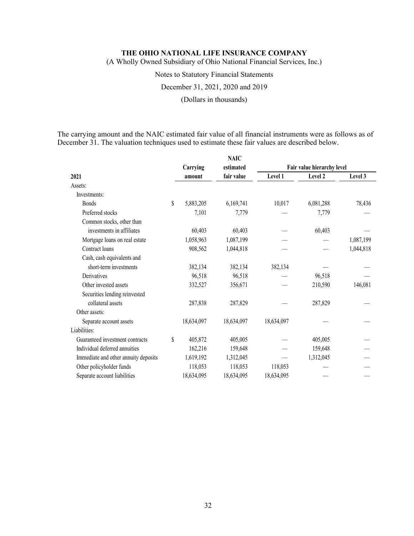(A Wholly Owned Subsidiary of Ohio National Financial Services, Inc.)

Notes to Statutory Financial Statements

December 31, 2021, 2020 and 2019

(Dollars in thousands)

The carrying amount and the NAIC estimated fair value of all financial instruments were as follows as of December 31. The valuation techniques used to estimate these fair values are described below.

|                                      |               | <b>NAIC</b> |            |                            |           |           |
|--------------------------------------|---------------|-------------|------------|----------------------------|-----------|-----------|
|                                      |               | Carrying    | estimated  | Fair value hierarchy level |           |           |
| 2021                                 |               | amount      | fair value | Level 1                    | Level 2   | Level 3   |
| Assets:                              |               |             |            |                            |           |           |
| Investments:                         |               |             |            |                            |           |           |
| <b>Bonds</b>                         | $\mathsf{\$}$ | 5,883,205   | 6,169,741  | 10,017                     | 6,081,288 | 78,436    |
| Preferred stocks                     |               | 7,101       | 7,779      |                            | 7,779     |           |
| Common stocks, other than            |               |             |            |                            |           |           |
| investments in affiliates            |               | 60,403      | 60,403     |                            | 60,403    |           |
| Mortgage loans on real estate        |               | 1,058,963   | 1,087,199  |                            |           | 1,087,199 |
| Contract loans                       |               | 908,562     | 1,044,818  |                            |           | 1,044,818 |
| Cash, cash equivalents and           |               |             |            |                            |           |           |
| short-term investments               |               | 382,134     | 382,134    | 382,134                    |           |           |
| Derivatives                          |               | 96,518      | 96,518     |                            | 96,518    |           |
| Other invested assets                |               | 332,527     | 356,671    |                            | 210,590   | 146,081   |
| Securities lending reinvested        |               |             |            |                            |           |           |
| collateral assets                    |               | 287,838     | 287,829    |                            | 287,829   |           |
| Other assets:                        |               |             |            |                            |           |           |
| Separate account assets              |               | 18,634,097  | 18,634,097 | 18,634,097                 |           |           |
| Liabilities:                         |               |             |            |                            |           |           |
| Guaranteed investment contracts      | \$            | 405,872     | 405,005    |                            | 405,005   |           |
| Individual deferred annuities        |               | 162,216     | 159,648    |                            | 159,648   |           |
| Immediate and other annuity deposits |               | 1,619,192   | 1,312,045  |                            | 1,312,045 |           |
| Other policyholder funds             |               | 118,053     | 118,053    | 118,053                    |           |           |
| Separate account liabilities         |               | 18,634,095  | 18,634,095 | 18,634,095                 |           |           |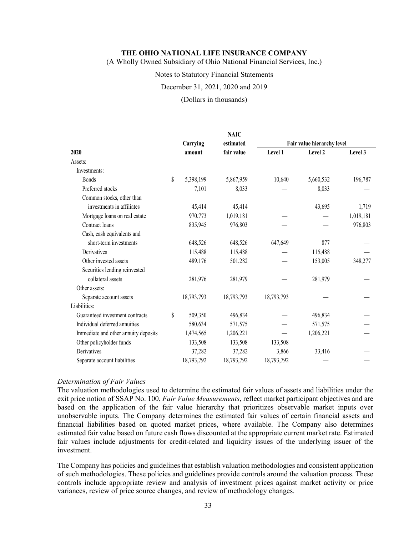(A Wholly Owned Subsidiary of Ohio National Financial Services, Inc.)

#### Notes to Statutory Financial Statements

#### December 31, 2021, 2020 and 2019

#### (Dollars in thousands)

|                                      |    |            | <b>NAIC</b> |                            |           |           |
|--------------------------------------|----|------------|-------------|----------------------------|-----------|-----------|
|                                      |    | Carrying   | estimated   | Fair value hierarchy level |           |           |
| 2020                                 |    | amount     | fair value  | Level 1                    | Level 2   | Level 3   |
| Assets:                              |    |            |             |                            |           |           |
| Investments:                         |    |            |             |                            |           |           |
| <b>Bonds</b>                         | \$ | 5,398,199  | 5,867,959   | 10,640                     | 5,660,532 | 196,787   |
| Preferred stocks                     |    | 7,101      | 8,033       |                            | 8,033     |           |
| Common stocks, other than            |    |            |             |                            |           |           |
| investments in affiliates            |    | 45,414     | 45,414      |                            | 43,695    | 1,719     |
| Mortgage loans on real estate        |    | 970,773    | 1,019,181   |                            |           | 1,019,181 |
| Contract loans                       |    | 835,945    | 976,803     |                            |           | 976,803   |
| Cash, cash equivalents and           |    |            |             |                            |           |           |
| short-term investments               |    | 648,526    | 648,526     | 647,649                    | 877       |           |
| Derivatives                          |    | 115,488    | 115,488     |                            | 115,488   |           |
| Other invested assets                |    | 489,176    | 501,282     |                            | 153,005   | 348,277   |
| Securities lending reinvested        |    |            |             |                            |           |           |
| collateral assets                    |    | 281,976    | 281,979     |                            | 281,979   |           |
| Other assets:                        |    |            |             |                            |           |           |
| Separate account assets              |    | 18,793,793 | 18,793,793  | 18,793,793                 |           |           |
| Liabilities:                         |    |            |             |                            |           |           |
| Guaranteed investment contracts      | \$ | 509,350    | 496,834     |                            | 496,834   |           |
| Individual deferred annuities        |    | 580,634    | 571,575     |                            | 571,575   |           |
| Immediate and other annuity deposits |    | 1,474,565  | 1,206,221   |                            | 1,206,221 |           |
| Other policyholder funds             |    | 133,508    | 133,508     | 133,508                    |           |           |
| Derivatives                          |    | 37,282     | 37,282      | 3,866                      | 33,416    |           |
| Separate account liabilities         |    | 18,793,792 | 18,793,792  | 18,793,792                 |           |           |

#### *Determination of Fair Values*

The valuation methodologies used to determine the estimated fair values of assets and liabilities under the exit price notion of SSAP No. 100, *Fair Value Measurements*, reflect market participant objectives and are based on the application of the fair value hierarchy that prioritizes observable market inputs over unobservable inputs. The Company determines the estimated fair values of certain financial assets and financial liabilities based on quoted market prices, where available. The Company also determines estimated fair value based on future cash flows discounted at the appropriate current market rate. Estimated fair values include adjustments for credit-related and liquidity issues of the underlying issuer of the investment.

The Company has policies and guidelines that establish valuation methodologies and consistent application of such methodologies. These policies and guidelines provide controls around the valuation process. These controls include appropriate review and analysis of investment prices against market activity or price variances, review of price source changes, and review of methodology changes.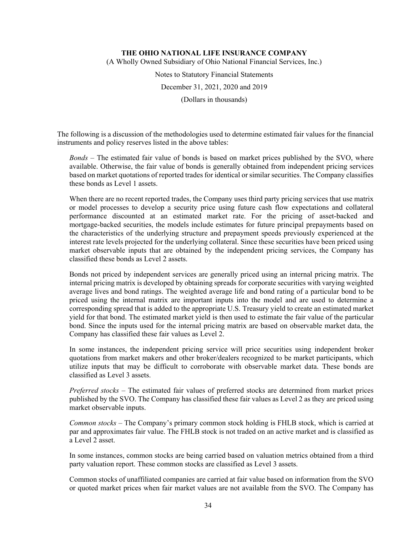(A Wholly Owned Subsidiary of Ohio National Financial Services, Inc.)

Notes to Statutory Financial Statements

December 31, 2021, 2020 and 2019

(Dollars in thousands)

The following is a discussion of the methodologies used to determine estimated fair values for the financial instruments and policy reserves listed in the above tables:

*Bonds –* The estimated fair value of bonds is based on market prices published by the SVO, where available. Otherwise, the fair value of bonds is generally obtained from independent pricing services based on market quotations of reported trades for identical or similar securities. The Company classifies these bonds as Level 1 assets.

When there are no recent reported trades, the Company uses third party pricing services that use matrix or model processes to develop a security price using future cash flow expectations and collateral performance discounted at an estimated market rate. For the pricing of asset-backed and mortgage-backed securities, the models include estimates for future principal prepayments based on the characteristics of the underlying structure and prepayment speeds previously experienced at the interest rate levels projected for the underlying collateral. Since these securities have been priced using market observable inputs that are obtained by the independent pricing services, the Company has classified these bonds as Level 2 assets.

Bonds not priced by independent services are generally priced using an internal pricing matrix. The internal pricing matrix is developed by obtaining spreads for corporate securities with varying weighted average lives and bond ratings. The weighted average life and bond rating of a particular bond to be priced using the internal matrix are important inputs into the model and are used to determine a corresponding spread that is added to the appropriate U.S. Treasury yield to create an estimated market yield for that bond. The estimated market yield is then used to estimate the fair value of the particular bond. Since the inputs used for the internal pricing matrix are based on observable market data, the Company has classified these fair values as Level 2.

In some instances, the independent pricing service will price securities using independent broker quotations from market makers and other broker/dealers recognized to be market participants, which utilize inputs that may be difficult to corroborate with observable market data. These bonds are classified as Level 3 assets.

*Preferred stocks* – The estimated fair values of preferred stocks are determined from market prices published by the SVO. The Company has classified these fair values as Level 2 as they are priced using market observable inputs.

*Common stocks –* The Company's primary common stock holding is FHLB stock, which is carried at par and approximates fair value. The FHLB stock is not traded on an active market and is classified as a Level 2 asset.

In some instances, common stocks are being carried based on valuation metrics obtained from a third party valuation report. These common stocks are classified as Level 3 assets.

Common stocks of unaffiliated companies are carried at fair value based on information from the SVO or quoted market prices when fair market values are not available from the SVO. The Company has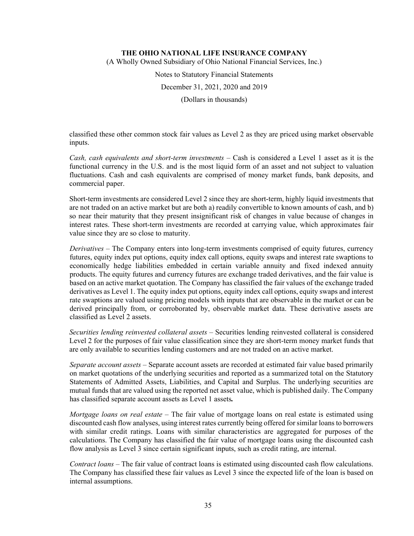(A Wholly Owned Subsidiary of Ohio National Financial Services, Inc.)

Notes to Statutory Financial Statements

December 31, 2021, 2020 and 2019

(Dollars in thousands)

classified these other common stock fair values as Level 2 as they are priced using market observable inputs.

*Cash, cash equivalents and short-term investments –* Cash is considered a Level 1 asset as it is the functional currency in the U.S. and is the most liquid form of an asset and not subject to valuation fluctuations. Cash and cash equivalents are comprised of money market funds, bank deposits, and commercial paper.

Short-term investments are considered Level 2 since they are short-term, highly liquid investments that are not traded on an active market but are both a) readily convertible to known amounts of cash, and b) so near their maturity that they present insignificant risk of changes in value because of changes in interest rates. These short-term investments are recorded at carrying value, which approximates fair value since they are so close to maturity.

*Derivatives –* The Company enters into long-term investments comprised of equity futures, currency futures, equity index put options, equity index call options, equity swaps and interest rate swaptions to economically hedge liabilities embedded in certain variable annuity and fixed indexed annuity products. The equity futures and currency futures are exchange traded derivatives, and the fair value is based on an active market quotation. The Company has classified the fair values of the exchange traded derivatives as Level 1. The equity index put options, equity index call options, equity swaps and interest rate swaptions are valued using pricing models with inputs that are observable in the market or can be derived principally from, or corroborated by, observable market data. These derivative assets are classified as Level 2 assets.

*Securities lending reinvested collateral assets –* Securities lending reinvested collateral is considered Level 2 for the purposes of fair value classification since they are short-term money market funds that are only available to securities lending customers and are not traded on an active market.

*Separate account assets* – Separate account assets are recorded at estimated fair value based primarily on market quotations of the underlying securities and reported as a summarized total on the Statutory Statements of Admitted Assets, Liabilities, and Capital and Surplus. The underlying securities are mutual funds that are valued using the reported net asset value, which is published daily. The Company has classified separate account assets as Level 1 assets*.*

*Mortgage loans on real estate* – The fair value of mortgage loans on real estate is estimated using discounted cash flow analyses, using interest rates currently being offered for similar loans to borrowers with similar credit ratings. Loans with similar characteristics are aggregated for purposes of the calculations. The Company has classified the fair value of mortgage loans using the discounted cash flow analysis as Level 3 since certain significant inputs, such as credit rating, are internal.

*Contract loans* – The fair value of contract loans is estimated using discounted cash flow calculations. The Company has classified these fair values as Level 3 since the expected life of the loan is based on internal assumptions.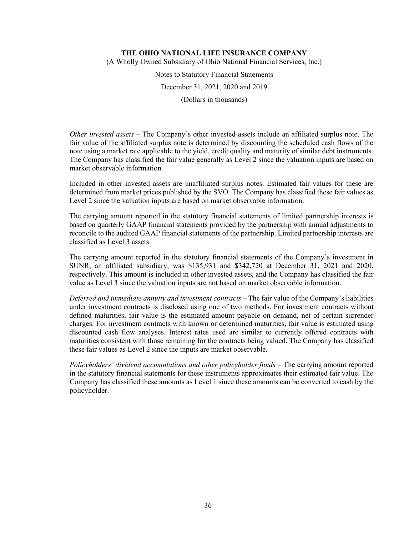(A Wholly Owned Subsidiary of Ohio National Financial Services, Inc.)

Notes to Statutory Financial Statements

December 31, 2021, 2020 and 2019

(Dollars in thousands)

*Other invested assets* – The Company's other invested assets include an affiliated surplus note. The fair value of the affiliated surplus note is determined by discounting the scheduled cash flows of the note using a market rate applicable to the yield, credit quality and maturity of similar debt instruments. The Company has classified the fair value generally as Level 2 since the valuation inputs are based on market observable information.

Included in other invested assets are unaffiliated surplus notes. Estimated fair values for these are determined from market prices published by the SVO. The Company has classified these fair values as Level 2 since the valuation inputs are based on market observable information.

The carrying amount reported in the statutory financial statements of limited partnership interests is based on quarterly GAAP financial statements provided by the partnership with annual adjustments to reconcile to the audited GAAP financial statements of the partnership. Limited partnership interests are classified as Level 3 assets.

The carrying amount reported in the statutory financial statements of the Company's investment in SUNR, an affiliated subsidiary, was \$135,931 and \$342,720 at December 31, 2021 and 2020, respectively. This amount is included in other invested assets, and the Company has classified the fair value as Level 3 since the valuation inputs are not based on market observable information.

*Deferred and immediate annuity and investment contracts –* The fair value of the Company's liabilities under investment contracts is disclosed using one of two methods. For investment contracts without defined maturities, fair value is the estimated amount payable on demand, net of certain surrender charges. For investment contracts with known or determined maturities, fair value is estimated using discounted cash flow analyses. Interest rates used are similar to currently offered contracts with maturities consistent with those remaining for the contracts being valued. The Company has classified these fair values as Level 2 since the inputs are market observable.

*Policyholders' dividend accumulations and other policyholder funds* – The carrying amount reported in the statutory financial statements for these instruments approximates their estimated fair value. The Company has classified these amounts as Level 1 since these amounts can be converted to cash by the policyholder.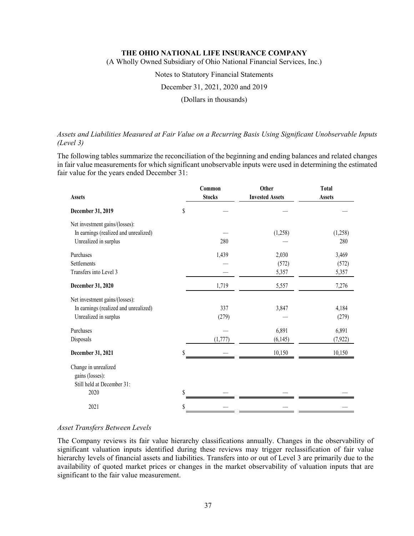(A Wholly Owned Subsidiary of Ohio National Financial Services, Inc.)

Notes to Statutory Financial Statements

December 31, 2021, 2020 and 2019

(Dollars in thousands)

*Assets and Liabilities Measured at Fair Value on a Recurring Basis Using Significant Unobservable Inputs (Level 3)* 

The following tables summarize the reconciliation of the beginning and ending balances and related changes in fair value measurements for which significant unobservable inputs were used in determining the estimated fair value for the years ended December 31:

| <b>Assets</b>                                                           | Common<br><b>Stocks</b> | Other<br><b>Invested Assets</b> | <b>Total</b><br><b>Assets</b> |
|-------------------------------------------------------------------------|-------------------------|---------------------------------|-------------------------------|
| December 31, 2019                                                       | \$                      |                                 |                               |
| Net investment gains/(losses):<br>In earnings (realized and unrealized) |                         | (1,258)                         | (1,258)                       |
| Unrealized in surplus                                                   | 280                     |                                 | 280                           |
| Purchases                                                               | 1,439                   | 2,030                           | 3,469                         |
| Settlements<br>Transfers into Level 3                                   |                         | (572)<br>5,357                  | (572)<br>5,357                |
| December 31, 2020                                                       | 1,719                   | 5,557                           | 7,276                         |
| Net investment gains/(losses):                                          |                         |                                 |                               |
| In earnings (realized and unrealized)<br>Unrealized in surplus          | 337<br>(279)            | 3,847                           | 4,184<br>(279)                |
| Purchases                                                               |                         | 6,891                           | 6,891                         |
| Disposals                                                               | (1,777)                 | (6, 145)                        | (7, 922)                      |
| December 31, 2021                                                       | \$                      | 10,150                          | 10,150                        |
| Change in unrealized<br>gains (losses):                                 |                         |                                 |                               |
| Still held at December 31:<br>2020                                      | \$                      |                                 |                               |
| 2021                                                                    | \$                      |                                 |                               |

#### *Asset Transfers Between Levels*

The Company reviews its fair value hierarchy classifications annually. Changes in the observability of significant valuation inputs identified during these reviews may trigger reclassification of fair value hierarchy levels of financial assets and liabilities. Transfers into or out of Level 3 are primarily due to the availability of quoted market prices or changes in the market observability of valuation inputs that are significant to the fair value measurement.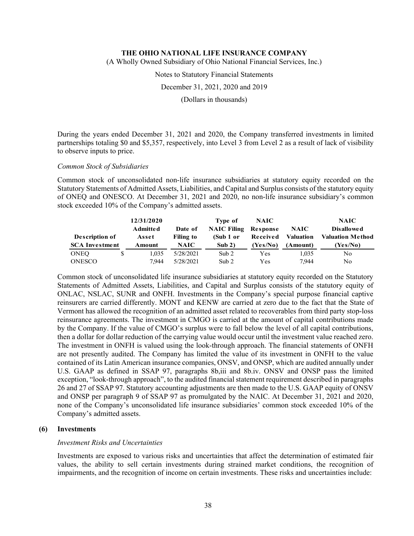(A Wholly Owned Subsidiary of Ohio National Financial Services, Inc.)

Notes to Statutory Financial Statements

December 31, 2021, 2020 and 2019

(Dollars in thousands)

During the years ended December 31, 2021 and 2020, the Company transferred investments in limited partnerships totaling \$0 and \$5,357, respectively, into Level 3 from Level 2 as a result of lack of visibility to observe inputs to price.

#### *Common Stock of Subsidiaries*

Common stock of unconsolidated non-life insurance subsidiaries at statutory equity recorded on the Statutory Statements of Admitted Assets, Liabilities, and Capital and Surplus consists of the statutory equity of ONEQ and ONESCO. At December 31, 2021 and 2020, no non-life insurance subsidiary's common stock exceeded 10% of the Company's admitted assets.

|                       | 12/31/2020      |                  | Type of            | <b>NAIC</b> |                  | <b>NAIC</b>             |
|-----------------------|-----------------|------------------|--------------------|-------------|------------------|-------------------------|
|                       | <b>Admitted</b> | Date of          | <b>NAIC Filing</b> | Response    | <b>NAIC</b>      | <b>Disallowed</b>       |
| Description of        | Asset           | <b>Filing to</b> | (Sub 1 or          | Received    | <b>Valuation</b> | <b>Valuation Method</b> |
| <b>SCA Investment</b> | Amount          | <b>NAIC</b>      | Sub 2)             | (Yes/No)    | (Amount)         | (Yes/No)                |
| <b>ONEO</b>           | 1.035           | 5/28/2021        | Sub $2$            | Yes         | 1.035            | No                      |
| <b>ONESCO</b>         | 7.944           | 5/28/2021        | Sub $2$            | Yes         | 7.944            | No                      |

Common stock of unconsolidated life insurance subsidiaries at statutory equity recorded on the Statutory Statements of Admitted Assets, Liabilities, and Capital and Surplus consists of the statutory equity of ONLAC, NSLAC, SUNR and ONFH. Investments in the Company's special purpose financial captive reinsurers are carried differently. MONT and KENW are carried at zero due to the fact that the State of Vermont has allowed the recognition of an admitted asset related to recoverables from third party stop-loss reinsurance agreements. The investment in CMGO is carried at the amount of capital contributions made by the Company. If the value of CMGO's surplus were to fall below the level of all capital contributions, then a dollar for dollar reduction of the carrying value would occur until the investment value reached zero. The investment in ONFH is valued using the look-through approach. The financial statements of ONFH are not presently audited. The Company has limited the value of its investment in ONFH to the value contained of its Latin American insurance companies, ONSV, and ONSP, which are audited annually under U.S. GAAP as defined in SSAP 97, paragraphs 8b,iii and 8b.iv. ONSV and ONSP pass the limited exception, "look-through approach", to the audited financial statement requirement described in paragraphs 26 and 27 of SSAP 97. Statutory accounting adjustments are then made to the U.S. GAAP equity of ONSV and ONSP per paragraph 9 of SSAP 97 as promulgated by the NAIC. At December 31, 2021 and 2020, none of the Company's unconsolidated life insurance subsidiaries' common stock exceeded 10% of the Company's admitted assets.

### **(6) Investments**

#### *Investment Risks and Uncertainties*

Investments are exposed to various risks and uncertainties that affect the determination of estimated fair values, the ability to sell certain investments during strained market conditions, the recognition of impairments, and the recognition of income on certain investments. These risks and uncertainties include: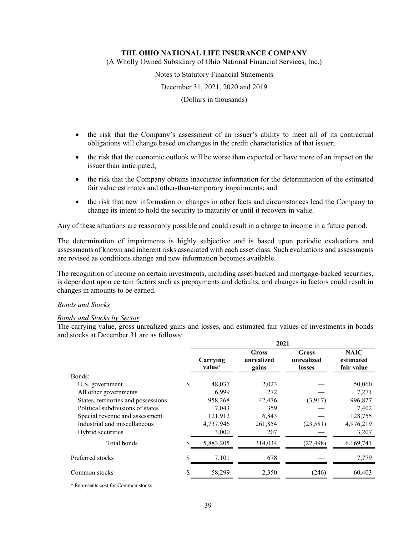(A Wholly Owned Subsidiary of Ohio National Financial Services, Inc.)

Notes to Statutory Financial Statements

December 31, 2021, 2020 and 2019

(Dollars in thousands)

- the risk that the Company's assessment of an issuer's ability to meet all of its contractual obligations will change based on changes in the credit characteristics of that issuer;
- the risk that the economic outlook will be worse than expected or have more of an impact on the issuer than anticipated;
- the risk that the Company obtains inaccurate information for the determination of the estimated fair value estimates and other-than-temporary impairments; and
- the risk that new information or changes in other facts and circumstances lead the Company to change its intent to hold the security to maturity or until it recovers in value.

Any of these situations are reasonably possible and could result in a charge to income in a future period.

The determination of impairments is highly subjective and is based upon periodic evaluations and assessments of known and inherent risks associated with each asset class. Such evaluations and assessments are revised as conditions change and new information becomes available.

The recognition of income on certain investments, including asset-backed and mortgage-backed securities, is dependent upon certain factors such as prepayments and defaults, and changes in factors could result in changes in amounts to be earned.

# *Bonds and Stocks*

## *Bonds and Stocks by Sector*

The carrying value, gross unrealized gains and losses, and estimated fair values of investments in bonds and stocks at December 31 are as follows: **2021**

|                                     | 2021               |                              |                               |                                        |  |  |  |
|-------------------------------------|--------------------|------------------------------|-------------------------------|----------------------------------------|--|--|--|
|                                     | Carrying<br>value* | Gross<br>unrealized<br>gains | Gross<br>unrealized<br>losses | <b>NAIC</b><br>estimated<br>fair value |  |  |  |
| Bonds:                              |                    |                              |                               |                                        |  |  |  |
| U.S. government                     | \$<br>48,037       | 2,023                        |                               | 50,060                                 |  |  |  |
| All other governments               | 6.999              | 272                          |                               | 7,271                                  |  |  |  |
| States, territories and possessions | 958,268            | 42,476                       | (3,917)                       | 996,827                                |  |  |  |
| Political subdivisions of states    | 7,043              | 359                          |                               | 7,402                                  |  |  |  |
| Special revenue and assessment      | 121,912            | 6,843                        |                               | 128,755                                |  |  |  |
| Industrial and miscellaneous        | 4,737,946          | 261,854                      | (23,581)                      | 4,976,219                              |  |  |  |
| Hybrid securities                   | 3,000              | 207                          |                               | 3,207                                  |  |  |  |
| Total bonds                         | 5,883,205          | 314,034                      | (27, 498)                     | 6,169,741                              |  |  |  |
| Preferred stocks                    | 7,101              | 678                          |                               | 7,779                                  |  |  |  |
| Common stocks                       | \$<br>58,299       | 2,350                        | (246)                         | 60,403                                 |  |  |  |
|                                     |                    |                              |                               |                                        |  |  |  |

\* Represents cost for Common stocks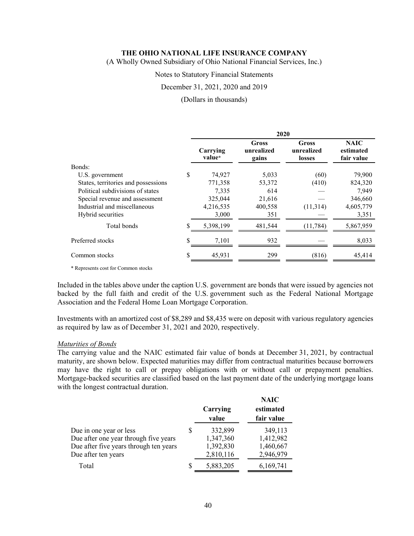(A Wholly Owned Subsidiary of Ohio National Financial Services, Inc.)

## Notes to Statutory Financial Statements

### December 31, 2021, 2020 and 2019

#### (Dollars in thousands)

|                                     | 2020 |                    |                              |                                      |                                        |  |  |
|-------------------------------------|------|--------------------|------------------------------|--------------------------------------|----------------------------------------|--|--|
|                                     |      | Carrying<br>value* | Gross<br>unrealized<br>gains | <b>Gross</b><br>unrealized<br>losses | <b>NAIC</b><br>estimated<br>fair value |  |  |
| Bonds:                              |      |                    |                              |                                      |                                        |  |  |
| U.S. government                     | \$   | 74,927             | 5,033                        | (60)                                 | 79,900                                 |  |  |
| States, territories and possessions |      | 771,358            | 53,372                       | (410)                                | 824,320                                |  |  |
| Political subdivisions of states    |      | 7.335              | 614                          |                                      | 7,949                                  |  |  |
| Special revenue and assessment      |      | 325,044            | 21,616                       |                                      | 346,660                                |  |  |
| Industrial and miscellaneous        |      | 4,216,535          | 400,558                      | (11,314)                             | 4,605,779                              |  |  |
| Hybrid securities                   |      | 3,000              | 351                          |                                      | 3,351                                  |  |  |
| Total bonds                         | S    | 5,398,199          | 481,544                      | (11, 784)                            | 5,867,959                              |  |  |
| Preferred stocks                    |      | 7,101              | 932                          |                                      | 8,033                                  |  |  |
| Common stocks                       | \$   | 45,931             | 299                          | (816)                                | 45,414                                 |  |  |

\* Represents cost for Common stocks

Included in the tables above under the caption U.S. government are bonds that were issued by agencies not backed by the full faith and credit of the U.S. government such as the Federal National Mortgage Association and the Federal Home Loan Mortgage Corporation.

Investments with an amortized cost of \$8,289 and \$8,435 were on deposit with various regulatory agencies as required by law as of December 31, 2021 and 2020, respectively.

#### *Maturities of Bonds*

The carrying value and the NAIC estimated fair value of bonds at December 31, 2021, by contractual maturity, are shown below. Expected maturities may differ from contractual maturities because borrowers may have the right to call or prepay obligations with or without call or prepayment penalties. Mortgage-backed securities are classified based on the last payment date of the underlying mortgage loans with the longest contractual duration.

**NAIC** 

|                                        |   | Carrying<br>value | NAIU<br>estimated<br>fair value |
|----------------------------------------|---|-------------------|---------------------------------|
| Due in one year or less                | S | 332,899           | 349,113                         |
| Due after one year through five years  |   | 1,347,360         | 1,412,982                       |
| Due after five years through ten years |   | 1,392,830         | 1,460,667                       |
| Due after ten years                    |   | 2,810,116         | 2,946,979                       |
| Total                                  | S | 5,883,205         | 6,169,741                       |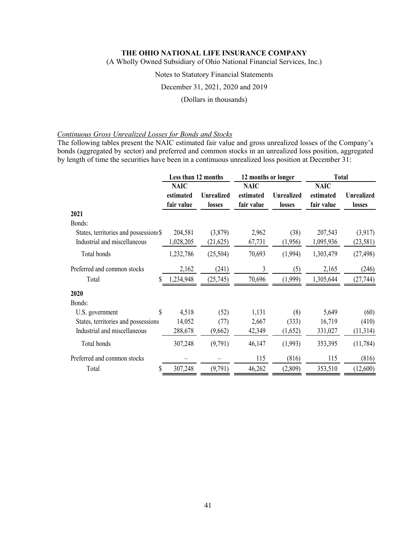(A Wholly Owned Subsidiary of Ohio National Financial Services, Inc.)

# Notes to Statutory Financial Statements

# December 31, 2021, 2020 and 2019

## (Dollars in thousands)

# *Continuous Gross Unrealized Losses for Bonds and Stocks*

The following tables present the NAIC estimated fair value and gross unrealized losses of the Company's bonds (aggregated by sector) and preferred and common stocks in an unrealized loss position, aggregated by length of time the securities have been in a continuous unrealized loss position at December 31:

|                                       | Less than 12 months |                   | 12 months or longer |                   | <b>Total</b> |                   |  |
|---------------------------------------|---------------------|-------------------|---------------------|-------------------|--------------|-------------------|--|
|                                       | <b>NAIC</b>         |                   | <b>NAIC</b>         |                   | <b>NAIC</b>  |                   |  |
|                                       | estimated           | <b>Unrealized</b> | estimated           | <b>Unrealized</b> | estimated    | <b>Unrealized</b> |  |
|                                       | fair value          | losses            | fair value          | losses            | fair value   | losses            |  |
| 2021                                  |                     |                   |                     |                   |              |                   |  |
| Bonds:                                |                     |                   |                     |                   |              |                   |  |
| States, territories and possessions\$ | 204,581             | (3,879)           | 2,962               | (38)              | 207,543      | (3,917)           |  |
| Industrial and miscellaneous          | 1,028,205           | (21, 625)         | 67,731              | (1,956)           | 1,095,936    | (23,581)          |  |
| Total bonds                           | 1,232,786           | (25,504)          | 70,693              | (1,994)           | 1,303,479    | (27, 498)         |  |
| Preferred and common stocks           | 2,162               | (241)             | 3                   | (5)               | 2,165        | (246)             |  |
| \$<br>Total                           | 1,234,948           | (25,745)          | 70,696              | (1,999)           | 1,305,644    | (27, 744)         |  |
| 2020                                  |                     |                   |                     |                   |              |                   |  |
| Bonds:                                |                     |                   |                     |                   |              |                   |  |
| \$<br>U.S. government                 | 4,518               | (52)              | 1,131               | (8)               | 5,649        | (60)              |  |
| States, territories and possessions   | 14,052              | (77)              | 2,667               | (333)             | 16,719       | (410)             |  |
| Industrial and miscellaneous          | 288,678             | (9,662)           | 42,349              | (1,652)           | 331,027      | (11,314)          |  |
| Total bonds                           | 307,248             | (9,791)           | 46,147              | (1,993)           | 353,395      | (11, 784)         |  |
| Preferred and common stocks           |                     |                   | 115                 | (816)             | 115          | (816)             |  |
| \$<br>Total                           | 307,248             | (9,791)           | 46,262              | (2,809)           | 353,510      | (12,600)          |  |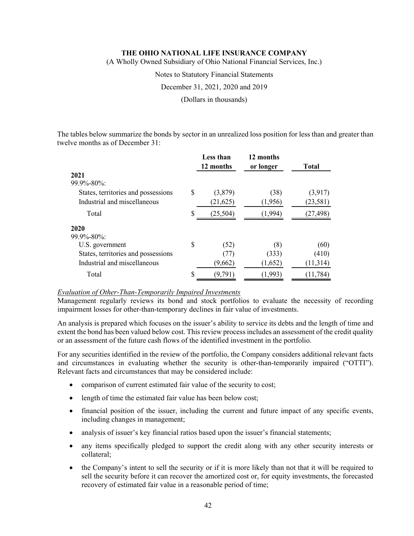(A Wholly Owned Subsidiary of Ohio National Financial Services, Inc.)

Notes to Statutory Financial Statements

December 31, 2021, 2020 and 2019

(Dollars in thousands)

The tables below summarize the bonds by sector in an unrealized loss position for less than and greater than twelve months as of December 31:

|                                     | <b>Less than</b><br>12 months | 12 months<br>or longer | <b>Total</b> |
|-------------------------------------|-------------------------------|------------------------|--------------|
| 2021                                |                               |                        |              |
| $99.9\% - 80\%$                     |                               |                        |              |
| States, territories and possessions | \$<br>(3,879)                 | (38)                   | (3,917)      |
| Industrial and miscellaneous        | (21, 625)                     | (1,956)                | (23, 581)    |
| Total                               | (25,504)                      | (1,994)                | (27, 498)    |
| 2020                                |                               |                        |              |
| $99.9\% - 80\%$                     |                               |                        |              |
| U.S. government                     | \$<br>(52)                    | (8)                    | (60)         |
| States, territories and possessions | (77)                          | (333)                  | (410)        |
| Industrial and miscellaneous        | (9,662)                       | (1,652)                | (11,314)     |
| Total                               | (9,791)                       | (1,993)                | (11, 784)    |

### *Evaluation of Other-Than-Temporarily Impaired Investments*

Management regularly reviews its bond and stock portfolios to evaluate the necessity of recording impairment losses for other-than-temporary declines in fair value of investments.

An analysis is prepared which focuses on the issuer's ability to service its debts and the length of time and extent the bond has been valued below cost. This review process includes an assessment of the credit quality or an assessment of the future cash flows of the identified investment in the portfolio.

For any securities identified in the review of the portfolio, the Company considers additional relevant facts and circumstances in evaluating whether the security is other-than-temporarily impaired ("OTTI"). Relevant facts and circumstances that may be considered include:

- comparison of current estimated fair value of the security to cost;
- length of time the estimated fair value has been below cost;
- financial position of the issuer, including the current and future impact of any specific events, including changes in management;
- analysis of issuer's key financial ratios based upon the issuer's financial statements;
- any items specifically pledged to support the credit along with any other security interests or collateral;
- the Company's intent to sell the security or if it is more likely than not that it will be required to sell the security before it can recover the amortized cost or, for equity investments, the forecasted recovery of estimated fair value in a reasonable period of time;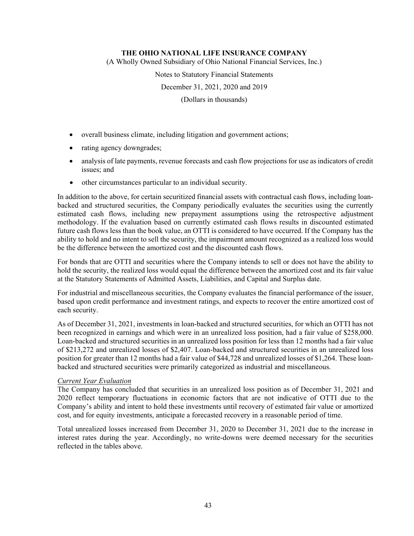(A Wholly Owned Subsidiary of Ohio National Financial Services, Inc.)

Notes to Statutory Financial Statements

December 31, 2021, 2020 and 2019

(Dollars in thousands)

- overall business climate, including litigation and government actions;
- rating agency downgrades;
- analysis of late payments, revenue forecasts and cash flow projections for use as indicators of credit issues; and
- other circumstances particular to an individual security.

In addition to the above, for certain securitized financial assets with contractual cash flows, including loanbacked and structured securities, the Company periodically evaluates the securities using the currently estimated cash flows, including new prepayment assumptions using the retrospective adjustment methodology. If the evaluation based on currently estimated cash flows results in discounted estimated future cash flows less than the book value, an OTTI is considered to have occurred. If the Company has the ability to hold and no intent to sell the security, the impairment amount recognized as a realized loss would be the difference between the amortized cost and the discounted cash flows.

For bonds that are OTTI and securities where the Company intends to sell or does not have the ability to hold the security, the realized loss would equal the difference between the amortized cost and its fair value at the Statutory Statements of Admitted Assets, Liabilities, and Capital and Surplus date.

For industrial and miscellaneous securities, the Company evaluates the financial performance of the issuer, based upon credit performance and investment ratings, and expects to recover the entire amortized cost of each security.

As of December 31, 2021, investments in loan-backed and structured securities, for which an OTTI has not been recognized in earnings and which were in an unrealized loss position, had a fair value of \$258,000. Loan-backed and structured securities in an unrealized loss position for less than 12 months had a fair value of \$213,272 and unrealized losses of \$2,407. Loan-backed and structured securities in an unrealized loss position for greater than 12 months had a fair value of \$44,728 and unrealized losses of \$1,264. These loanbacked and structured securities were primarily categorized as industrial and miscellaneous.

### *Current Year Evaluation*

The Company has concluded that securities in an unrealized loss position as of December 31, 2021 and 2020 reflect temporary fluctuations in economic factors that are not indicative of OTTI due to the Company's ability and intent to hold these investments until recovery of estimated fair value or amortized cost, and for equity investments, anticipate a forecasted recovery in a reasonable period of time.

Total unrealized losses increased from December 31, 2020 to December 31, 2021 due to the increase in interest rates during the year. Accordingly, no write-downs were deemed necessary for the securities reflected in the tables above.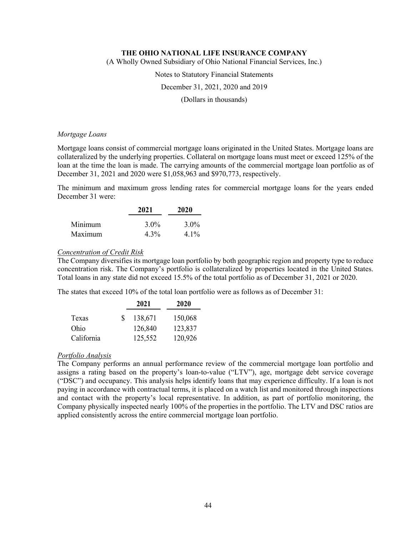(A Wholly Owned Subsidiary of Ohio National Financial Services, Inc.)

## Notes to Statutory Financial Statements

December 31, 2021, 2020 and 2019

(Dollars in thousands)

### *Mortgage Loans*

Mortgage loans consist of commercial mortgage loans originated in the United States. Mortgage loans are collateralized by the underlying properties. Collateral on mortgage loans must meet or exceed 125% of the loan at the time the loan is made. The carrying amounts of the commercial mortgage loan portfolio as of December 31, 2021 and 2020 were \$1,058,963 and \$970,773, respectively.

The minimum and maximum gross lending rates for commercial mortgage loans for the years ended December 31 were:

|         | 2021    | 2020    |
|---------|---------|---------|
| Minimum | $3.0\%$ | $3.0\%$ |
| Maximum | 4.3%    | $4.1\%$ |

## *Concentration of Credit Risk*

The Company diversifies its mortgage loan portfolio by both geographic region and property type to reduce concentration risk. The Company's portfolio is collateralized by properties located in the United States. Total loans in any state did not exceed 15.5% of the total portfolio as of December 31, 2021 or 2020.

The states that exceed 10% of the total loan portfolio were as follows as of December 31:

|            |   | 2021    | 2020    |
|------------|---|---------|---------|
| Texas      | S | 138,671 | 150,068 |
| Ohio       |   | 126,840 | 123,837 |
| California |   | 125,552 | 120,926 |

#### *Portfolio Analysis*

The Company performs an annual performance review of the commercial mortgage loan portfolio and assigns a rating based on the property's loan-to-value ("LTV"), age, mortgage debt service coverage ("DSC") and occupancy. This analysis helps identify loans that may experience difficulty. If a loan is not paying in accordance with contractual terms, it is placed on a watch list and monitored through inspections and contact with the property's local representative. In addition, as part of portfolio monitoring, the Company physically inspected nearly 100% of the properties in the portfolio. The LTV and DSC ratios are applied consistently across the entire commercial mortgage loan portfolio.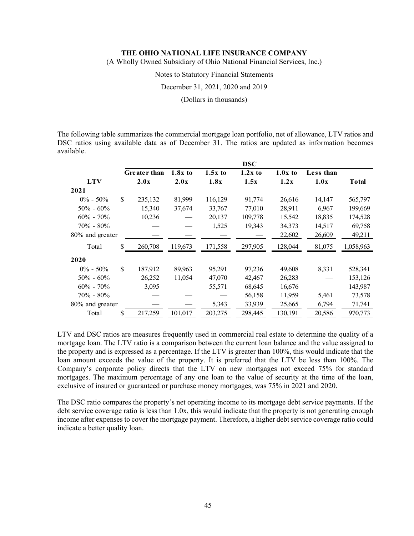(A Wholly Owned Subsidiary of Ohio National Financial Services, Inc.)

Notes to Statutory Financial Statements

December 31, 2021, 2020 and 2019

(Dollars in thousands)

The following table summarizes the commercial mortgage loan portfolio, net of allowance, LTV ratios and DSC ratios using available data as of December 31. The ratios are updated as information becomes available.

|                 |    |                     |           |           | <b>DSC</b> |           |           |              |
|-----------------|----|---------------------|-----------|-----------|------------|-----------|-----------|--------------|
|                 |    | <b>Greater than</b> | $1.8x$ to | $1.5x$ to | $1.2x$ to  | $1.0x$ to | Less than |              |
| <b>LTV</b>      |    | 2.0x                | 2.0x      | 1.8x      | 1.5x       | 1.2x      | 1.0x      | <b>Total</b> |
| 2021            |    |                     |           |           |            |           |           |              |
| $0\% - 50\%$    | S  | 235,132             | 81,999    | 116,129   | 91,774     | 26,616    | 14,147    | 565,797      |
| $50\% - 60\%$   |    | 15,340              | 37,674    | 33,767    | 77,010     | 28.911    | 6.967     | 199,669      |
| $60\% - 70\%$   |    | 10,236              |           | 20,137    | 109,778    | 15,542    | 18,835    | 174,528      |
| $70\% - 80\%$   |    |                     |           | 1,525     | 19,343     | 34,373    | 14,517    | 69,758       |
| 80% and greater |    |                     |           |           |            | 22,602    | 26,609    | 49,211       |
| Total           | \$ | 260,708             | 119,673   | 171,558   | 297,905    | 128,044   | 81,075    | 1,058,963    |
| 2020            |    |                     |           |           |            |           |           |              |
| $0\% - 50\%$    | S  | 187,912             | 89,963    | 95,291    | 97,236     | 49,608    | 8,331     | 528,341      |
| $50\% - 60\%$   |    | 26,252              | 11,054    | 47,070    | 42,467     | 26,283    |           | 153,126      |
| $60\% - 70\%$   |    | 3,095               |           | 55,571    | 68,645     | 16,676    |           | 143,987      |
| $70\% - 80\%$   |    |                     |           |           | 56,158     | 11,959    | 5,461     | 73,578       |
| 80% and greater |    |                     |           | 5,343     | 33,939     | 25,665    | 6,794     | 71,741       |
| Total           | \$ | 217,259             | 101,017   | 203,275   | 298,445    | 130,191   | 20,586    | 970,773      |

LTV and DSC ratios are measures frequently used in commercial real estate to determine the quality of a mortgage loan. The LTV ratio is a comparison between the current loan balance and the value assigned to the property and is expressed as a percentage. If the LTV is greater than 100%, this would indicate that the loan amount exceeds the value of the property. It is preferred that the LTV be less than 100%. The Company's corporate policy directs that the LTV on new mortgages not exceed 75% for standard mortgages. The maximum percentage of any one loan to the value of security at the time of the loan, exclusive of insured or guaranteed or purchase money mortgages, was 75% in 2021 and 2020.

The DSC ratio compares the property's net operating income to its mortgage debt service payments. If the debt service coverage ratio is less than 1.0x, this would indicate that the property is not generating enough income after expenses to cover the mortgage payment. Therefore, a higher debt service coverage ratio could indicate a better quality loan.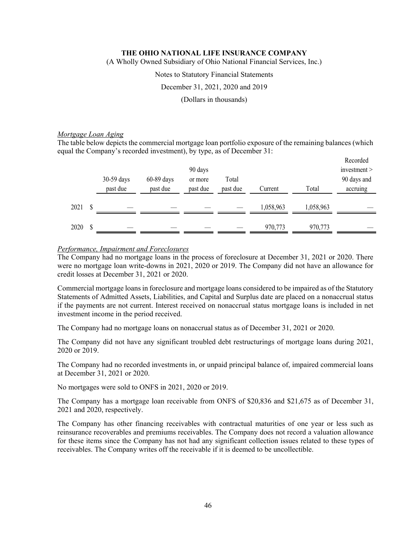(A Wholly Owned Subsidiary of Ohio National Financial Services, Inc.)

# Notes to Statutory Financial Statements

#### December 31, 2021, 2020 and 2019

### (Dollars in thousands)

# *Mortgage Loan Aging*

The table below depicts the commercial mortgage loan portfolio exposure of the remaining balances (which equal the Company's recorded investment), by type, as of December 31:

|      | 30-59 days<br>past due | $60-89$ days<br>past due | 90 days<br>or more<br>past due | Total<br>past due | Current   | Total     | Recorded<br>investment<br>90 days and<br>accruing |
|------|------------------------|--------------------------|--------------------------------|-------------------|-----------|-----------|---------------------------------------------------|
| 2021 |                        |                          |                                |                   | 1,058,963 | 1,058,963 |                                                   |
| 2020 |                        |                          |                                |                   | 970,773   | 970,773   |                                                   |

Recorded

# *Performance, Impairment and Foreclosures*

The Company had no mortgage loans in the process of foreclosure at December 31, 2021 or 2020. There were no mortgage loan write-downs in 2021, 2020 or 2019. The Company did not have an allowance for credit losses at December 31, 2021 or 2020.

Commercial mortgage loans in foreclosure and mortgage loans considered to be impaired as of the Statutory Statements of Admitted Assets, Liabilities, and Capital and Surplus date are placed on a nonaccrual status if the payments are not current. Interest received on nonaccrual status mortgage loans is included in net investment income in the period received.

The Company had no mortgage loans on nonaccrual status as of December 31, 2021 or 2020.

The Company did not have any significant troubled debt restructurings of mortgage loans during 2021, 2020 or 2019.

The Company had no recorded investments in, or unpaid principal balance of, impaired commercial loans at December 31, 2021 or 2020.

No mortgages were sold to ONFS in 2021, 2020 or 2019.

The Company has a mortgage loan receivable from ONFS of \$20,836 and \$21,675 as of December 31, 2021 and 2020, respectively.

The Company has other financing receivables with contractual maturities of one year or less such as reinsurance recoverables and premiums receivables. The Company does not record a valuation allowance for these items since the Company has not had any significant collection issues related to these types of receivables. The Company writes off the receivable if it is deemed to be uncollectible.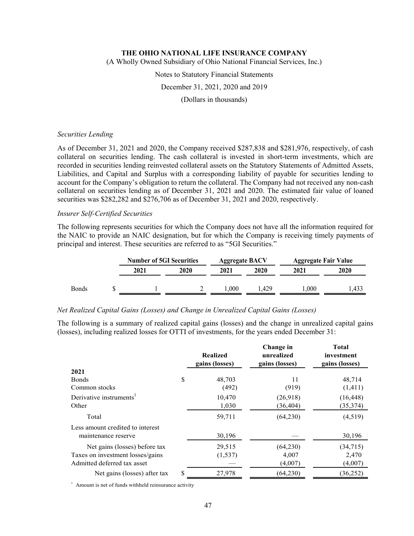(A Wholly Owned Subsidiary of Ohio National Financial Services, Inc.)

Notes to Statutory Financial Statements

December 31, 2021, 2020 and 2019

(Dollars in thousands)

#### *Securities Lending*

As of December 31, 2021 and 2020, the Company received \$287,838 and \$281,976, respectively, of cash collateral on securities lending. The cash collateral is invested in short-term investments, which are recorded in securities lending reinvested collateral assets on the Statutory Statements of Admitted Assets, Liabilities, and Capital and Surplus with a corresponding liability of payable for securities lending to account for the Company's obligation to return the collateral. The Company had not received any non-cash collateral on securities lending as of December 31, 2021 and 2020. The estimated fair value of loaned securities was \$282,282 and \$276,706 as of December 31, 2021 and 2020, respectively.

### *Insurer Self-Certified Securities*

The following represents securities for which the Company does not have all the information required for the NAIC to provide an NAIC designation, but for which the Company is receiving timely payments of principal and interest. These securities are referred to as "5GI Securities."

|       | <b>Number of 5GI Securities</b> |      | <b>Aggregate BACV</b> |      | <b>Aggregate Fair Value</b> |      |
|-------|---------------------------------|------|-----------------------|------|-----------------------------|------|
|       | 2021                            | 2020 | 2021                  | 2020 | 2021                        | 2020 |
| Bonds |                                 |      | .000.                 | .429 | .000                        | .433 |

### *Net Realized Capital Gains (Losses) and Change in Unrealized Capital Gains (Losses)*

The following is a summary of realized capital gains (losses) and the change in unrealized capital gains (losses), including realized losses for OTTI of investments, for the years ended December 31:

|                                     | <b>Realized</b><br>gains (losses) | Change in<br>unrealized<br>gains (losses) | <b>Total</b><br>investment<br>gains (losses) |
|-------------------------------------|-----------------------------------|-------------------------------------------|----------------------------------------------|
| 2021                                |                                   |                                           |                                              |
| <b>Bonds</b>                        | \$<br>48,703                      | 11                                        | 48,714                                       |
| Common stocks                       | (492)                             | (919)                                     | (1,411)                                      |
| Derivative instruments <sup>1</sup> | 10.470                            | (26,918)                                  | (16, 448)                                    |
| Other                               | 1,030                             | (36, 404)                                 | (35, 374)                                    |
| Total                               | 59,711                            | (64,230)                                  | (4,519)                                      |
| Less amount credited to interest    |                                   |                                           |                                              |
| maintenance reserve                 | 30,196                            |                                           | 30,196                                       |
| Net gains (losses) before tax       | 29,515                            | (64,230)                                  | (34,715)                                     |
| Taxes on investment losses/gains    | (1,537)                           | 4,007                                     | 2,470                                        |
| Admitted deferred tax asset         |                                   | (4,007)                                   | (4,007)                                      |
| Net gains (losses) after tax        | \$<br>27,978                      | (64,230)                                  | (36, 252)                                    |

<sup>1</sup> Amount is net of funds withheld reinsurance activity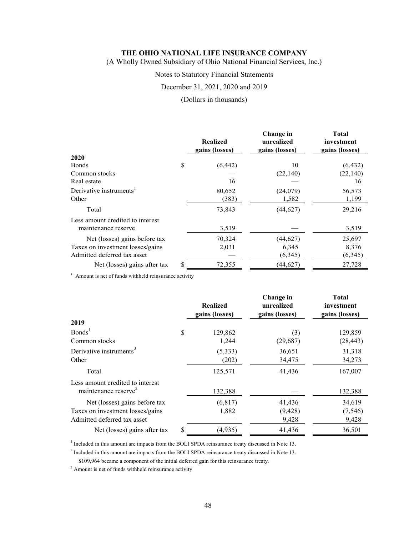(A Wholly Owned Subsidiary of Ohio National Financial Services, Inc.)

# Notes to Statutory Financial Statements

# December 31, 2021, 2020 and 2019

### (Dollars in thousands)

|                                     |                 | Change in      | <b>Total</b>   |
|-------------------------------------|-----------------|----------------|----------------|
|                                     | <b>Realized</b> | unrealized     | investment     |
|                                     | gains (losses)  | gains (losses) | gains (losses) |
| 2020                                |                 |                |                |
| <b>Bonds</b>                        | \$<br>(6, 442)  | 10             | (6, 432)       |
| Common stocks                       |                 | (22, 140)      | (22, 140)      |
| Real estate                         | 16              |                | 16             |
| Derivative instruments <sup>1</sup> | 80,652          | (24,079)       | 56,573         |
| Other                               | (383)           | 1,582          | 1,199          |
| Total                               | 73,843          | (44, 627)      | 29,216         |
| Less amount credited to interest    |                 |                |                |
| maintenance reserve                 | 3,519           |                | 3,519          |
| Net (losses) gains before tax       | 70,324          | (44,627)       | 25,697         |
| Taxes on investment losses/gains    | 2,031           | 6,345          | 8,376          |
| Admitted deferred tax asset         |                 | (6,345)        | (6,345)        |
| Net (losses) gains after tax        | \$<br>72,355    | (44, 627)      | 27,728         |

<sup>1</sup> Amount is net of funds withheld reinsurance activity

|                                                         | <b>Realized</b><br>gains (losses) | Change in<br>unrealized<br>gains (losses) | <b>Total</b><br>investment<br>gains (losses) |
|---------------------------------------------------------|-----------------------------------|-------------------------------------------|----------------------------------------------|
| 2019                                                    |                                   |                                           |                                              |
| Bonds <sup>1</sup>                                      | \$<br>129,862                     | (3)                                       | 129,859                                      |
| Common stocks                                           | 1,244                             | (29,687)                                  | (28, 443)                                    |
| Derivative instruments <sup>3</sup>                     | (5,333)                           | 36,651                                    | 31,318                                       |
| Other                                                   | (202)                             | 34,475                                    | 34,273                                       |
| Total                                                   | 125,571                           | 41,436                                    | 167,007                                      |
| Less amount credited to interest<br>maintenance reserve | 132,388                           |                                           | 132,388                                      |
| Net (losses) gains before tax                           | (6,817)                           | 41,436                                    | 34,619                                       |
| Taxes on investment losses/gains                        | 1,882                             | (9, 428)                                  | (7, 546)                                     |
| Admitted deferred tax asset                             |                                   | 9,428                                     | 9,428                                        |
| Net (losses) gains after tax                            | \$<br>(4,935)                     | 41,436                                    | 36,501                                       |

 $1$  Included in this amount are impacts from the BOLI SPDA reinsurance treaty discussed in Note 13.

 $2^{2}$  Included in this amount are impacts from the BOLI SPDA reinsurance treaty discussed in Note 13.

\$109,964 became a component of the initial deferred gain for this reinsurance treaty.

 $3$  Amount is net of funds withheld reinsurance activity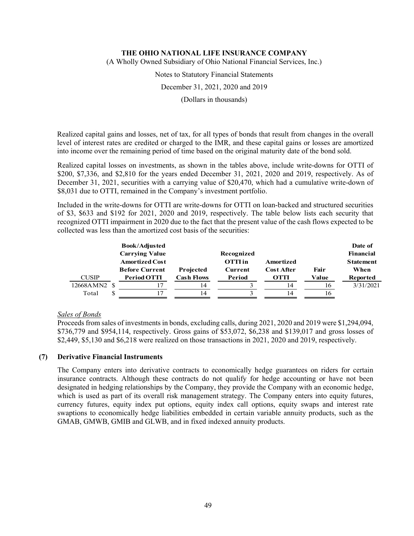(A Wholly Owned Subsidiary of Ohio National Financial Services, Inc.)

Notes to Statutory Financial Statements

December 31, 2021, 2020 and 2019

(Dollars in thousands)

Realized capital gains and losses, net of tax, for all types of bonds that result from changes in the overall level of interest rates are credited or charged to the IMR, and these capital gains or losses are amortized into income over the remaining period of time based on the original maturity date of the bond sold.

Realized capital losses on investments, as shown in the tables above, include write-downs for OTTI of \$200, \$7,336, and \$2,810 for the years ended December 31, 2021, 2020 and 2019, respectively. As of December 31, 2021, securities with a carrying value of \$20,470, which had a cumulative write-down of \$8,031 due to OTTI, remained in the Company's investment portfolio.

Included in the write-downs for OTTI are write-downs for OTTI on loan-backed and structured securities of \$3, \$633 and \$192 for 2021, 2020 and 2019, respectively. The table below lists each security that recognized OTTI impairment in 2020 due to the fact that the present value of the cash flows expected to be collected was less than the amortized cost basis of the securities:

|              |   | <b>Book/Adjusted</b><br><b>Carrying Value</b><br><b>Amortized Cost</b> |                   | Recognized<br><b>OTTI</b> in | Amortized         |       | Date of<br><b>Financial</b><br><b>Statement</b> |
|--------------|---|------------------------------------------------------------------------|-------------------|------------------------------|-------------------|-------|-------------------------------------------------|
|              |   | <b>Before Current</b>                                                  | Projected         | Current                      | <b>Cost After</b> | Fair  | When                                            |
| <b>CUSIP</b> |   | Period OTTI                                                            | <b>Cash Flows</b> | Period                       | OTTI              | Value | <b>Reported</b>                                 |
| 12668AMN2 \$ |   |                                                                        | 14                |                              | 14                | 16    | 3/31/2021                                       |
| Total        | ъ |                                                                        | 14                |                              | 14                | 16    |                                                 |

# *Sales of Bonds*

Proceeds from sales of investments in bonds, excluding calls, during 2021, 2020 and 2019 were \$1,294,094, \$736,779 and \$954,114, respectively. Gross gains of \$53,072, \$6,238 and \$139,017 and gross losses of \$2,449, \$5,130 and \$6,218 were realized on those transactions in 2021, 2020 and 2019, respectively.

# **(7) Derivative Financial Instruments**

The Company enters into derivative contracts to economically hedge guarantees on riders for certain insurance contracts. Although these contracts do not qualify for hedge accounting or have not been designated in hedging relationships by the Company, they provide the Company with an economic hedge, which is used as part of its overall risk management strategy. The Company enters into equity futures, currency futures, equity index put options, equity index call options, equity swaps and interest rate swaptions to economically hedge liabilities embedded in certain variable annuity products, such as the GMAB, GMWB, GMIB and GLWB, and in fixed indexed annuity products.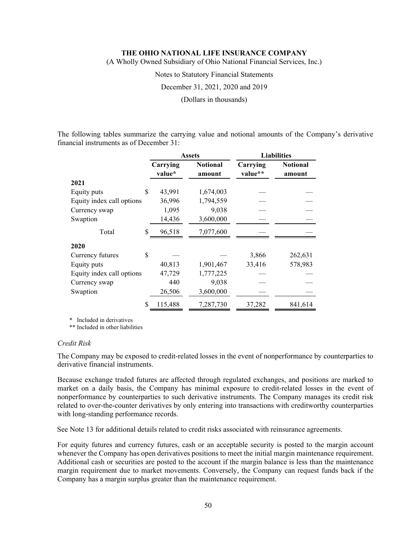(A Wholly Owned Subsidiary of Ohio National Financial Services, Inc.)

Notes to Statutory Financial Statements

December 31, 2021, 2020 and 2019

(Dollars in thousands)

The following tables summarize the carrying value and notional amounts of the Company's derivative financial instruments as of December 31:

|                           |                    | <b>Assets</b>             | <b>Liabilities</b>  |                           |  |  |
|---------------------------|--------------------|---------------------------|---------------------|---------------------------|--|--|
|                           | Carrying<br>value* | <b>Notional</b><br>amount | Carrying<br>value** | <b>Notional</b><br>amount |  |  |
| 2021                      |                    |                           |                     |                           |  |  |
| \$<br>Equity puts         | 43,991             | 1,674,003                 |                     |                           |  |  |
| Equity index call options | 36,996             | 1,794,559                 |                     |                           |  |  |
| Currency swap             | 1,095              | 9,038                     |                     |                           |  |  |
| Swaption                  | 14,436             | 3,600,000                 |                     |                           |  |  |
| Total<br>\$               | 96,518             | 7,077,600                 |                     |                           |  |  |
| 2020                      |                    |                           |                     |                           |  |  |
| \$<br>Currency futures    |                    |                           | 3,866               | 262,631                   |  |  |
| Equity puts               | 40,813             | 1,901,467                 | 33,416              | 578,983                   |  |  |
| Equity index call options | 47,729             | 1,777,225                 |                     |                           |  |  |
| Currency swap             | 440                | 9,038                     |                     |                           |  |  |
| Swaption                  | 26,506             | 3,600,000                 |                     |                           |  |  |
| S                         | 115,488            | 7,287,730                 | 37,282              | 841,614                   |  |  |

\* Included in derivatives

\*\* Included in other liabilities

#### *Credit Risk*

The Company may be exposed to credit-related losses in the event of nonperformance by counterparties to derivative financial instruments.

Because exchange traded futures are affected through regulated exchanges, and positions are marked to market on a daily basis, the Company has minimal exposure to credit-related losses in the event of nonperformance by counterparties to such derivative instruments. The Company manages its credit risk related to over-the-counter derivatives by only entering into transactions with creditworthy counterparties with long-standing performance records.

See Note 13 for additional details related to credit risks associated with reinsurance agreements.

For equity futures and currency futures, cash or an acceptable security is posted to the margin account whenever the Company has open derivatives positions to meet the initial margin maintenance requirement. Additional cash or securities are posted to the account if the margin balance is less than the maintenance margin requirement due to market movements. Conversely, the Company can request funds back if the Company has a margin surplus greater than the maintenance requirement.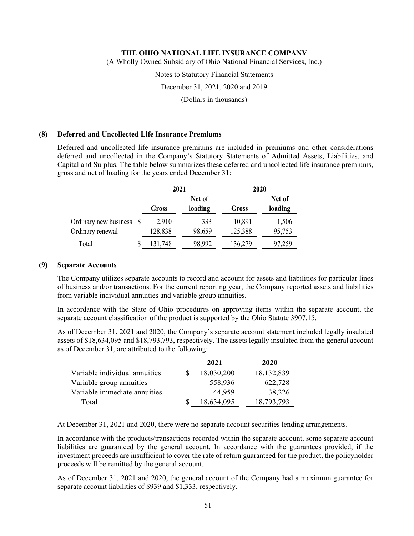(A Wholly Owned Subsidiary of Ohio National Financial Services, Inc.)

Notes to Statutory Financial Statements

December 31, 2021, 2020 and 2019

(Dollars in thousands)

# **(8) Deferred and Uncollected Life Insurance Premiums**

Deferred and uncollected life insurance premiums are included in premiums and other considerations deferred and uncollected in the Company's Statutory Statements of Admitted Assets, Liabilities, and Capital and Surplus. The table below summarizes these deferred and uncollected life insurance premiums, gross and net of loading for the years ended December 31:

|                          |   | 2021         |                   | 2020    |                   |  |  |
|--------------------------|---|--------------|-------------------|---------|-------------------|--|--|
|                          |   | <b>Gross</b> | Net of<br>loading | Gross   | Net of<br>loading |  |  |
| Ordinary new business \$ |   | 2,910        | 333               | 10,891  | 1,506             |  |  |
| Ordinary renewal         |   | 128,838      | 98,659            | 125,388 | 95,753            |  |  |
| Total                    | D | 131,748      | 98,992            | 136,279 | 97,259            |  |  |

## **(9) Separate Accounts**

The Company utilizes separate accounts to record and account for assets and liabilities for particular lines of business and/or transactions. For the current reporting year, the Company reported assets and liabilities from variable individual annuities and variable group annuities.

In accordance with the State of Ohio procedures on approving items within the separate account, the separate account classification of the product is supported by the Ohio Statute 3907.15.

As of December 31, 2021 and 2020, the Company's separate account statement included legally insulated assets of \$18,634,095 and \$18,793,793, respectively. The assets legally insulated from the general account as of December 31, are attributed to the following:

|                               | 2021       | 2020         |
|-------------------------------|------------|--------------|
| Variable individual annuities | 18,030,200 | 18, 132, 839 |
| Variable group annuities      | 558,936    | 622,728      |
| Variable immediate annuities  | 44,959     | 38,226       |
| Total                         | 18,634,095 | 18,793,793   |

At December 31, 2021 and 2020, there were no separate account securities lending arrangements.

In accordance with the products/transactions recorded within the separate account, some separate account liabilities are guaranteed by the general account. In accordance with the guarantees provided, if the investment proceeds are insufficient to cover the rate of return guaranteed for the product, the policyholder proceeds will be remitted by the general account.

As of December 31, 2021 and 2020, the general account of the Company had a maximum guarantee for separate account liabilities of \$939 and \$1,333, respectively.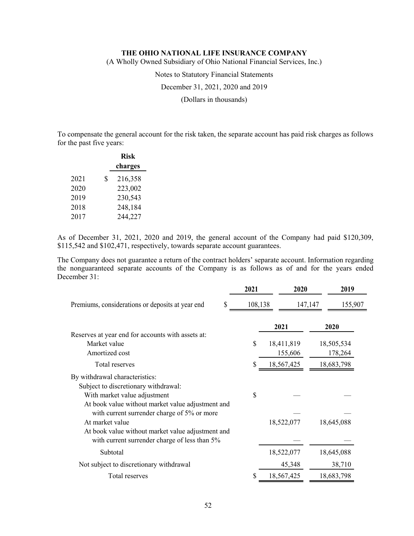(A Wholly Owned Subsidiary of Ohio National Financial Services, Inc.)

Notes to Statutory Financial Statements

December 31, 2021, 2020 and 2019

(Dollars in thousands)

To compensate the general account for the risk taken, the separate account has paid risk charges as follows for the past five years:

|      | <b>Risk</b>   |
|------|---------------|
|      | charges       |
| 2021 | \$<br>216,358 |
| 2020 | 223,002       |
| 2019 | 230,543       |
| 2018 | 248,184       |
| 2017 | 244,227       |

As of December 31, 2021, 2020 and 2019, the general account of the Company had paid \$120,309, \$115,542 and \$102,471, respectively, towards separate account guarantees.

The Company does not guarantee a return of the contract holders' separate account. Information regarding the nonguaranteed separate accounts of the Company is as follows as of and for the years ended December 31:

|                                                       | 2021    | 2020       | 2019               |
|-------------------------------------------------------|---------|------------|--------------------|
| Premiums, considerations or deposits at year end<br>S | 108,138 |            | 147,147<br>155,907 |
|                                                       |         | 2021       | <b>2020</b>        |
| Reserves at year end for accounts with assets at:     |         |            |                    |
| Market value                                          | \$      | 18,411,819 | 18,505,534         |
| Amortized cost                                        |         | 155,606    | 178,264            |
| Total reserves                                        | \$      | 18,567,425 | 18,683,798         |
| By withdrawal characteristics:                        |         |            |                    |
| Subject to discretionary withdrawal:                  |         |            |                    |
| With market value adjustment                          | \$      |            |                    |
| At book value without market value adjustment and     |         |            |                    |
| with current surrender charge of 5% or more           |         |            |                    |
| At market value                                       |         | 18,522,077 | 18,645,088         |
| At book value without market value adjustment and     |         |            |                    |
| with current surrender charge of less than 5%         |         |            |                    |
| Subtotal                                              |         | 18,522,077 | 18,645,088         |
| Not subject to discretionary withdrawal               |         | 45,348     | 38,710             |
| Total reserves                                        | \$      | 18,567,425 | 18,683,798         |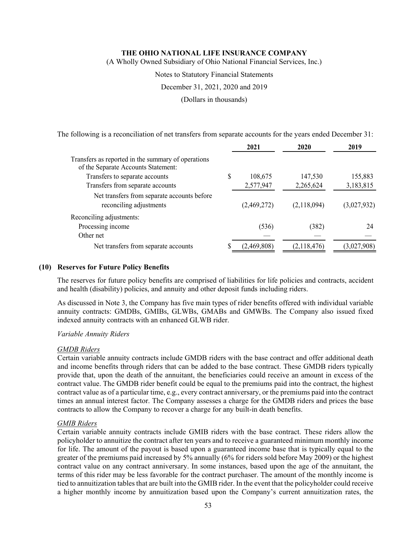(A Wholly Owned Subsidiary of Ohio National Financial Services, Inc.)

Notes to Statutory Financial Statements

December 31, 2021, 2020 and 2019

(Dollars in thousands)

The following is a reconciliation of net transfers from separate accounts for the years ended December 31:

|                                                                                           |   | 2021        | 2020        | 2019        |
|-------------------------------------------------------------------------------------------|---|-------------|-------------|-------------|
| Transfers as reported in the summary of operations<br>of the Separate Accounts Statement: |   |             |             |             |
| Transfers to separate accounts                                                            | S | 108,675     | 147,530     | 155,883     |
| Transfers from separate accounts                                                          |   | 2,577,947   | 2,265,624   | 3,183,815   |
| Net transfers from separate accounts before<br>reconciling adjustments                    |   | (2,469,272) | (2,118,094) | (3,027,932) |
| Reconciling adjustments:                                                                  |   |             |             |             |
| Processing income                                                                         |   | (536)       | (382)       | 24          |
| Other net                                                                                 |   |             |             |             |
| Net transfers from separate accounts                                                      |   | (2,469,808) | (2,118,476) | (3,027,908) |

### **(10) Reserves for Future Policy Benefits**

The reserves for future policy benefits are comprised of liabilities for life policies and contracts, accident and health (disability) policies, and annuity and other deposit funds including riders.

As discussed in Note 3, the Company has five main types of rider benefits offered with individual variable annuity contracts: GMDBs, GMIBs, GLWBs, GMABs and GMWBs. The Company also issued fixed indexed annuity contracts with an enhanced GLWB rider.

## *Variable Annuity Riders*

### *GMDB Riders*

Certain variable annuity contracts include GMDB riders with the base contract and offer additional death and income benefits through riders that can be added to the base contract. These GMDB riders typically provide that, upon the death of the annuitant, the beneficiaries could receive an amount in excess of the contract value. The GMDB rider benefit could be equal to the premiums paid into the contract, the highest contract value as of a particular time, e.g., every contract anniversary, or the premiums paid into the contract times an annual interest factor. The Company assesses a charge for the GMDB riders and prices the base contracts to allow the Company to recover a charge for any built-in death benefits.

### *GMIB Riders*

Certain variable annuity contracts include GMIB riders with the base contract. These riders allow the policyholder to annuitize the contract after ten years and to receive a guaranteed minimum monthly income for life. The amount of the payout is based upon a guaranteed income base that is typically equal to the greater of the premiums paid increased by 5% annually (6% for riders sold before May 2009) or the highest contract value on any contract anniversary. In some instances, based upon the age of the annuitant, the terms of this rider may be less favorable for the contract purchaser. The amount of the monthly income is tied to annuitization tables that are built into the GMIB rider. In the event that the policyholder could receive a higher monthly income by annuitization based upon the Company's current annuitization rates, the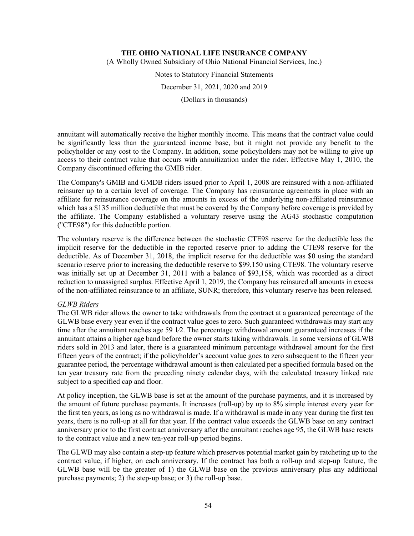(A Wholly Owned Subsidiary of Ohio National Financial Services, Inc.)

Notes to Statutory Financial Statements

December 31, 2021, 2020 and 2019

(Dollars in thousands)

annuitant will automatically receive the higher monthly income. This means that the contract value could be significantly less than the guaranteed income base, but it might not provide any benefit to the policyholder or any cost to the Company. In addition, some policyholders may not be willing to give up access to their contract value that occurs with annuitization under the rider. Effective May 1, 2010, the Company discontinued offering the GMIB rider.

The Company's GMIB and GMDB riders issued prior to April 1, 2008 are reinsured with a non-affiliated reinsurer up to a certain level of coverage. The Company has reinsurance agreements in place with an affiliate for reinsurance coverage on the amounts in excess of the underlying non-affiliated reinsurance which has a \$135 million deductible that must be covered by the Company before coverage is provided by the affiliate. The Company established a voluntary reserve using the AG43 stochastic computation ("CTE98") for this deductible portion.

The voluntary reserve is the difference between the stochastic CTE98 reserve for the deductible less the implicit reserve for the deductible in the reported reserve prior to adding the CTE98 reserve for the deductible. As of December 31, 2018, the implicit reserve for the deductible was \$0 using the standard scenario reserve prior to increasing the deductible reserve to \$99,150 using CTE98. The voluntary reserve was initially set up at December 31, 2011 with a balance of \$93,158, which was recorded as a direct reduction to unassigned surplus. Effective April 1, 2019, the Company has reinsured all amounts in excess of the non-affiliated reinsurance to an affiliate, SUNR; therefore, this voluntary reserve has been released.

# *GLWB Riders*

The GLWB rider allows the owner to take withdrawals from the contract at a guaranteed percentage of the GLWB base every year even if the contract value goes to zero. Such guaranteed withdrawals may start any time after the annuitant reaches age 59 1∕2. The percentage withdrawal amount guaranteed increases if the annuitant attains a higher age band before the owner starts taking withdrawals. In some versions of GLWB riders sold in 2013 and later, there is a guaranteed minimum percentage withdrawal amount for the first fifteen years of the contract; if the policyholder's account value goes to zero subsequent to the fifteen year guarantee period, the percentage withdrawal amount is then calculated per a specified formula based on the ten year treasury rate from the preceding ninety calendar days, with the calculated treasury linked rate subject to a specified cap and floor.

At policy inception, the GLWB base is set at the amount of the purchase payments, and it is increased by the amount of future purchase payments. It increases (roll-up) by up to 8% simple interest every year for the first ten years, as long as no withdrawal is made. If a withdrawal is made in any year during the first ten years, there is no roll-up at all for that year. If the contract value exceeds the GLWB base on any contract anniversary prior to the first contract anniversary after the annuitant reaches age 95, the GLWB base resets to the contract value and a new ten-year roll-up period begins.

The GLWB may also contain a step-up feature which preserves potential market gain by ratcheting up to the contract value, if higher, on each anniversary. If the contract has both a roll-up and step-up feature, the GLWB base will be the greater of 1) the GLWB base on the previous anniversary plus any additional purchase payments; 2) the step-up base; or 3) the roll-up base.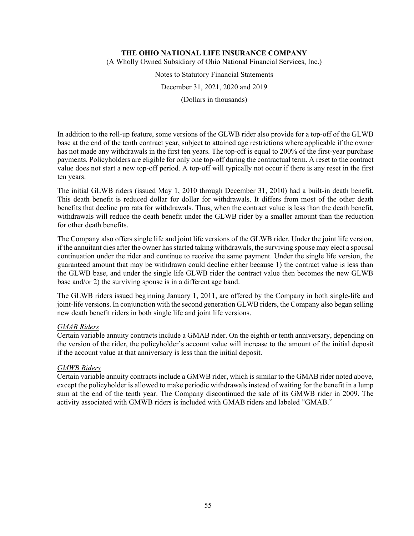(A Wholly Owned Subsidiary of Ohio National Financial Services, Inc.)

Notes to Statutory Financial Statements

December 31, 2021, 2020 and 2019

(Dollars in thousands)

In addition to the roll-up feature, some versions of the GLWB rider also provide for a top-off of the GLWB base at the end of the tenth contract year, subject to attained age restrictions where applicable if the owner has not made any withdrawals in the first ten years. The top-off is equal to 200% of the first-year purchase payments. Policyholders are eligible for only one top-off during the contractual term. A reset to the contract value does not start a new top-off period. A top-off will typically not occur if there is any reset in the first ten years.

The initial GLWB riders (issued May 1, 2010 through December 31, 2010) had a built-in death benefit. This death benefit is reduced dollar for dollar for withdrawals. It differs from most of the other death benefits that decline pro rata for withdrawals. Thus, when the contract value is less than the death benefit, withdrawals will reduce the death benefit under the GLWB rider by a smaller amount than the reduction for other death benefits.

The Company also offers single life and joint life versions of the GLWB rider. Under the joint life version, if the annuitant dies after the owner has started taking withdrawals, the surviving spouse may elect a spousal continuation under the rider and continue to receive the same payment. Under the single life version, the guaranteed amount that may be withdrawn could decline either because 1) the contract value is less than the GLWB base, and under the single life GLWB rider the contract value then becomes the new GLWB base and/or 2) the surviving spouse is in a different age band.

The GLWB riders issued beginning January 1, 2011, are offered by the Company in both single-life and joint-life versions. In conjunction with the second generation GLWB riders, the Company also began selling new death benefit riders in both single life and joint life versions.

### *GMAB Riders*

Certain variable annuity contracts include a GMAB rider. On the eighth or tenth anniversary, depending on the version of the rider, the policyholder's account value will increase to the amount of the initial deposit if the account value at that anniversary is less than the initial deposit.

# *GMWB Riders*

Certain variable annuity contracts include a GMWB rider, which is similar to the GMAB rider noted above, except the policyholder is allowed to make periodic withdrawals instead of waiting for the benefit in a lump sum at the end of the tenth year. The Company discontinued the sale of its GMWB rider in 2009. The activity associated with GMWB riders is included with GMAB riders and labeled "GMAB."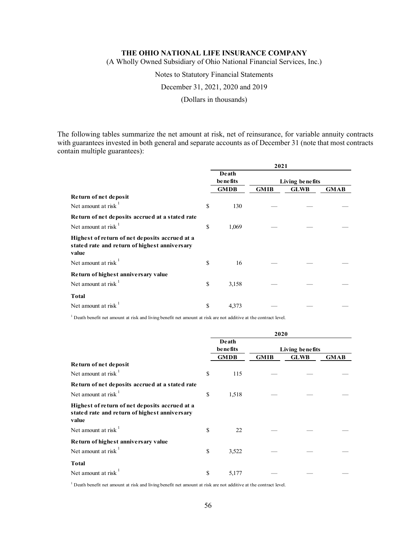(A Wholly Owned Subsidiary of Ohio National Financial Services, Inc.)

Notes to Statutory Financial Statements

December 31, 2021, 2020 and 2019

(Dollars in thousands)

The following tables summarize the net amount at risk, net of reinsurance, for variable annuity contracts with guarantees invested in both general and separate accounts as of December 31 (note that most contracts contain multiple guarantees):

|                                                                                                          | 2021 |                     |             |                 |             |
|----------------------------------------------------------------------------------------------------------|------|---------------------|-------------|-----------------|-------------|
|                                                                                                          |      | Death<br>be ne fits |             | Living benefits |             |
|                                                                                                          |      | <b>GMDB</b>         | <b>GMIB</b> | <b>GLWB</b>     | <b>GMAB</b> |
| Return of net deposit                                                                                    |      |                     |             |                 |             |
| Net amount at risk <sup>1</sup>                                                                          | S    | 130                 |             |                 |             |
| Return of net deposits accrued at a stated rate                                                          |      |                     |             |                 |             |
| Net amount at risk                                                                                       | \$   | 1,069               |             |                 |             |
| Highest of return of net deposits accrued at a<br>stated rate and return of highest anniversary<br>value |      |                     |             |                 |             |
| Net amount at risk                                                                                       | \$   | 16                  |             |                 |             |
| Return of highest anniversary value<br>Net amount at risk $1$                                            | \$   | 3,158               |             |                 |             |
| <b>Total</b><br>Net amount at risk                                                                       | \$   | 4,373               |             |                 |             |

<sup>1</sup> Death benefit net amount at risk and living benefit net amount at risk are not additive at the contract level.

|                                                                                                          | 2020              |             |                 |             |
|----------------------------------------------------------------------------------------------------------|-------------------|-------------|-----------------|-------------|
|                                                                                                          | Death<br>benefits |             | Living benefits |             |
|                                                                                                          | <b>GMDB</b>       | <b>GMIB</b> | <b>GLWB</b>     | <b>GMAB</b> |
| Return of net deposit                                                                                    |                   |             |                 |             |
| Net amount at risk $1$                                                                                   | \$<br>115         |             |                 |             |
| Return of net deposits accrued at a stated rate                                                          |                   |             |                 |             |
| Net amount at risk $1$                                                                                   | \$<br>1,518       |             |                 |             |
| Highest of return of net deposits accrued at a<br>stated rate and return of highest anniversary<br>value |                   |             |                 |             |
| Net amount at risk $1$                                                                                   | \$<br>22          |             |                 |             |
| Return of highest anniversary value<br>Net amount at risk <sup>1</sup>                                   | \$<br>3,522       |             |                 |             |
| <b>Total</b><br>Net amount at risk                                                                       | \$<br>5,177       |             |                 |             |

<sup>1</sup> Death benefit net amount at risk and living benefit net amount at risk are not additive at the contract level.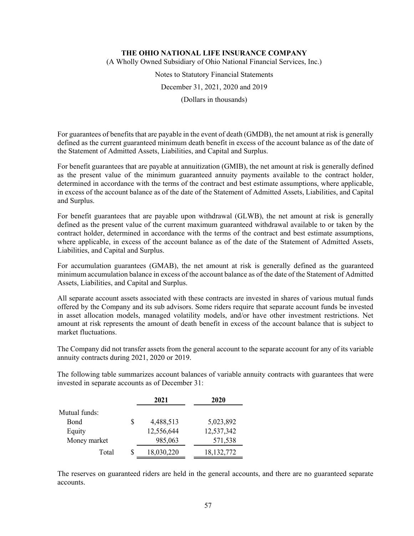(A Wholly Owned Subsidiary of Ohio National Financial Services, Inc.)

Notes to Statutory Financial Statements

December 31, 2021, 2020 and 2019

(Dollars in thousands)

For guarantees of benefits that are payable in the event of death (GMDB), the net amount at risk is generally defined as the current guaranteed minimum death benefit in excess of the account balance as of the date of the Statement of Admitted Assets, Liabilities, and Capital and Surplus.

For benefit guarantees that are payable at annuitization (GMIB), the net amount at risk is generally defined as the present value of the minimum guaranteed annuity payments available to the contract holder, determined in accordance with the terms of the contract and best estimate assumptions, where applicable, in excess of the account balance as of the date of the Statement of Admitted Assets, Liabilities, and Capital and Surplus.

For benefit guarantees that are payable upon withdrawal (GLWB), the net amount at risk is generally defined as the present value of the current maximum guaranteed withdrawal available to or taken by the contract holder, determined in accordance with the terms of the contract and best estimate assumptions, where applicable, in excess of the account balance as of the date of the Statement of Admitted Assets, Liabilities, and Capital and Surplus.

For accumulation guarantees (GMAB), the net amount at risk is generally defined as the guaranteed minimum accumulation balance in excess of the account balance as of the date of the Statement of Admitted Assets, Liabilities, and Capital and Surplus.

All separate account assets associated with these contracts are invested in shares of various mutual funds offered by the Company and its sub advisors. Some riders require that separate account funds be invested in asset allocation models, managed volatility models, and/or have other investment restrictions. Net amount at risk represents the amount of death benefit in excess of the account balance that is subject to market fluctuations.

The Company did not transfer assets from the general account to the separate account for any of its variable annuity contracts during 2021, 2020 or 2019.

The following table summarizes account balances of variable annuity contracts with guarantees that were invested in separate accounts as of December 31:

|               |   | 2021       | 2020       |
|---------------|---|------------|------------|
| Mutual funds: |   |            |            |
| Bond          | S | 4,488,513  | 5,023,892  |
| Equity        |   | 12,556,644 | 12,537,342 |
| Money market  |   | 985,063    | 571,538    |
| Total         | S | 18,030,220 | 18,132,772 |

The reserves on guaranteed riders are held in the general accounts, and there are no guaranteed separate accounts.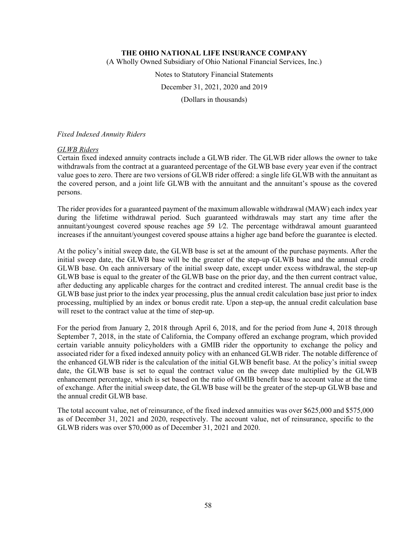(A Wholly Owned Subsidiary of Ohio National Financial Services, Inc.)

Notes to Statutory Financial Statements

December 31, 2021, 2020 and 2019

(Dollars in thousands)

# *Fixed Indexed Annuity Riders*

# *GLWB Riders*

Certain fixed indexed annuity contracts include a GLWB rider. The GLWB rider allows the owner to take withdrawals from the contract at a guaranteed percentage of the GLWB base every year even if the contract value goes to zero. There are two versions of GLWB rider offered: a single life GLWB with the annuitant as the covered person, and a joint life GLWB with the annuitant and the annuitant's spouse as the covered persons.

The rider provides for a guaranteed payment of the maximum allowable withdrawal (MAW) each index year during the lifetime withdrawal period. Such guaranteed withdrawals may start any time after the annuitant/youngest covered spouse reaches age 59 1∕2. The percentage withdrawal amount guaranteed increases if the annuitant/youngest covered spouse attains a higher age band before the guarantee is elected.

At the policy's initial sweep date, the GLWB base is set at the amount of the purchase payments. After the initial sweep date, the GLWB base will be the greater of the step-up GLWB base and the annual credit GLWB base. On each anniversary of the initial sweep date, except under excess withdrawal, the step-up GLWB base is equal to the greater of the GLWB base on the prior day, and the then current contract value, after deducting any applicable charges for the contract and credited interest. The annual credit base is the GLWB base just prior to the index year processing, plus the annual credit calculation base just prior to index processing, multiplied by an index or bonus credit rate. Upon a step-up, the annual credit calculation base will reset to the contract value at the time of step-up.

For the period from January 2, 2018 through April 6, 2018, and for the period from June 4, 2018 through September 7, 2018, in the state of California, the Company offered an exchange program, which provided certain variable annuity policyholders with a GMIB rider the opportunity to exchange the policy and associated rider for a fixed indexed annuity policy with an enhanced GLWB rider. The notable difference of the enhanced GLWB rider is the calculation of the initial GLWB benefit base. At the policy's initial sweep date, the GLWB base is set to equal the contract value on the sweep date multiplied by the GLWB enhancement percentage, which is set based on the ratio of GMIB benefit base to account value at the time of exchange. After the initial sweep date, the GLWB base will be the greater of the step-up GLWB base and the annual credit GLWB base.

The total account value, net of reinsurance, of the fixed indexed annuities was over \$625,000 and \$575,000 as of December 31, 2021 and 2020, respectively. The account value, net of reinsurance, specific to the GLWB riders was over \$70,000 as of December 31, 2021 and 2020.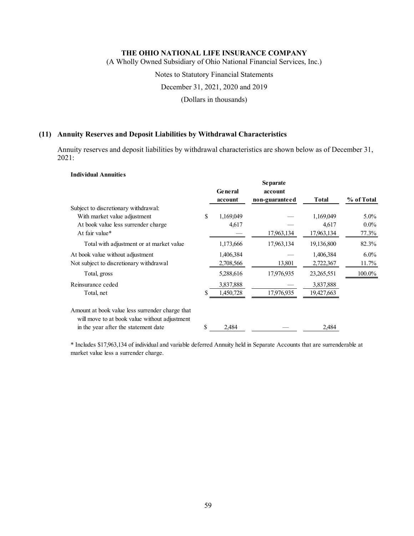(A Wholly Owned Subsidiary of Ohio National Financial Services, Inc.)

Notes to Statutory Financial Statements

December 31, 2021, 2020 and 2019

(Dollars in thousands)

## **(11) Annuity Reserves and Deposit Liabilities by Withdrawal Characteristics**

Annuity reserves and deposit liabilities by withdrawal characteristics are shown below as of December 31, 2021:

#### **Individual Annuities**

|                                                                                                  |                 | <b>Separate</b> |            |            |
|--------------------------------------------------------------------------------------------------|-----------------|-----------------|------------|------------|
|                                                                                                  | General         | account         |            |            |
|                                                                                                  | account         | non-guaranteed  | Total      | % of Total |
| Subject to discretionary withdrawal:                                                             |                 |                 |            |            |
| With market value adjustment                                                                     | \$<br>1,169,049 |                 | 1,169,049  | $5.0\%$    |
| At book value less surrender charge                                                              | 4,617           |                 | 4,617      | $0.0\%$    |
| At fair value*                                                                                   |                 | 17,963,134      | 17,963,134 | 77.3%      |
| Total with adjustment or at market value                                                         | 1,173,666       | 17,963,134      | 19,136,800 | 82.3%      |
| At book value without adjustment                                                                 | 1,406,384       |                 | 1,406,384  | $6.0\%$    |
| Not subject to discretionary withdrawal                                                          | 2,708,566       | 13,801          | 2,722,367  | 11.7%      |
| Total, gross                                                                                     | 5,288,616       | 17,976,935      | 23,265,551 | 100.0%     |
| Reinsurance ceded                                                                                | 3,837,888       |                 | 3,837,888  |            |
| Total, net                                                                                       | 1,450,728       | 17,976,935      | 19,427,663 |            |
| Amount at book value less surrender charge that<br>will move to at book value without adjustment |                 |                 |            |            |
| in the year after the statement date                                                             | \$<br>2,484     |                 | 2,484      |            |

\* Includes \$17,963,134 of individual and variable deferred Annuity held in Separate Accounts that are surrenderable at market value less a surrender charge.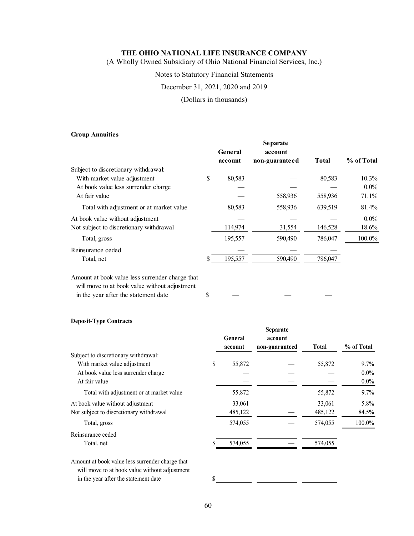(A Wholly Owned Subsidiary of Ohio National Financial Services, Inc.)

# Notes to Statutory Financial Statements

### December 31, 2021, 2020 and 2019

# (Dollars in thousands)

#### **Group Annuities**

|                                          | General      | account        |              |            |
|------------------------------------------|--------------|----------------|--------------|------------|
|                                          | account      | non-guaranteed | <b>Total</b> | % of Total |
| Subject to discretionary withdrawal:     |              |                |              |            |
| With market value adjustment             | \$<br>80,583 |                | 80,583       | $10.3\%$   |
| At book value less surrender charge      |              |                |              | $0.0\%$    |
| At fair value                            |              | 558,936        | 558,936      | 71.1%      |
| Total with adjustment or at market value | 80,583       | 558,936        | 639,519      | 81.4%      |
| At book value without adjustment         |              |                |              | $0.0\%$    |
| Not subject to discretionary withdrawal  | 114,974      | 31,554         | 146,528      | 18.6%      |
| Total, gross                             | 195,557      | 590,490        | 786,047      | 100.0%     |
| Reinsurance ceded                        |              |                |              |            |
| Total, net                               | 195,557      | 590,490        | 786,047      |            |
|                                          |              |                |              |            |

Amount at book value less surrender charge that will move to at book value without adjustment in the year after the statement date  $\$\$ 

**Separate**

**Separate**

#### **Deposit-Type Contracts**

|                                          |   | General<br>account | account<br>non-guaranteed | <b>Total</b> | % of Total |
|------------------------------------------|---|--------------------|---------------------------|--------------|------------|
| Subject to discretionary withdrawal:     |   |                    |                           |              |            |
| With market value adjustment             | S | 55,872             |                           | 55,872       | $9.7\%$    |
| At book value less surrender charge      |   |                    |                           |              | $0.0\%$    |
| At fair value                            |   |                    |                           |              | $0.0\%$    |
| Total with adjustment or at market value |   | 55,872             |                           | 55,872       | $9.7\%$    |
| At book value without adjustment         |   | 33,061             |                           | 33,061       | 5.8%       |
| Not subject to discretionary withdrawal  |   | 485,122            |                           | 485,122      | 84.5%      |
| Total, gross                             |   | 574,055            |                           | 574,055      | 100.0%     |
| Reinsurance ceded                        |   |                    |                           |              |            |
| Total, net                               |   | 574,055            |                           | 574,055      |            |
|                                          |   |                    |                           |              |            |

Amount at book value less surrender charge that will move to at book value without adjustment in the year after the statement date  $\frac{1}{2}$   $\frac{1}{2}$   $\frac{1}{2}$   $\frac{1}{2}$   $\frac{1}{2}$   $\frac{1}{2}$   $\frac{1}{2}$   $\frac{1}{2}$   $\frac{1}{2}$   $\frac{1}{2}$   $\frac{1}{2}$   $\frac{1}{2}$   $\frac{1}{2}$   $\frac{1}{2}$   $\frac{1}{2}$   $\frac{1}{2}$   $\frac{1}{2}$   $\frac{1}{2}$   $\frac{$ 

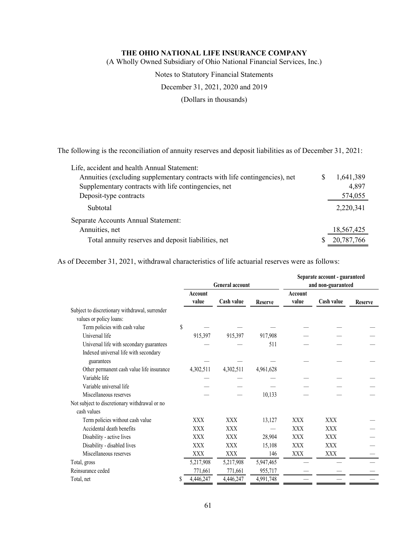(A Wholly Owned Subsidiary of Ohio National Financial Services, Inc.)

Notes to Statutory Financial Statements

December 31, 2021, 2020 and 2019

(Dollars in thousands)

The following is the reconciliation of annuity reserves and deposit liabilities as of December 31, 2021:

| Life, accident and health Annual Statement:                                |   |            |
|----------------------------------------------------------------------------|---|------------|
| Annuities (excluding supplementary contracts with life contingencies), net | S | 1,641,389  |
| Supplementary contracts with life contingencies, net                       |   | 4,897      |
| Deposit-type contracts                                                     |   | 574,055    |
| Subtotal                                                                   |   | 2,220,341  |
| Separate Accounts Annual Statement:                                        |   |            |
| Annuities, net                                                             |   | 18,567,425 |
| Total annuity reserves and deposit liabilities, net                        |   | 20,787,766 |

As of December 31, 2021, withdrawal characteristics of life actuarial reserves were as follows:

|                                                |                |                        |                |                    | Separate account - guaranteed |                |  |
|------------------------------------------------|----------------|------------------------|----------------|--------------------|-------------------------------|----------------|--|
|                                                |                | <b>General account</b> |                | and non-guaranteed |                               |                |  |
|                                                | <b>Account</b> |                        |                | <b>Account</b>     |                               |                |  |
|                                                | value          | Cash value             | <b>Reserve</b> | value              | Cash value                    | <b>Reserve</b> |  |
| Subject to discretionary withdrawal, surrender |                |                        |                |                    |                               |                |  |
| values or policy loans:                        |                |                        |                |                    |                               |                |  |
| Term policies with cash value                  | \$             |                        |                |                    |                               |                |  |
| Universal life                                 | 915,397        | 915,397                | 917,908        |                    |                               |                |  |
| Universal life with secondary guarantees       |                |                        | 511            |                    |                               |                |  |
| Indexed universal life with secondary          |                |                        |                |                    |                               |                |  |
| guarantees                                     |                |                        |                |                    |                               |                |  |
| Other permanent cash value life insurance      | 4,302,511      | 4,302,511              | 4,961,628      |                    |                               |                |  |
| Variable life                                  |                |                        |                |                    |                               |                |  |
| Variable universal life                        |                |                        |                |                    |                               |                |  |
| Miscellaneous reserves                         |                |                        | 10,133         |                    |                               |                |  |
| Not subject to discretionary withdrawal or no  |                |                        |                |                    |                               |                |  |
| cash values                                    |                |                        |                |                    |                               |                |  |
| Term policies without cash value               | <b>XXX</b>     | <b>XXX</b>             | 13,127         | <b>XXX</b>         | <b>XXX</b>                    |                |  |
| Accidental death benefits                      | XXX            | XXX                    |                | <b>XXX</b>         | <b>XXX</b>                    |                |  |
| Disability - active lives                      | <b>XXX</b>     | <b>XXX</b>             | 28,904         | <b>XXX</b>         | <b>XXX</b>                    |                |  |
| Disability - disabled lives                    | XXX            | XXX                    | 15,108         | XXX                | XXX                           |                |  |
| Miscellaneous reserves                         | XXX            | <b>XXX</b>             | 146            | XXX                | XXX                           |                |  |
| Total, gross                                   | 5,217,908      | 5,217,908              | 5,947,465      |                    |                               |                |  |
| Reinsurance ceded                              | 771,661        | 771,661                | 955,717        |                    |                               |                |  |
| Total, net                                     | 4,446,247      | 4,446,247              | 4,991,748      |                    |                               |                |  |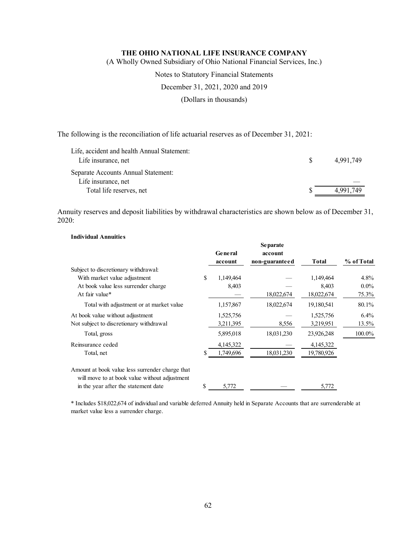(A Wholly Owned Subsidiary of Ohio National Financial Services, Inc.)

Notes to Statutory Financial Statements

December 31, 2021, 2020 and 2019

(Dollars in thousands)

The following is the reconciliation of life actuarial reserves as of December 31, 2021:

| 4.991.749 |
|-----------|
|           |
|           |
| 4,991,749 |
|           |

Annuity reserves and deposit liabilities by withdrawal characteristics are shown below as of December 31, 2020:

#### **Individual Annuities**

|                                                                                                                                          |    | General<br>account | <b>Separate</b><br>account<br>non-guarante e d | <b>Total</b> | % of Total |
|------------------------------------------------------------------------------------------------------------------------------------------|----|--------------------|------------------------------------------------|--------------|------------|
| Subject to discretionary withdrawal:                                                                                                     |    |                    |                                                |              |            |
| With market value adjustment                                                                                                             | S  | 1,149,464          |                                                | 1,149,464    | $4.8\%$    |
| At book value less surrender charge                                                                                                      |    | 8,403              |                                                | 8.403        | $0.0\%$    |
| At fair value*                                                                                                                           |    |                    | 18,022,674                                     | 18,022,674   | 75.3%      |
| Total with adjustment or at market value                                                                                                 |    | 1,157,867          | 18,022,674                                     | 19,180,541   | 80.1%      |
| At book value without adjustment                                                                                                         |    | 1,525,756          |                                                | 1,525,756    | $6.4\%$    |
| Not subject to discretionary withdrawal                                                                                                  |    | 3,211,395          | 8.556                                          | 3,219,951    | 13.5%      |
| Total, gross                                                                                                                             |    | 5,895,018          | 18,031,230                                     | 23,926,248   | 100.0%     |
| Reinsurance ceded                                                                                                                        |    | 4,145,322          |                                                | 4,145,322    |            |
| Total, net                                                                                                                               |    | 1,749,696          | 18,031,230                                     | 19,780,926   |            |
| Amount at book value less surrender charge that<br>will move to at book value without adjustment<br>in the year after the statement date | \$ | 5,772              |                                                | 5,772        |            |

\* Includes \$18,022,674 of individual and variable deferred Annuity held in Separate Accounts that are surrenderable at market value less a surrender charge.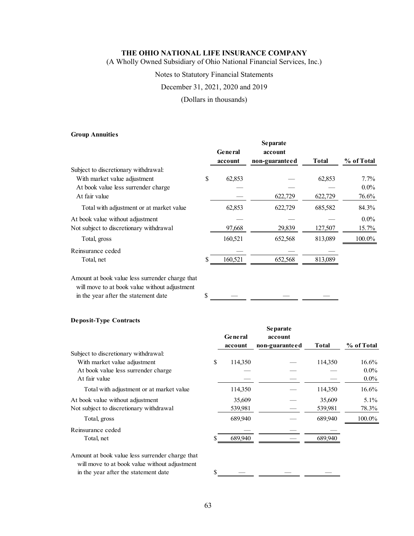(A Wholly Owned Subsidiary of Ohio National Financial Services, Inc.)

# Notes to Statutory Financial Statements

# December 31, 2021, 2020 and 2019

## (Dollars in thousands)

#### **Group Annuities**

|                                          | General<br>account | account<br>non-guaranteed | <b>Total</b> | % of Total |
|------------------------------------------|--------------------|---------------------------|--------------|------------|
| Subject to discretionary withdrawal:     |                    |                           |              |            |
| With market value adjustment             | \$<br>62,853       |                           | 62,853       | $7.7\%$    |
| At book value less surrender charge      |                    |                           |              | $0.0\%$    |
| At fair value                            |                    | 622,729                   | 622,729      | 76.6%      |
| Total with adjustment or at market value | 62,853             | 622,729                   | 685,582      | 84.3%      |
| At book value without adjustment         |                    |                           |              | $0.0\%$    |
| Not subject to discretionary withdrawal  | 97,668             | 29,839                    | 127,507      | 15.7%      |
| Total, gross                             | 160,521            | 652,568                   | 813,089      | 100.0%     |
| Reinsurance ceded                        |                    |                           |              |            |
| Total, net                               | 160,521            | 652,568                   | 813,089      |            |

Amount at book value less surrender charge that will move to at book value without adjustment in the year after the statement date  $\$\$ 

**Separate**

#### **Deposit-Type Contracts**

|                                          |                    | <b>Separate</b>           |              |            |
|------------------------------------------|--------------------|---------------------------|--------------|------------|
|                                          | General<br>account | account<br>non-guaranteed | <b>Total</b> | % of Total |
| Subject to discretionary withdrawal:     |                    |                           |              |            |
| With market value adjustment             | \$<br>114,350      |                           | 114,350      | 16.6%      |
| At book value less surrender charge      |                    |                           |              | $0.0\%$    |
| At fair value                            |                    |                           |              | $0.0\%$    |
| Total with adjustment or at market value | 114,350            |                           | 114,350      | 16.6%      |
| At book value without adjustment         | 35,609             |                           | 35,609       | $5.1\%$    |
| Not subject to discretionary withdrawal  | 539,981            |                           | 539,981      | 78.3%      |
| Total, gross                             | 689,940            |                           | 689,940      | 100.0%     |
| Reinsurance ceded                        |                    |                           |              |            |
| Total, net                               | 689,940            |                           | 689,940      |            |
|                                          |                    |                           |              |            |

Amount at book value less surrender charge that will move to at book value without adjustment in the year after the statement date  $\frac{\sqrt{2}}{2}$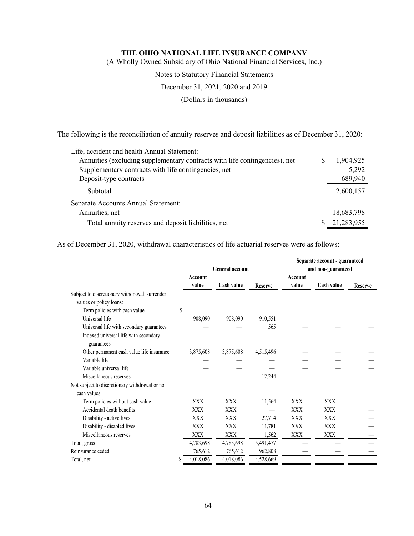(A Wholly Owned Subsidiary of Ohio National Financial Services, Inc.)

Notes to Statutory Financial Statements

December 31, 2021, 2020 and 2019

(Dollars in thousands)

The following is the reconciliation of annuity reserves and deposit liabilities as of December 31, 2020:

| Life, accident and health Annual Statement:                                |   |            |
|----------------------------------------------------------------------------|---|------------|
| Annuities (excluding supplementary contracts with life contingencies), net | S | 1,904,925  |
| Supplementary contracts with life contingencies, net                       |   | 5,292      |
| Deposit-type contracts                                                     |   | 689,940    |
| Subtotal                                                                   |   | 2,600,157  |
| Separate Accounts Annual Statement:                                        |   |            |
| Annuities, net                                                             |   | 18,683,798 |
| Total annuity reserves and deposit liabilities, net                        |   | 21,283,955 |

As of December 31, 2020, withdrawal characteristics of life actuarial reserves were as follows:

|                                                |            |                        |                |                    | Separate account - guaranteed |                |  |
|------------------------------------------------|------------|------------------------|----------------|--------------------|-------------------------------|----------------|--|
|                                                |            | <b>General account</b> |                | and non-guaranteed |                               |                |  |
|                                                | Account    |                        |                | Account            |                               |                |  |
|                                                | value      | Cash value             | <b>Reserve</b> | value              | Cash value                    | <b>Reserve</b> |  |
| Subject to discretionary withdrawal, surrender |            |                        |                |                    |                               |                |  |
| values or policy loans:                        |            |                        |                |                    |                               |                |  |
| Term policies with cash value                  | \$         |                        |                |                    |                               |                |  |
| Universal life                                 | 908,090    | 908,090                | 910,551        |                    |                               |                |  |
| Universal life with secondary guarantees       |            |                        | 565            |                    |                               |                |  |
| Indexed universal life with secondary          |            |                        |                |                    |                               |                |  |
| guarantees                                     |            |                        |                |                    |                               |                |  |
| Other permanent cash value life insurance      | 3,875,608  | 3,875,608              | 4,515,496      |                    |                               |                |  |
| Variable life                                  |            |                        |                |                    |                               |                |  |
| Variable universal life                        |            |                        |                |                    |                               |                |  |
| Miscellaneous reserves                         |            |                        | 12,244         |                    |                               |                |  |
| Not subject to discretionary withdrawal or no  |            |                        |                |                    |                               |                |  |
| cash values                                    |            |                        |                |                    |                               |                |  |
| Term policies without cash value               | <b>XXX</b> | <b>XXX</b>             | 11,564         | <b>XXX</b>         | <b>XXX</b>                    |                |  |
| Accidental death benefits                      | <b>XXX</b> | <b>XXX</b>             |                | <b>XXX</b>         | <b>XXX</b>                    |                |  |
| Disability - active lives                      | <b>XXX</b> | <b>XXX</b>             | 27,714         | XXX                | <b>XXX</b>                    |                |  |
| Disability - disabled lives                    | <b>XXX</b> | <b>XXX</b>             | 11,781         | <b>XXX</b>         | <b>XXX</b>                    |                |  |
| Miscellaneous reserves                         | <b>XXX</b> | <b>XXX</b>             | 1,562          | XXX                | XXX                           |                |  |
| Total, gross                                   | 4,783,698  | 4,783,698              | 5,491,477      |                    |                               |                |  |
| Reinsurance ceded                              | 765,612    | 765,612                | 962,808        |                    |                               |                |  |
| Total, net                                     | 4,018,086  | 4,018,086              | 4,528,669      |                    |                               |                |  |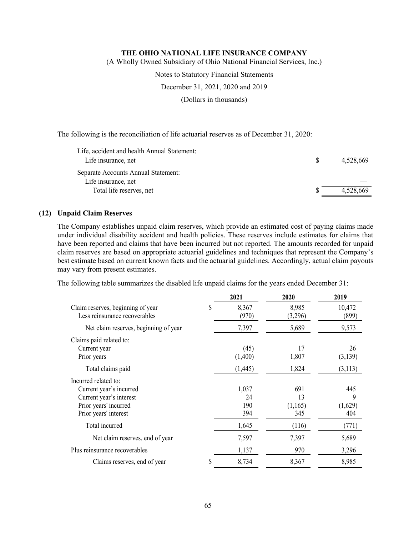(A Wholly Owned Subsidiary of Ohio National Financial Services, Inc.)

Notes to Statutory Financial Statements

December 31, 2021, 2020 and 2019

(Dollars in thousands)

The following is the reconciliation of life actuarial reserves as of December 31, 2020:

| Life, accident and health Annual Statement: |           |
|---------------------------------------------|-----------|
| Life insurance, net                         | 4,528,669 |
| Separate Accounts Annual Statement:         |           |
| Life insurance, net                         |           |
| Total life reserves, net                    | 4,528,669 |
|                                             |           |

### **(12) Unpaid Claim Reserves**

The Company establishes unpaid claim reserves, which provide an estimated cost of paying claims made under individual disability accident and health policies. These reserves include estimates for claims that have been reported and claims that have been incurred but not reported. The amounts recorded for unpaid claim reserves are based on appropriate actuarial guidelines and techniques that represent the Company's best estimate based on current known facts and the actuarial guidelines. Accordingly, actual claim payouts may vary from present estimates.

The following table summarizes the disabled life unpaid claims for the years ended December 31:

|                                                                                                                              | 2021 |                           | 2020                        | 2019                       |
|------------------------------------------------------------------------------------------------------------------------------|------|---------------------------|-----------------------------|----------------------------|
| Claim reserves, beginning of year<br>Less reinsurance recoverables                                                           | \$   | 8,367<br>(970)            | 8,985<br>(3,296)            | 10,472<br>(899)            |
| Net claim reserves, beginning of year                                                                                        |      | 7,397                     | 5,689                       | 9,573                      |
| Claims paid related to:<br>Current year<br>Prior years                                                                       |      | (45)<br>(1,400)           | 17<br>1,807                 | 26<br>(3,139)              |
| Total claims paid                                                                                                            |      | (1, 445)                  | 1,824                       | (3,113)                    |
| Incurred related to:<br>Current year's incurred<br>Current year's interest<br>Prior years' incurred<br>Prior years' interest |      | 1,037<br>24<br>190<br>394 | 691<br>13<br>(1,165)<br>345 | 445<br>9<br>(1,629)<br>404 |
| Total incurred                                                                                                               |      | 1,645                     | (116)                       | (771)                      |
| Net claim reserves, end of year                                                                                              |      | 7,597                     | 7,397                       | 5,689                      |
| Plus reinsurance recoverables                                                                                                |      | 1,137                     | 970                         | 3,296                      |
| Claims reserves, end of year                                                                                                 | S    | 8,734                     | 8,367                       | 8,985                      |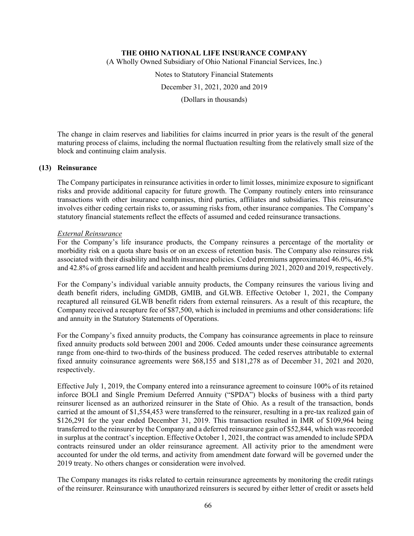(A Wholly Owned Subsidiary of Ohio National Financial Services, Inc.)

Notes to Statutory Financial Statements

December 31, 2021, 2020 and 2019

(Dollars in thousands)

The change in claim reserves and liabilities for claims incurred in prior years is the result of the general maturing process of claims, including the normal fluctuation resulting from the relatively small size of the block and continuing claim analysis.

# **(13) Reinsurance**

The Company participates in reinsurance activities in order to limit losses, minimize exposure to significant risks and provide additional capacity for future growth. The Company routinely enters into reinsurance transactions with other insurance companies, third parties, affiliates and subsidiaries. This reinsurance involves either ceding certain risks to, or assuming risks from, other insurance companies. The Company's statutory financial statements reflect the effects of assumed and ceded reinsurance transactions.

### *External Reinsurance*

For the Company's life insurance products, the Company reinsures a percentage of the mortality or morbidity risk on a quota share basis or on an excess of retention basis. The Company also reinsures risk associated with their disability and health insurance policies. Ceded premiums approximated 46.0%, 46.5% and 42.8% of gross earned life and accident and health premiums during 2021, 2020 and 2019, respectively.

For the Company's individual variable annuity products, the Company reinsures the various living and death benefit riders, including GMDB, GMIB, and GLWB. Effective October 1, 2021, the Company recaptured all reinsured GLWB benefit riders from external reinsurers. As a result of this recapture, the Company received a recapture fee of \$87,500, which is included in premiums and other considerations: life and annuity in the Statutory Statements of Operations.

For the Company's fixed annuity products, the Company has coinsurance agreements in place to reinsure fixed annuity products sold between 2001 and 2006. Ceded amounts under these coinsurance agreements range from one-third to two-thirds of the business produced. The ceded reserves attributable to external fixed annuity coinsurance agreements were \$68,155 and \$181,278 as of December 31, 2021 and 2020, respectively.

Effective July 1, 2019, the Company entered into a reinsurance agreement to coinsure 100% of its retained inforce BOLI and Single Premium Deferred Annuity ("SPDA") blocks of business with a third party reinsurer licensed as an authorized reinsurer in the State of Ohio. As a result of the transaction, bonds carried at the amount of \$1,554,453 were transferred to the reinsurer, resulting in a pre-tax realized gain of \$126,291 for the year ended December 31, 2019. This transaction resulted in IMR of \$109,964 being transferred to the reinsurer by the Company and a deferred reinsurance gain of \$52,844, which was recorded in surplus at the contract's inception. Effective October 1, 2021, the contract was amended to include SPDA contracts reinsured under an older reinsurance agreement. All activity prior to the amendment were accounted for under the old terms, and activity from amendment date forward will be governed under the 2019 treaty. No others changes or consideration were involved.

The Company manages its risks related to certain reinsurance agreements by monitoring the credit ratings of the reinsurer. Reinsurance with unauthorized reinsurers is secured by either letter of credit or assets held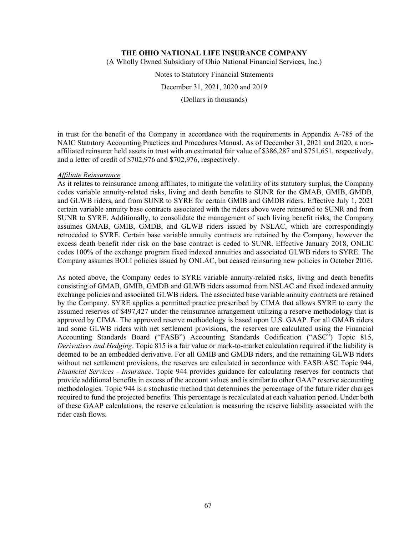(A Wholly Owned Subsidiary of Ohio National Financial Services, Inc.)

Notes to Statutory Financial Statements

December 31, 2021, 2020 and 2019

(Dollars in thousands)

in trust for the benefit of the Company in accordance with the requirements in Appendix A-785 of the NAIC Statutory Accounting Practices and Procedures Manual. As of December 31, 2021 and 2020, a nonaffiliated reinsurer held assets in trust with an estimated fair value of \$386,287 and \$751,651, respectively, and a letter of credit of \$702,976 and \$702,976, respectively.

#### *Affiliate Reinsurance*

As it relates to reinsurance among affiliates, to mitigate the volatility of its statutory surplus, the Company cedes variable annuity-related risks, living and death benefits to SUNR for the GMAB, GMIB, GMDB, and GLWB riders, and from SUNR to SYRE for certain GMIB and GMDB riders. Effective July 1, 2021 certain variable annuity base contracts associated with the riders above were reinsured to SUNR and from SUNR to SYRE. Additionally, to consolidate the management of such living benefit risks, the Company assumes GMAB, GMIB, GMDB, and GLWB riders issued by NSLAC, which are correspondingly retroceded to SYRE. Certain base variable annuity contracts are retained by the Company, however the excess death benefit rider risk on the base contract is ceded to SUNR. Effective January 2018, ONLIC cedes 100% of the exchange program fixed indexed annuities and associated GLWB riders to SYRE. The Company assumes BOLI policies issued by ONLAC, but ceased reinsuring new policies in October 2016.

As noted above, the Company cedes to SYRE variable annuity-related risks, living and death benefits consisting of GMAB, GMIB, GMDB and GLWB riders assumed from NSLAC and fixed indexed annuity exchange policies and associated GLWB riders. The associated base variable annuity contracts are retained by the Company. SYRE applies a permitted practice prescribed by CIMA that allows SYRE to carry the assumed reserves of \$497,427 under the reinsurance arrangement utilizing a reserve methodology that is approved by CIMA. The approved reserve methodology is based upon U.S. GAAP. For all GMAB riders and some GLWB riders with net settlement provisions, the reserves are calculated using the Financial Accounting Standards Board ("FASB") Accounting Standards Codification ("ASC") Topic 815, *Derivatives and Hedging*. Topic 815 is a fair value or mark-to-market calculation required if the liability is deemed to be an embedded derivative. For all GMIB and GMDB riders, and the remaining GLWB riders without net settlement provisions, the reserves are calculated in accordance with FASB ASC Topic 944, *Financial Services - Insurance*. Topic 944 provides guidance for calculating reserves for contracts that provide additional benefits in excess of the account values and is similar to other GAAP reserve accounting methodologies. Topic 944 is a stochastic method that determines the percentage of the future rider charges required to fund the projected benefits. This percentage is recalculated at each valuation period. Under both of these GAAP calculations, the reserve calculation is measuring the reserve liability associated with the rider cash flows.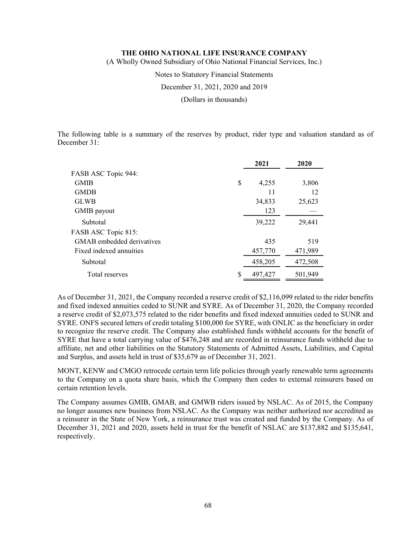(A Wholly Owned Subsidiary of Ohio National Financial Services, Inc.)

Notes to Statutory Financial Statements

December 31, 2021, 2020 and 2019

(Dollars in thousands)

The following table is a summary of the reserves by product, rider type and valuation standard as of December 31:

|                           | 2021          | 2020    |
|---------------------------|---------------|---------|
| FASB ASC Topic 944:       |               |         |
| <b>GMIB</b>               | \$<br>4,255   | 3,806   |
| <b>GMDB</b>               | 11            | 12      |
| <b>GLWB</b>               | 34,833        | 25,623  |
| GMIB payout               | 123           |         |
| Subtotal                  | 39,222        | 29,441  |
| FASB ASC Topic 815:       |               |         |
| GMAB embedded derivatives | 435           | 519     |
| Fixed indexed annuities   | 457,770       | 471,989 |
| Subtotal                  | 458,205       | 472,508 |
| Total reserves            | \$<br>497,427 | 501,949 |

As of December 31, 2021, the Company recorded a reserve credit of \$2,116,099 related to the rider benefits and fixed indexed annuities ceded to SUNR and SYRE. As of December 31, 2020, the Company recorded a reserve credit of \$2,073,575 related to the rider benefits and fixed indexed annuities ceded to SUNR and SYRE. ONFS secured letters of credit totaling \$100,000 for SYRE, with ONLIC as the beneficiary in order to recognize the reserve credit. The Company also established funds withheld accounts for the benefit of SYRE that have a total carrying value of \$476,248 and are recorded in reinsurance funds withheld due to affiliate, net and other liabilities on the Statutory Statements of Admitted Assets, Liabilities, and Capital and Surplus, and assets held in trust of \$35,679 as of December 31, 2021.

MONT, KENW and CMGO retrocede certain term life policies through yearly renewable term agreements to the Company on a quota share basis, which the Company then cedes to external reinsurers based on certain retention levels.

The Company assumes GMIB, GMAB, and GMWB riders issued by NSLAC. As of 2015, the Company no longer assumes new business from NSLAC. As the Company was neither authorized nor accredited as a reinsurer in the State of New York, a reinsurance trust was created and funded by the Company. As of December 31, 2021 and 2020, assets held in trust for the benefit of NSLAC are \$137,882 and \$135,641, respectively.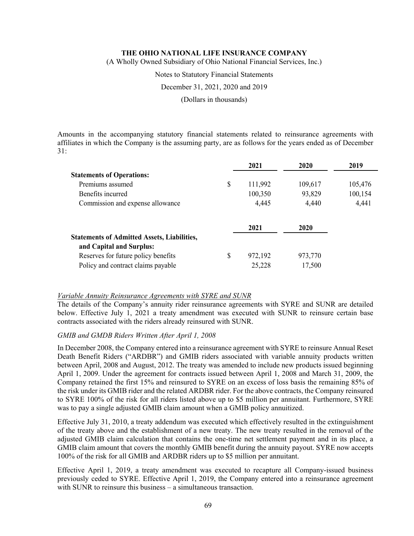(A Wholly Owned Subsidiary of Ohio National Financial Services, Inc.)

Notes to Statutory Financial Statements

December 31, 2021, 2020 and 2019

(Dollars in thousands)

Amounts in the accompanying statutory financial statements related to reinsurance agreements with affiliates in which the Company is the assuming party, are as follows for the years ended as of December 31:

|                                                                                | 2021          | 2020        | 2019    |
|--------------------------------------------------------------------------------|---------------|-------------|---------|
| <b>Statements of Operations:</b>                                               |               |             |         |
| Premiums assumed                                                               | \$<br>111,992 | 109,617     | 105,476 |
| Benefits incurred                                                              | 100,350       | 93,829      | 100,154 |
| Commission and expense allowance                                               | 4,445         | 4,440       | 4,441   |
|                                                                                | 2021          | <b>2020</b> |         |
| <b>Statements of Admitted Assets, Liabilities,</b><br>and Capital and Surplus: |               |             |         |
| Reserves for future policy benefits                                            | \$<br>972,192 | 973,770     |         |
| Policy and contract claims payable                                             | 25,228        | 17,500      |         |

### *Variable Annuity Reinsurance Agreements with SYRE and SUNR*

The details of the Company's annuity rider reinsurance agreements with SYRE and SUNR are detailed below. Effective July 1, 2021 a treaty amendment was executed with SUNR to reinsure certain base contracts associated with the riders already reinsured with SUNR.

### *GMIB and GMDB Riders Written After April 1, 2008*

In December 2008, the Company entered into a reinsurance agreement with SYRE to reinsure Annual Reset Death Benefit Riders ("ARDBR") and GMIB riders associated with variable annuity products written between April, 2008 and August, 2012. The treaty was amended to include new products issued beginning April 1, 2009. Under the agreement for contracts issued between April 1, 2008 and March 31, 2009, the Company retained the first 15% and reinsured to SYRE on an excess of loss basis the remaining 85% of the risk under its GMIB rider and the related ARDBR rider. For the above contracts, the Company reinsured to SYRE 100% of the risk for all riders listed above up to \$5 million per annuitant. Furthermore, SYRE was to pay a single adjusted GMIB claim amount when a GMIB policy annuitized.

Effective July 31, 2010, a treaty addendum was executed which effectively resulted in the extinguishment of the treaty above and the establishment of a new treaty. The new treaty resulted in the removal of the adjusted GMIB claim calculation that contains the one-time net settlement payment and in its place, a GMIB claim amount that covers the monthly GMIB benefit during the annuity payout. SYRE now accepts 100% of the risk for all GMIB and ARDBR riders up to \$5 million per annuitant.

Effective April 1, 2019, a treaty amendment was executed to recapture all Company-issued business previously ceded to SYRE. Effective April 1, 2019, the Company entered into a reinsurance agreement with SUNR to reinsure this business – a simultaneous transaction.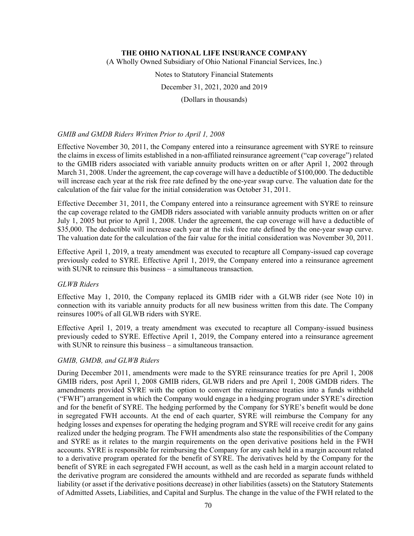(A Wholly Owned Subsidiary of Ohio National Financial Services, Inc.)

Notes to Statutory Financial Statements

December 31, 2021, 2020 and 2019

(Dollars in thousands)

# *GMIB and GMDB Riders Written Prior to April 1, 2008*

Effective November 30, 2011, the Company entered into a reinsurance agreement with SYRE to reinsure the claims in excess of limits established in a non-affiliated reinsurance agreement ("cap coverage") related to the GMIB riders associated with variable annuity products written on or after April 1, 2002 through March 31, 2008. Under the agreement, the cap coverage will have a deductible of \$100,000. The deductible will increase each year at the risk free rate defined by the one-year swap curve. The valuation date for the calculation of the fair value for the initial consideration was October 31, 2011.

Effective December 31, 2011, the Company entered into a reinsurance agreement with SYRE to reinsure the cap coverage related to the GMDB riders associated with variable annuity products written on or after July 1, 2005 but prior to April 1, 2008. Under the agreement, the cap coverage will have a deductible of \$35,000. The deductible will increase each year at the risk free rate defined by the one-year swap curve. The valuation date for the calculation of the fair value for the initial consideration was November 30, 2011.

Effective April 1, 2019, a treaty amendment was executed to recapture all Company-issued cap coverage previously ceded to SYRE. Effective April 1, 2019, the Company entered into a reinsurance agreement with SUNR to reinsure this business – a simultaneous transaction.

### *GLWB Riders*

Effective May 1, 2010, the Company replaced its GMIB rider with a GLWB rider (see Note 10) in connection with its variable annuity products for all new business written from this date. The Company reinsures 100% of all GLWB riders with SYRE.

Effective April 1, 2019, a treaty amendment was executed to recapture all Company-issued business previously ceded to SYRE. Effective April 1, 2019, the Company entered into a reinsurance agreement with SUNR to reinsure this business – a simultaneous transaction.

### *GMIB, GMDB, and GLWB Riders*

During December 2011, amendments were made to the SYRE reinsurance treaties for pre April 1, 2008 GMIB riders, post April 1, 2008 GMIB riders, GLWB riders and pre April 1, 2008 GMDB riders. The amendments provided SYRE with the option to convert the reinsurance treaties into a funds withheld ("FWH") arrangement in which the Company would engage in a hedging program under SYRE's direction and for the benefit of SYRE. The hedging performed by the Company for SYRE's benefit would be done in segregated FWH accounts. At the end of each quarter, SYRE will reimburse the Company for any hedging losses and expenses for operating the hedging program and SYRE will receive credit for any gains realized under the hedging program. The FWH amendments also state the responsibilities of the Company and SYRE as it relates to the margin requirements on the open derivative positions held in the FWH accounts. SYRE is responsible for reimbursing the Company for any cash held in a margin account related to a derivative program operated for the benefit of SYRE. The derivatives held by the Company for the benefit of SYRE in each segregated FWH account, as well as the cash held in a margin account related to the derivative program are considered the amounts withheld and are recorded as separate funds withheld liability (or asset if the derivative positions decrease) in other liabilities (assets) on the Statutory Statements of Admitted Assets, Liabilities, and Capital and Surplus. The change in the value of the FWH related to the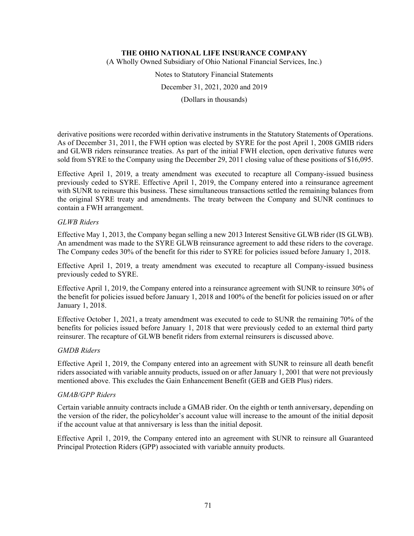(A Wholly Owned Subsidiary of Ohio National Financial Services, Inc.)

Notes to Statutory Financial Statements

December 31, 2021, 2020 and 2019

(Dollars in thousands)

derivative positions were recorded within derivative instruments in the Statutory Statements of Operations. As of December 31, 2011, the FWH option was elected by SYRE for the post April 1, 2008 GMIB riders and GLWB riders reinsurance treaties. As part of the initial FWH election, open derivative futures were sold from SYRE to the Company using the December 29, 2011 closing value of these positions of \$16,095.

Effective April 1, 2019, a treaty amendment was executed to recapture all Company-issued business previously ceded to SYRE. Effective April 1, 2019, the Company entered into a reinsurance agreement with SUNR to reinsure this business. These simultaneous transactions settled the remaining balances from the original SYRE treaty and amendments. The treaty between the Company and SUNR continues to contain a FWH arrangement.

### *GLWB Riders*

Effective May 1, 2013, the Company began selling a new 2013 Interest Sensitive GLWB rider (IS GLWB). An amendment was made to the SYRE GLWB reinsurance agreement to add these riders to the coverage. The Company cedes 30% of the benefit for this rider to SYRE for policies issued before January 1, 2018.

Effective April 1, 2019, a treaty amendment was executed to recapture all Company-issued business previously ceded to SYRE.

Effective April 1, 2019, the Company entered into a reinsurance agreement with SUNR to reinsure 30% of the benefit for policies issued before January 1, 2018 and 100% of the benefit for policies issued on or after January 1, 2018.

Effective October 1, 2021, a treaty amendment was executed to cede to SUNR the remaining 70% of the benefits for policies issued before January 1, 2018 that were previously ceded to an external third party reinsurer. The recapture of GLWB benefit riders from external reinsurers is discussed above.

# *GMDB Riders*

Effective April 1, 2019, the Company entered into an agreement with SUNR to reinsure all death benefit riders associated with variable annuity products, issued on or after January 1, 2001 that were not previously mentioned above. This excludes the Gain Enhancement Benefit (GEB and GEB Plus) riders.

### *GMAB/GPP Riders*

Certain variable annuity contracts include a GMAB rider. On the eighth or tenth anniversary, depending on the version of the rider, the policyholder's account value will increase to the amount of the initial deposit if the account value at that anniversary is less than the initial deposit.

Effective April 1, 2019, the Company entered into an agreement with SUNR to reinsure all Guaranteed Principal Protection Riders (GPP) associated with variable annuity products.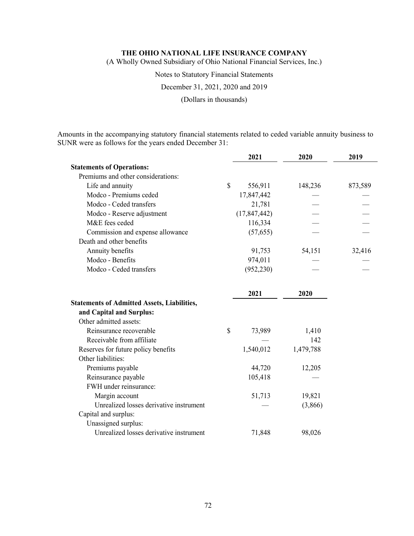(A Wholly Owned Subsidiary of Ohio National Financial Services, Inc.)

Notes to Statutory Financial Statements

December 31, 2021, 2020 and 2019

(Dollars in thousands)

Amounts in the accompanying statutory financial statements related to ceded variable annuity business to SUNR were as follows for the years ended December 31:

|                                                    | 2021           | 2020      | 2019    |
|----------------------------------------------------|----------------|-----------|---------|
| <b>Statements of Operations:</b>                   |                |           |         |
| Premiums and other considerations:                 |                |           |         |
| Life and annuity                                   | \$<br>556,911  | 148,236   | 873,589 |
| Modco - Premiums ceded                             | 17,847,442     |           |         |
| Modco - Ceded transfers                            | 21,781         |           |         |
| Modco - Reserve adjustment                         | (17, 847, 442) |           |         |
| M&E fees ceded                                     | 116,334        |           |         |
| Commission and expense allowance                   | (57, 655)      |           |         |
| Death and other benefits                           |                |           |         |
| Annuity benefits                                   | 91,753         | 54,151    | 32,416  |
| Modco - Benefits                                   | 974,011        |           |         |
| Modco - Ceded transfers                            | (952, 230)     |           |         |
|                                                    | 2021           | 2020      |         |
| <b>Statements of Admitted Assets, Liabilities,</b> |                |           |         |
| and Capital and Surplus:                           |                |           |         |
| Other admitted assets:                             |                |           |         |
| Reinsurance recoverable                            | \$<br>73,989   | 1,410     |         |
| Receivable from affiliate                          |                | 142       |         |
| Reserves for future policy benefits                | 1,540,012      | 1,479,788 |         |
| Other liabilities:                                 |                |           |         |
| Premiums payable                                   | 44,720         | 12,205    |         |
| Reinsurance payable                                | 105,418        |           |         |
| FWH under reinsurance:                             |                |           |         |
| Margin account                                     | 51,713         | 19,821    |         |
| Unrealized losses derivative instrument            |                | (3,866)   |         |
| Capital and surplus:                               |                |           |         |
| Unassigned surplus:                                |                |           |         |
| Unrealized losses derivative instrument            | 71,848         | 98,026    |         |

72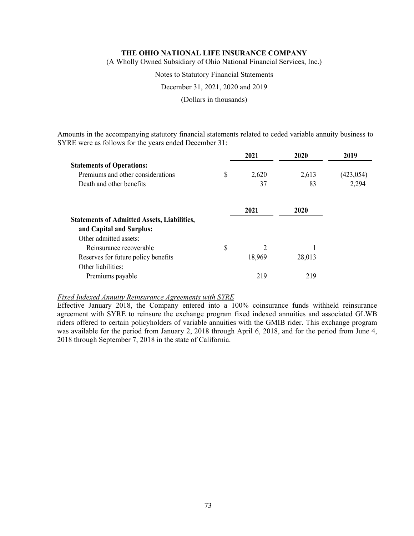(A Wholly Owned Subsidiary of Ohio National Financial Services, Inc.)

Notes to Statutory Financial Statements

December 31, 2021, 2020 and 2019

(Dollars in thousands)

Amounts in the accompanying statutory financial statements related to ceded variable annuity business to SYRE were as follows for the years ended December 31:

|                                                    | 2021                 | 2020   | 2019       |
|----------------------------------------------------|----------------------|--------|------------|
| <b>Statements of Operations:</b>                   |                      |        |            |
| Premiums and other considerations                  | \$<br>2,620          | 2,613  | (423, 054) |
| Death and other benefits                           | 37                   | 83     | 2,294      |
|                                                    | 2021                 | 2020   |            |
| <b>Statements of Admitted Assets, Liabilities,</b> |                      |        |            |
| and Capital and Surplus:                           |                      |        |            |
| Other admitted assets:                             |                      |        |            |
| Reinsurance recoverable                            | \$<br>$\mathfrak{D}$ |        |            |
| Reserves for future policy benefits                | 18,969               | 28,013 |            |
| Other liabilities:                                 |                      |        |            |
| Premiums payable                                   | 219                  | 219    |            |
|                                                    |                      |        |            |

#### *Fixed Indexed Annuity Reinsurance Agreements with SYRE*

Effective January 2018, the Company entered into a 100% coinsurance funds withheld reinsurance agreement with SYRE to reinsure the exchange program fixed indexed annuities and associated GLWB riders offered to certain policyholders of variable annuities with the GMIB rider. This exchange program was available for the period from January 2, 2018 through April 6, 2018, and for the period from June 4, 2018 through September 7, 2018 in the state of California.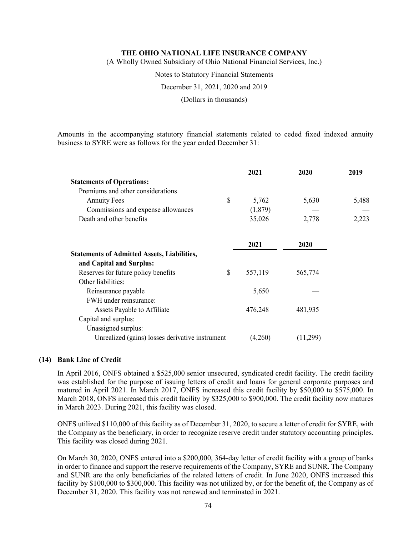(A Wholly Owned Subsidiary of Ohio National Financial Services, Inc.)

Notes to Statutory Financial Statements

December 31, 2021, 2020 and 2019

(Dollars in thousands)

Amounts in the accompanying statutory financial statements related to ceded fixed indexed annuity business to SYRE were as follows for the year ended December 31:

|                                                    |    | 2021    | 2020     | 2019  |
|----------------------------------------------------|----|---------|----------|-------|
| <b>Statements of Operations:</b>                   |    |         |          |       |
| Premiums and other considerations                  |    |         |          |       |
| <b>Annuity Fees</b>                                | \$ | 5,762   | 5,630    | 5,488 |
| Commissions and expense allowances                 |    | (1,879) |          |       |
| Death and other benefits                           |    | 35,026  | 2,778    | 2,223 |
|                                                    |    | 2021    | 2020     |       |
| <b>Statements of Admitted Assets, Liabilities,</b> |    |         |          |       |
| and Capital and Surplus:                           |    |         |          |       |
| Reserves for future policy benefits                | S  | 557,119 | 565,774  |       |
| Other liabilities:                                 |    |         |          |       |
| Reinsurance payable                                |    | 5,650   |          |       |
| FWH under reinsurance:                             |    |         |          |       |
| Assets Payable to Affiliate                        |    | 476,248 | 481,935  |       |
| Capital and surplus:                               |    |         |          |       |
| Unassigned surplus:                                |    |         |          |       |
| Unrealized (gains) losses derivative instrument    |    | (4,260) | (11,299) |       |

#### **(14) Bank Line of Credit**

In April 2016, ONFS obtained a \$525,000 senior unsecured, syndicated credit facility. The credit facility was established for the purpose of issuing letters of credit and loans for general corporate purposes and matured in April 2021. In March 2017, ONFS increased this credit facility by \$50,000 to \$575,000. In March 2018, ONFS increased this credit facility by \$325,000 to \$900,000. The credit facility now matures in March 2023. During 2021, this facility was closed.

ONFS utilized \$110,000 of this facility as of December 31, 2020, to secure a letter of credit for SYRE, with the Company as the beneficiary, in order to recognize reserve credit under statutory accounting principles. This facility was closed during 2021.

On March 30, 2020, ONFS entered into a \$200,000, 364-day letter of credit facility with a group of banks in order to finance and support the reserve requirements of the Company, SYRE and SUNR. The Company and SUNR are the only beneficiaries of the related letters of credit. In June 2020, ONFS increased this facility by \$100,000 to \$300,000. This facility was not utilized by, or for the benefit of, the Company as of December 31, 2020. This facility was not renewed and terminated in 2021.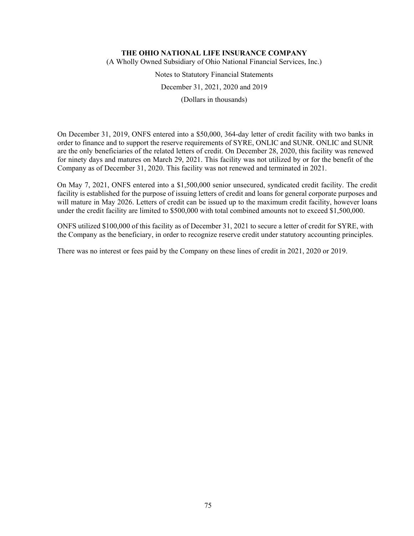(A Wholly Owned Subsidiary of Ohio National Financial Services, Inc.)

Notes to Statutory Financial Statements

December 31, 2021, 2020 and 2019

(Dollars in thousands)

On December 31, 2019, ONFS entered into a \$50,000, 364-day letter of credit facility with two banks in order to finance and to support the reserve requirements of SYRE, ONLIC and SUNR. ONLIC and SUNR are the only beneficiaries of the related letters of credit. On December 28, 2020, this facility was renewed for ninety days and matures on March 29, 2021. This facility was not utilized by or for the benefit of the Company as of December 31, 2020. This facility was not renewed and terminated in 2021.

On May 7, 2021, ONFS entered into a \$1,500,000 senior unsecured, syndicated credit facility. The credit facility is established for the purpose of issuing letters of credit and loans for general corporate purposes and will mature in May 2026. Letters of credit can be issued up to the maximum credit facility, however loans under the credit facility are limited to \$500,000 with total combined amounts not to exceed \$1,500,000.

ONFS utilized \$100,000 of this facility as of December 31, 2021 to secure a letter of credit for SYRE, with the Company as the beneficiary, in order to recognize reserve credit under statutory accounting principles.

There was no interest or fees paid by the Company on these lines of credit in 2021, 2020 or 2019.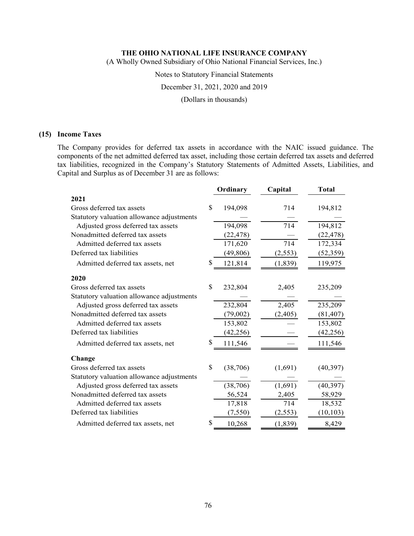(A Wholly Owned Subsidiary of Ohio National Financial Services, Inc.)

## Notes to Statutory Financial Statements

December 31, 2021, 2020 and 2019

(Dollars in thousands)

# **(15) Income Taxes**

The Company provides for deferred tax assets in accordance with the NAIC issued guidance. The components of the net admitted deferred tax asset, including those certain deferred tax assets and deferred tax liabilities, recognized in the Company's Statutory Statements of Admitted Assets, Liabilities, and Capital and Surplus as of December 31 are as follows:

|                                           | Ordinary |           | Capital  | <b>Total</b> |  |
|-------------------------------------------|----------|-----------|----------|--------------|--|
| 2021                                      |          |           |          |              |  |
| Gross deferred tax assets                 | \$       | 194,098   | 714      | 194,812      |  |
| Statutory valuation allowance adjustments |          |           |          |              |  |
| Adjusted gross deferred tax assets        |          | 194,098   | 714      | 194,812      |  |
| Nonadmitted deferred tax assets           |          | (22, 478) |          | (22, 478)    |  |
| Admitted deferred tax assets              |          | 171,620   | 714      | 172,334      |  |
| Deferred tax liabilities                  |          | (49, 806) | (2, 553) | (52, 359)    |  |
| Admitted deferred tax assets, net         | \$       | 121,814   | (1, 839) | 119,975      |  |
| 2020                                      |          |           |          |              |  |
| Gross deferred tax assets                 | \$       | 232,804   | 2,405    | 235,209      |  |
| Statutory valuation allowance adjustments |          |           |          |              |  |
| Adjusted gross deferred tax assets        |          | 232,804   | 2,405    | 235,209      |  |
| Nonadmitted deferred tax assets           |          | (79,002)  | (2,405)  | (81, 407)    |  |
| Admitted deferred tax assets              |          | 153,802   |          | 153,802      |  |
| Deferred tax liabilities                  |          | (42, 256) |          | (42, 256)    |  |
| Admitted deferred tax assets, net         | \$       | 111,546   |          | 111,546      |  |
| Change                                    |          |           |          |              |  |
| Gross deferred tax assets                 | \$       | (38,706)  | (1,691)  | (40, 397)    |  |
| Statutory valuation allowance adjustments |          |           |          |              |  |
| Adjusted gross deferred tax assets        |          | (38,706)  | (1,691)  | (40, 397)    |  |
| Nonadmitted deferred tax assets           |          | 56,524    | 2,405    | 58,929       |  |
| Admitted deferred tax assets              |          | 17,818    | 714      | 18,532       |  |
| Deferred tax liabilities                  |          | (7, 550)  | (2, 553) | (10, 103)    |  |
| Admitted deferred tax assets, net         | \$       | 10,268    | (1, 839) | 8,429        |  |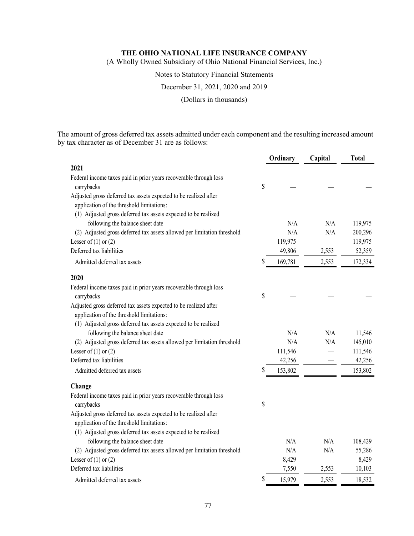(A Wholly Owned Subsidiary of Ohio National Financial Services, Inc.)

### Notes to Statutory Financial Statements

December 31, 2021, 2020 and 2019

(Dollars in thousands)

The amount of gross deferred tax assets admitted under each component and the resulting increased amount by tax character as of December 31 are as follows:

|                                                                                                               |    | Ordinary | Capital | <b>Total</b> |
|---------------------------------------------------------------------------------------------------------------|----|----------|---------|--------------|
| 2021                                                                                                          |    |          |         |              |
| Federal income taxes paid in prior years recoverable through loss<br>carrybacks                               | \$ |          |         |              |
| Adjusted gross deferred tax assets expected to be realized after                                              |    |          |         |              |
| application of the threshold limitations:                                                                     |    |          |         |              |
| (1) Adjusted gross deferred tax assets expected to be realized                                                |    |          |         |              |
| following the balance sheet date                                                                              |    | N/A      | N/A     | 119,975      |
| (2) Adjusted gross deferred tax assets allowed per limitation threshold                                       |    | N/A      | N/A     | 200,296      |
| Lesser of $(1)$ or $(2)$                                                                                      |    | 119,975  |         | 119,975      |
| Deferred tax liabilities                                                                                      |    | 49,806   | 2,553   | 52,359       |
| Admitted deferred tax assets                                                                                  | \$ | 169,781  | 2,553   | 172,334      |
| 2020                                                                                                          |    |          |         |              |
| Federal income taxes paid in prior years recoverable through loss                                             |    |          |         |              |
| carrybacks                                                                                                    | \$ |          |         |              |
| Adjusted gross deferred tax assets expected to be realized after                                              |    |          |         |              |
| application of the threshold limitations:                                                                     |    |          |         |              |
| (1) Adjusted gross deferred tax assets expected to be realized                                                |    |          |         |              |
| following the balance sheet date                                                                              |    | N/A      | N/A     | 11,546       |
| (2) Adjusted gross deferred tax assets allowed per limitation threshold                                       |    | N/A      | N/A     | 145,010      |
| Lesser of $(1)$ or $(2)$                                                                                      |    | 111,546  |         | 111,546      |
| Deferred tax liabilities                                                                                      |    | 42,256   |         | 42,256       |
| Admitted deferred tax assets                                                                                  | S  | 153,802  |         | 153,802      |
| Change                                                                                                        |    |          |         |              |
| Federal income taxes paid in prior years recoverable through loss                                             |    |          |         |              |
| carrybacks                                                                                                    | \$ |          |         |              |
| Adjusted gross deferred tax assets expected to be realized after<br>application of the threshold limitations: |    |          |         |              |
| (1) Adjusted gross deferred tax assets expected to be realized                                                |    |          |         |              |
| following the balance sheet date                                                                              |    | N/A      | N/A     | 108,429      |
| (2) Adjusted gross deferred tax assets allowed per limitation threshold                                       |    | N/A      | N/A     | 55,286       |
| Lesser of $(1)$ or $(2)$                                                                                      |    | 8,429    |         | 8,429        |
| Deferred tax liabilities                                                                                      |    | 7,550    | 2,553   | 10,103       |
| Admitted deferred tax assets                                                                                  | S  | 15,979   | 2,553   | 18,532       |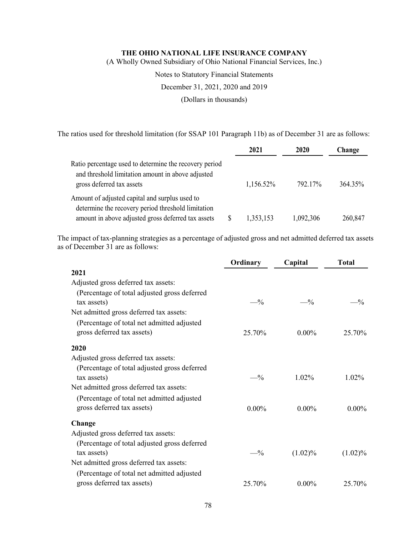(A Wholly Owned Subsidiary of Ohio National Financial Services, Inc.)

Notes to Statutory Financial Statements

December 31, 2021, 2020 and 2019

(Dollars in thousands)

The ratios used for threshold limitation (for SSAP 101 Paragraph 11b) as of December 31 are as follows:

|                                                                                                                                                            |   | 2021      | 2020      | Change  |
|------------------------------------------------------------------------------------------------------------------------------------------------------------|---|-----------|-----------|---------|
| Ratio percentage used to determine the recovery period<br>and threshold limitation amount in above adjusted<br>gross deferred tax assets                   |   | 1,156.52% | 792.17%   | 364.35% |
| Amount of adjusted capital and surplus used to<br>determine the recovery period threshold limitation<br>amount in above adjusted gross deferred tax assets | S | 1,353,153 | 1,092,306 | 260,847 |

The impact of tax-planning strategies as a percentage of adjusted gross and net admitted deferred tax assets as of December 31 are as follows:

|                                              | Ordinary | Capital         | <b>Total</b> |
|----------------------------------------------|----------|-----------------|--------------|
| 2021                                         |          |                 |              |
| Adjusted gross deferred tax assets:          |          |                 |              |
| (Percentage of total adjusted gross deferred |          |                 |              |
| tax assets)                                  | $-$ %    | $- \frac{9}{6}$ | $-$ %        |
| Net admitted gross deferred tax assets:      |          |                 |              |
| (Percentage of total net admitted adjusted   |          |                 |              |
| gross deferred tax assets)                   | 25.70%   | $0.00\%$        | 25.70%       |
| 2020                                         |          |                 |              |
| Adjusted gross deferred tax assets:          |          |                 |              |
| (Percentage of total adjusted gross deferred |          |                 |              |
| tax assets)                                  | $-$ %    | $1.02\%$        | $1.02\%$     |
| Net admitted gross deferred tax assets:      |          |                 |              |
| (Percentage of total net admitted adjusted   |          |                 |              |
| gross deferred tax assets)                   | $0.00\%$ | $0.00\%$        | $0.00\%$     |
| Change                                       |          |                 |              |
| Adjusted gross deferred tax assets:          |          |                 |              |
| (Percentage of total adjusted gross deferred |          |                 |              |
| tax assets)                                  | $-$ %    | $(1.02)\%$      | $(1.02)\%$   |
| Net admitted gross deferred tax assets:      |          |                 |              |
| (Percentage of total net admitted adjusted   |          |                 |              |
| gross deferred tax assets)                   | 25.70%   | $0.00\%$        | 25.70%       |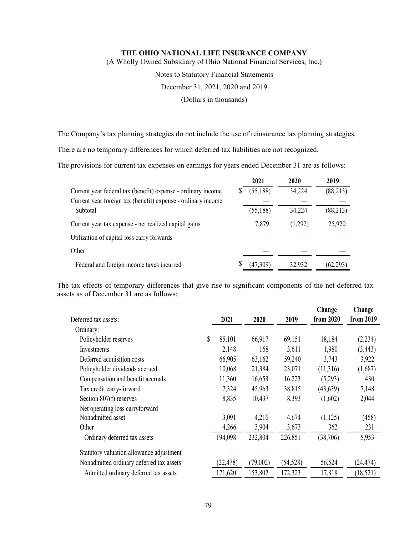(A Wholly Owned Subsidiary of Ohio National Financial Services, Inc.)

Notes to Statutory Financial Statements

December 31, 2021, 2020 and 2019

(Dollars in thousands)

The Company's tax planning strategies do not include the use of reinsurance tax planning strategies.

There are no temporary differences for which deferred tax liabilities are not recognized.

The provisions for current tax expenses on earnings for years ended December 31 are as follows:

|                                                              | 2021      | 2020    | 2019     |
|--------------------------------------------------------------|-----------|---------|----------|
| Current year federal tax (benefit) expense - ordinary income | (55, 188) | 34,224  | (88,213) |
| Current year foreign tax (benefit) expense - ordinary income |           |         |          |
| Subtotal                                                     | (55,188)  | 34,224  | (88,213) |
| Current year tax expense - net realized capital gains        | 7,879     | (1,292) | 25,920   |
| Utilization of capital loss carry forwards                   |           |         |          |
| Other                                                        |           |         |          |
| Federal and foreign income taxes incurred                    | (47,309)  | 32,932  | (62,293) |

The tax effects of temporary differences that give rise to significant components of the net deferred tax assets as of December 31 are as follows:

|                                          |              |          |           | Change<br>from 2020 | Change    |
|------------------------------------------|--------------|----------|-----------|---------------------|-----------|
| Deferred tax assets:                     | 2021         | 2020     | 2019      |                     | from 2019 |
| Ordinary:                                |              |          |           |                     |           |
| Policyholder reserves                    | \$<br>85,101 | 66,917   | 69,151    | 18,184              | (2,234)   |
| Investments                              | 2,148        | 168      | 3,611     | 1,980               | (3, 443)  |
| Deferred acquisition costs               | 66,905       | 63,162   | 59,240    | 3,743               | 3,922     |
| Policyholder dividends accrued           | 10,068       | 21,384   | 23,071    | (11,316)            | (1,687)   |
| Compensation and benefit accruals        | 11,360       | 16,653   | 16,223    | (5,293)             | 430       |
| Tax credit carry-forward                 | 2,324        | 45,963   | 38,815    | (43, 639)           | 7,148     |
| Section 807(f) reserves                  | 8,835        | 10,437   | 8,393     | (1,602)             | 2,044     |
| Net operating loss carryforward          |              |          |           |                     |           |
| Nonadmitted asset                        | 3,091        | 4,216    | 4,674     | (1,125)             | (458)     |
| Other                                    | 4,266        | 3,904    | 3,673     | 362                 | 231       |
| Ordinary deferred tax assets             | 194,098      | 232,804  | 226,851   | (38, 706)           | 5,953     |
| Statutory valuation allowance adjustment |              |          |           |                     |           |
| Nonadmitted ordinary deferred tax assets | (22, 478)    | (79,002) | (54, 528) | 56,524              | (24, 474) |
| Admitted ordinary deferred tax assets    | 171,620      | 153,802  | 172,323   | 17,818              | (18, 521) |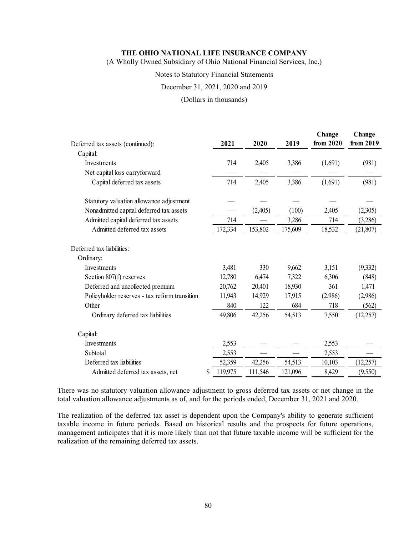(A Wholly Owned Subsidiary of Ohio National Financial Services, Inc.)

## Notes to Statutory Financial Statements

#### December 31, 2021, 2020 and 2019

#### (Dollars in thousands)

| Deferred tax assets (continued):              |   | 2021    | 2020    | 2019    | Change<br>from 2020 | Change<br>from 2019 |
|-----------------------------------------------|---|---------|---------|---------|---------------------|---------------------|
| Capital:                                      |   |         |         |         |                     |                     |
| Investments                                   |   | 714     | 2,405   | 3,386   | (1,691)             | (981)               |
| Net capital loss carryforward                 |   |         |         |         |                     |                     |
| Capital deferred tax assets                   |   | 714     | 2,405   | 3,386   | (1,691)             | (981)               |
| Statutory valuation allowance adjustment      |   |         |         |         |                     |                     |
| Nonadmitted capital deferred tax assets       |   |         | (2,405) | (100)   | 2,405               | (2,305)             |
| Admitted capital deferred tax assets          |   | 714     |         | 3,286   | 714                 | (3,286)             |
| Admitted deferred tax assets                  |   | 172,334 | 153,802 | 175,609 | 18,532              | (21, 807)           |
| Deferred tax liabilities:                     |   |         |         |         |                     |                     |
| Ordinary:                                     |   |         |         |         |                     |                     |
| Investments                                   |   | 3,481   | 330     | 9,662   | 3,151               | (9,332)             |
| Section 807(f) reserves                       |   | 12,780  | 6,474   | 7,322   | 6,306               | (848)               |
| Deferred and uncollected premium              |   | 20,762  | 20,401  | 18,930  | 361                 | 1,471               |
| Policyholder reserves - tax reform transition |   | 11,943  | 14,929  | 17,915  | (2,986)             | (2,986)             |
| Other                                         |   | 840     | 122     | 684     | 718                 | (562)               |
| Ordinary deferred tax liabilities             |   | 49,806  | 42,256  | 54,513  | 7,550               | (12,257)            |
| Capital:                                      |   |         |         |         |                     |                     |
| Investments                                   |   | 2,553   |         |         | 2,553               |                     |
| Subtotal                                      |   | 2,553   |         |         | 2,553               |                     |
| Deferred tax liabilities                      |   | 52,359  | 42,256  | 54,513  | 10,103              | (12,257)            |
| Admitted deferred tax assets, net             | S | 119,975 | 111,546 | 121,096 | 8,429               | (9,550)             |

There was no statutory valuation allowance adjustment to gross deferred tax assets or net change in the total valuation allowance adjustments as of, and for the periods ended, December 31, 2021 and 2020.

The realization of the deferred tax asset is dependent upon the Company's ability to generate sufficient taxable income in future periods. Based on historical results and the prospects for future operations, management anticipates that it is more likely than not that future taxable income will be sufficient for the realization of the remaining deferred tax assets.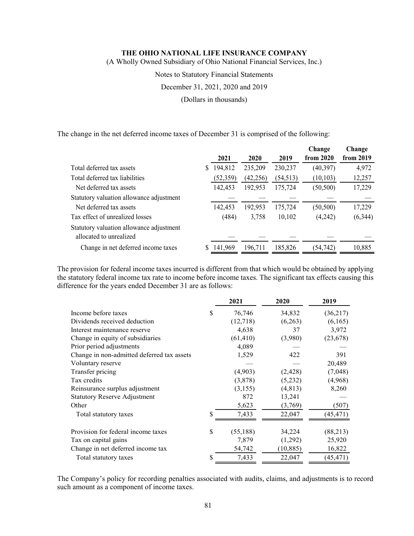(A Wholly Owned Subsidiary of Ohio National Financial Services, Inc.)

Notes to Statutory Financial Statements

December 31, 2021, 2020 and 2019

(Dollars in thousands)

The change in the net deferred income taxes of December 31 is comprised of the following:

|                                                                     |   |           |           |           | Change    | Change    |
|---------------------------------------------------------------------|---|-----------|-----------|-----------|-----------|-----------|
|                                                                     |   | 2021      | 2020      | 2019      | from 2020 | from 2019 |
| Total deferred tax assets                                           | S | 194,812   | 235,209   | 230,237   | (40,397)  | 4,972     |
| Total deferred tax liabilities                                      |   | (52, 359) | (42, 256) | (54, 513) | (10, 103) | 12,257    |
| Net deferred tax assets                                             |   | 142,453   | 192,953   | 175,724   | (50, 500) | 17,229    |
| Statutory valuation allowance adjustment                            |   |           |           |           |           |           |
| Net deferred tax assets                                             |   | 142,453   | 192,953   | 175,724   | (50, 500) | 17,229    |
| Tax effect of unrealized losses                                     |   | (484)     | 3,758     | 10,102    | (4,242)   | (6,344)   |
| Statutory valuation allowance adjustment<br>allocated to unrealized |   |           |           |           |           |           |
| Change in net deferred income taxes                                 |   | 141,969   | 196,711   | 185,826   | (54, 742) | 10,885    |

The provision for federal income taxes incurred is different from that which would be obtained by applying the statutory federal income tax rate to income before income taxes. The significant tax effects causing this difference for the years ended December 31 are as follows:

|                                            |     | 2021      | 2020      | 2019      |
|--------------------------------------------|-----|-----------|-----------|-----------|
| Income before taxes                        | \$. | 76,746    | 34,832    | (36,217)  |
| Dividends received deduction               |     | (12,718)  | (6,263)   | (6,165)   |
| Interest maintenance reserve               |     | 4,638     | 37        | 3,972     |
| Change in equity of subsidiaries           |     | (61, 410) | (3,980)   | (23, 678) |
| Prior period adjustments                   |     | 4,089     |           |           |
| Change in non-admitted deferred tax assets |     | 1,529     | 422       | 391       |
| Voluntary reserve                          |     |           |           | 20,489    |
| Transfer pricing                           |     | (4,903)   | (2, 428)  | (7,048)   |
| Tax credits                                |     | (3,878)   | (5,232)   | (4,968)   |
| Reinsurance surplus adjustment             |     | (3, 155)  | (4, 813)  | 8,260     |
| <b>Statutory Reserve Adjustment</b>        |     | 872       | 13,241    |           |
| Other                                      |     | 5,623     | (3,769)   | (507)     |
| Total statutory taxes                      | \$  | 7,433     | 22,047    | (45, 471) |
| Provision for federal income taxes         | \$  | (55,188)  | 34,224    | (88,213)  |
| Tax on capital gains                       |     | 7,879     | (1,292)   | 25,920    |
| Change in net deferred income tax          |     | 54,742    | (10, 885) | 16,822    |
| Total statutory taxes                      | \$  | 7,433     | 22,047    | (45, 471) |

The Company's policy for recording penalties associated with audits, claims, and adjustments is to record such amount as a component of income taxes.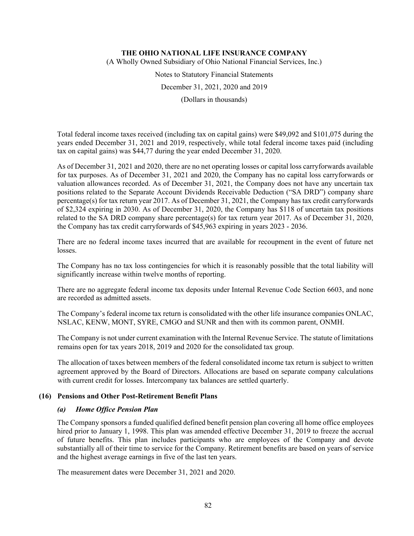(A Wholly Owned Subsidiary of Ohio National Financial Services, Inc.)

Notes to Statutory Financial Statements

December 31, 2021, 2020 and 2019

(Dollars in thousands)

Total federal income taxes received (including tax on capital gains) were \$49,092 and \$101,075 during the years ended December 31, 2021 and 2019, respectively, while total federal income taxes paid (including tax on capital gains) was \$44,77 during the year ended December 31, 2020.

As of December 31, 2021 and 2020, there are no net operating losses or capital loss carryforwards available for tax purposes. As of December 31, 2021 and 2020, the Company has no capital loss carryforwards or valuation allowances recorded. As of December 31, 2021, the Company does not have any uncertain tax positions related to the Separate Account Dividends Receivable Deduction ("SA DRD") company share percentage(s) for tax return year 2017. As of December 31, 2021, the Company has tax credit carryforwards of \$2,324 expiring in 2030. As of December 31, 2020, the Company has \$118 of uncertain tax positions related to the SA DRD company share percentage(s) for tax return year 2017. As of December 31, 2020, the Company has tax credit carryforwards of \$45,963 expiring in years 2023 - 2036.

There are no federal income taxes incurred that are available for recoupment in the event of future net losses.

The Company has no tax loss contingencies for which it is reasonably possible that the total liability will significantly increase within twelve months of reporting.

There are no aggregate federal income tax deposits under Internal Revenue Code Section 6603, and none are recorded as admitted assets.

The Company's federal income tax return is consolidated with the other life insurance companies ONLAC, NSLAC, KENW, MONT, SYRE, CMGO and SUNR and then with its common parent, ONMH.

The Company is not under current examination with the Internal Revenue Service. The statute of limitations remains open for tax years 2018, 2019 and 2020 for the consolidated tax group.

The allocation of taxes between members of the federal consolidated income tax return is subject to written agreement approved by the Board of Directors. Allocations are based on separate company calculations with current credit for losses. Intercompany tax balances are settled quarterly.

#### **(16) Pensions and Other Post-Retirement Benefit Plans**

#### *(a) Home Office Pension Plan*

The Company sponsors a funded qualified defined benefit pension plan covering all home office employees hired prior to January 1, 1998. This plan was amended effective December 31, 2019 to freeze the accrual of future benefits. This plan includes participants who are employees of the Company and devote substantially all of their time to service for the Company. Retirement benefits are based on years of service and the highest average earnings in five of the last ten years.

The measurement dates were December 31, 2021 and 2020.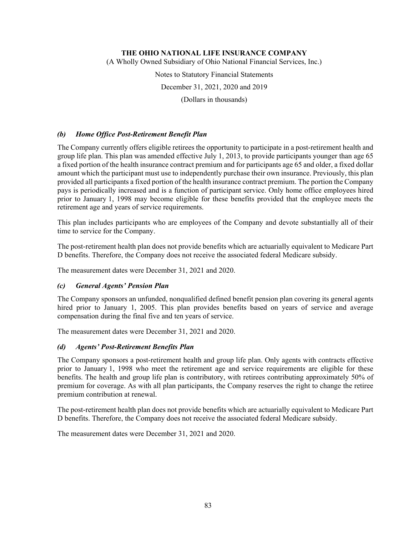(A Wholly Owned Subsidiary of Ohio National Financial Services, Inc.)

Notes to Statutory Financial Statements

December 31, 2021, 2020 and 2019

(Dollars in thousands)

# *(b) Home Office Post-Retirement Benefit Plan*

The Company currently offers eligible retirees the opportunity to participate in a post-retirement health and group life plan. This plan was amended effective July 1, 2013, to provide participants younger than age 65 a fixed portion of the health insurance contract premium and for participants age 65 and older, a fixed dollar amount which the participant must use to independently purchase their own insurance. Previously, this plan provided all participants a fixed portion of the health insurance contract premium. The portion the Company pays is periodically increased and is a function of participant service. Only home office employees hired prior to January 1, 1998 may become eligible for these benefits provided that the employee meets the retirement age and years of service requirements.

This plan includes participants who are employees of the Company and devote substantially all of their time to service for the Company.

The post-retirement health plan does not provide benefits which are actuarially equivalent to Medicare Part D benefits. Therefore, the Company does not receive the associated federal Medicare subsidy.

The measurement dates were December 31, 2021 and 2020.

# *(c) General Agents' Pension Plan*

The Company sponsors an unfunded, nonqualified defined benefit pension plan covering its general agents hired prior to January 1, 2005. This plan provides benefits based on years of service and average compensation during the final five and ten years of service.

The measurement dates were December 31, 2021 and 2020.

# *(d) Agents' Post-Retirement Benefits Plan*

The Company sponsors a post-retirement health and group life plan. Only agents with contracts effective prior to January 1, 1998 who meet the retirement age and service requirements are eligible for these benefits. The health and group life plan is contributory, with retirees contributing approximately 50% of premium for coverage. As with all plan participants, the Company reserves the right to change the retiree premium contribution at renewal.

The post-retirement health plan does not provide benefits which are actuarially equivalent to Medicare Part D benefits. Therefore, the Company does not receive the associated federal Medicare subsidy.

The measurement dates were December 31, 2021 and 2020.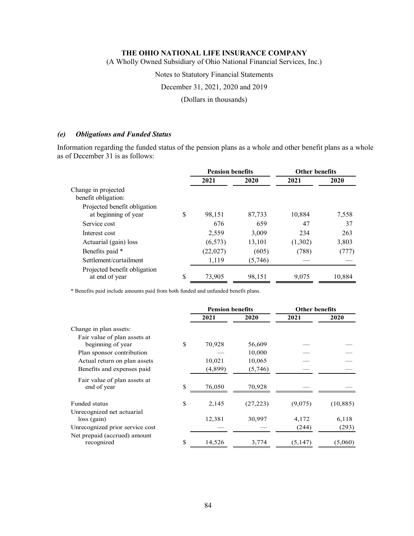(A Wholly Owned Subsidiary of Ohio National Financial Services, Inc.)

Notes to Statutory Financial Statements

December 31, 2021, 2020 and 2019

(Dollars in thousands)

#### *(e) Obligations and Funded Status*

Information regarding the funded status of the pension plans as a whole and other benefit plans as a whole as of December 31 is as follows:

|                                                      |    | <b>Pension benefits</b> |         | <b>Other benefits</b> |        |
|------------------------------------------------------|----|-------------------------|---------|-----------------------|--------|
| Change in projected                                  |    | 2021                    | 2020    | 2021                  | 2020   |
| benefit obligation:                                  |    |                         |         |                       |        |
| Projected benefit obligation<br>at beginning of year | \$ | 98,151                  | 87,733  | 10,884                | 7,558  |
| Service cost                                         |    | 676                     | 659     | 47                    | 37     |
| Interest cost                                        |    | 2,559                   | 3.009   | 234                   | 263    |
| Actuarial (gain) loss                                |    | (6, 573)                | 13,101  | (1,302)               | 3,803  |
| Benefits paid *                                      |    | (22,027)                | (605)   | (788)                 | (777)  |
| Settlement/curtailment                               |    | 1,119                   | (5,746) |                       |        |
| Projected benefit obligation<br>at end of year       | \$ | 73,905                  | 98,151  | 9,075                 | 10,884 |

\* Benefits paid include amounts paid from both funded and unfunded benefit plans.

|                                 |    | <b>Pension benefits</b> |           | <b>Other benefits</b> |           |
|---------------------------------|----|-------------------------|-----------|-----------------------|-----------|
|                                 |    | 2021                    | 2020      | 2021                  | 2020      |
| Change in plan assets:          |    |                         |           |                       |           |
| Fair value of plan assets at    |    |                         |           |                       |           |
| beginning of year               | \$ | 70,928                  | 56,609    |                       |           |
| Plan sponsor contribution       |    |                         | 10,000    |                       |           |
| Actual return on plan assets    |    | 10,021                  | 10,065    |                       |           |
| Benefits and expenses paid      |    | (4,899)                 | (5,746)   |                       |           |
| Fair value of plan assets at    |    |                         |           |                       |           |
| end of year                     | S  | 76,050                  | 70,928    |                       |           |
| Funded status                   | \$ | 2,145                   | (27, 223) | (9,075)               | (10, 885) |
| Unrecognized net actuarial      |    |                         |           |                       |           |
| $loss$ (gain)                   |    | 12,381                  | 30,997    | 4,172                 | 6,118     |
| Unrecognized prior service cost |    |                         |           | (244)                 | (293)     |
| Net prepaid (accrued) amount    |    |                         |           |                       |           |
| recognized                      | S  | 14,526                  | 3,774     | (5, 147)              | (5,060)   |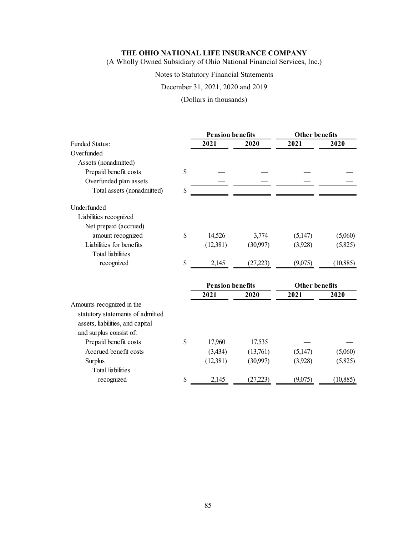(A Wholly Owned Subsidiary of Ohio National Financial Services, Inc.)

# Notes to Statutory Financial Statements

December 31, 2021, 2020 and 2019

# (Dollars in thousands)

|              |                                | Other benefits                                                                       |                    |
|--------------|--------------------------------|--------------------------------------------------------------------------------------|--------------------|
| 2021         | 2020                           | 2021                                                                                 | 2020               |
|              |                                |                                                                                      |                    |
|              |                                |                                                                                      |                    |
| \$           |                                |                                                                                      |                    |
|              |                                |                                                                                      |                    |
| \$           |                                |                                                                                      |                    |
|              |                                |                                                                                      |                    |
|              |                                |                                                                                      |                    |
|              |                                |                                                                                      |                    |
| \$<br>14,526 | 3,774                          | (5,147)                                                                              | (5,060)            |
| (12,381)     | (30,997)                       | (3,928)                                                                              | (5,825)            |
|              |                                |                                                                                      |                    |
| \$<br>2,145  | (27, 223)                      | (9,075)                                                                              | (10, 885)          |
|              |                                | Other benefits                                                                       |                    |
| 2021         | 2020                           | 2021                                                                                 | 2020               |
|              |                                |                                                                                      |                    |
| \$           |                                |                                                                                      |                    |
|              |                                |                                                                                      | (5,060)            |
|              |                                |                                                                                      | (5,825)            |
|              |                                |                                                                                      |                    |
| \$<br>2,145  | (27, 223)                      | (9,075)                                                                              | (10, 885)          |
|              | 17,960<br>(3, 434)<br>(12,381) | <b>Pension benefits</b><br><b>Pension benefits</b><br>17,535<br>(13,761)<br>(30,997) | (5,147)<br>(3,928) |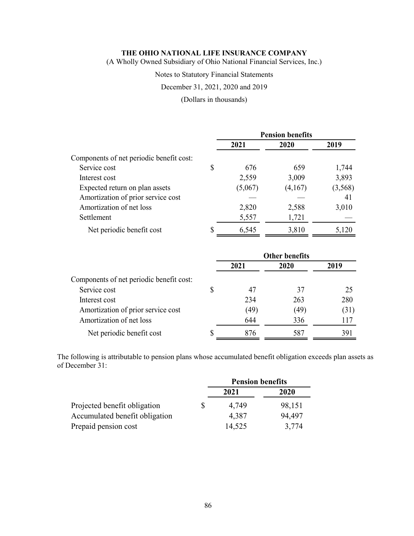(A Wholly Owned Subsidiary of Ohio National Financial Services, Inc.)

## Notes to Statutory Financial Statements

# December 31, 2021, 2020 and 2019

## (Dollars in thousands)

|                                          |   | <b>Pension benefits</b> |         |         |  |
|------------------------------------------|---|-------------------------|---------|---------|--|
|                                          |   | 2021                    | 2020    | 2019    |  |
| Components of net periodic benefit cost: |   |                         |         |         |  |
| Service cost                             | S | 676                     | 659     | 1,744   |  |
| Interest cost                            |   | 2,559                   | 3,009   | 3,893   |  |
| Expected return on plan assets           |   | (5,067)                 | (4,167) | (3,568) |  |
| Amortization of prior service cost       |   |                         |         | 41      |  |
| Amortization of net loss                 |   | 2,820                   | 2,588   | 3,010   |  |
| Settlement                               |   | 5,557                   | 1,721   |         |  |
| Net periodic benefit cost                |   | 6,545                   | 3,810   | 5,120   |  |

|                                          |    | <b>Other benefits</b> |      |      |
|------------------------------------------|----|-----------------------|------|------|
| 2021<br>2020                             |    | 2019                  |      |      |
| Components of net periodic benefit cost: |    |                       |      |      |
| Service cost                             | S  | 47                    | 37   | 25   |
| Interest cost                            |    | 234                   | 263  | 280  |
| Amortization of prior service cost       |    | (49)                  | (49) | (31) |
| Amortization of net loss                 |    | 644                   | 336  | 117  |
| Net periodic benefit cost                | J. | 876                   | 587  | 391  |

The following is attributable to pension plans whose accumulated benefit obligation exceeds plan assets as of December 31:

|                                |   | <b>Pension benefits</b> |        |  |
|--------------------------------|---|-------------------------|--------|--|
|                                |   | 2021                    | 2020   |  |
| Projected benefit obligation   | S | 4.749                   | 98,151 |  |
| Accumulated benefit obligation |   | 4.387                   | 94,497 |  |
| Prepaid pension cost           |   | 14,525                  | 3,774  |  |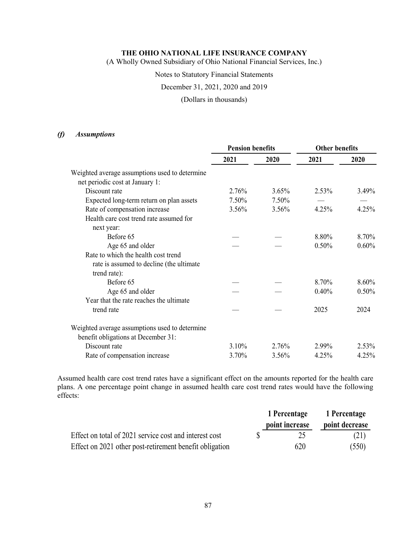(A Wholly Owned Subsidiary of Ohio National Financial Services, Inc.)

## Notes to Statutory Financial Statements

# December 31, 2021, 2020 and 2019

# (Dollars in thousands)

## *(f) Assumptions*

|                                                | <b>Pension benefits</b> |          | <b>Other benefits</b> |          |
|------------------------------------------------|-------------------------|----------|-----------------------|----------|
|                                                | 2021                    | 2020     | 2021                  | 2020     |
| Weighted average assumptions used to determine |                         |          |                       |          |
| net periodic cost at January 1:                |                         |          |                       |          |
| Discount rate                                  | 2.76%                   | $3.65\%$ | $2.53\%$              | $3.49\%$ |
| Expected long-term return on plan assets       | 7.50%                   | 7.50%    |                       |          |
| Rate of compensation increase                  | 3.56%                   | 3.56%    | 4.25%                 | 4.25%    |
| Health care cost trend rate assumed for        |                         |          |                       |          |
| next year:                                     |                         |          |                       |          |
| Before 65                                      |                         |          | 8.80%                 | 8.70%    |
| Age 65 and older                               |                         |          | 0.50%                 | 0.60%    |
| Rate to which the health cost trend            |                         |          |                       |          |
| rate is assumed to decline (the ultimate       |                         |          |                       |          |
| trend rate):                                   |                         |          |                       |          |
| Before 65                                      |                         |          | 8.70%                 | 8.60%    |
| Age 65 and older                               |                         |          | 0.40%                 | 0.50%    |
| Year that the rate reaches the ultimate        |                         |          |                       |          |
| trend rate                                     |                         |          | 2025                  | 2024     |
| Weighted average assumptions used to determine |                         |          |                       |          |
| benefit obligations at December 31:            |                         |          |                       |          |
| Discount rate                                  | 3.10%                   | 2.76%    | 2.99%                 | 2.53%    |
| Rate of compensation increase                  | 3.70%                   | 3.56%    | 4.25%                 | 4.25%    |

Assumed health care cost trend rates have a significant effect on the amounts reported for the health care plans. A one percentage point change in assumed health care cost trend rates would have the following effects:

|                                                         |                | 1 Percentage 1 Percentage |
|---------------------------------------------------------|----------------|---------------------------|
|                                                         | point increase | point decrease            |
| Effect on total of 2021 service cost and interest cost  |                | (21)                      |
| Effect on 2021 other post-retirement benefit obligation | 620            | (550)                     |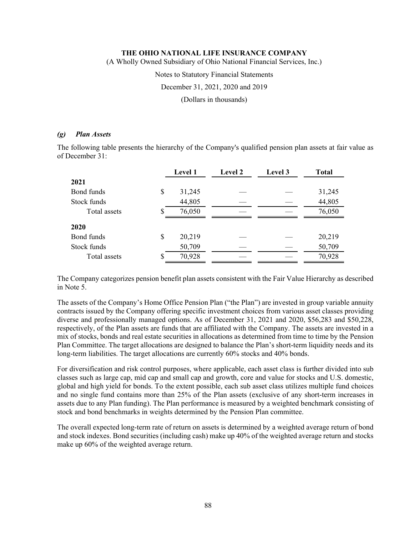(A Wholly Owned Subsidiary of Ohio National Financial Services, Inc.)

Notes to Statutory Financial Statements

December 31, 2021, 2020 and 2019

(Dollars in thousands)

## *(g) Plan Assets*

The following table presents the hierarchy of the Company's qualified pension plan assets at fair value as of December 31:

|              |    | Level 1 | Level 2 | Level 3 | <b>Total</b> |
|--------------|----|---------|---------|---------|--------------|
| 2021         |    |         |         |         |              |
| Bond funds   | \$ | 31,245  |         |         | 31,245       |
| Stock funds  |    | 44,805  |         |         | 44,805       |
| Total assets | S  | 76,050  |         |         | 76,050       |
| 2020         |    |         |         |         |              |
| Bond funds   | \$ | 20,219  |         |         | 20,219       |
| Stock funds  |    | 50,709  |         |         | 50,709       |
| Total assets | S  | 70,928  |         |         | 70,928       |

The Company categorizes pension benefit plan assets consistent with the Fair Value Hierarchy as described in Note 5.

The assets of the Company's Home Office Pension Plan ("the Plan") are invested in group variable annuity contracts issued by the Company offering specific investment choices from various asset classes providing diverse and professionally managed options. As of December 31, 2021 and 2020, \$56,283 and \$50,228, respectively, of the Plan assets are funds that are affiliated with the Company. The assets are invested in a mix of stocks, bonds and real estate securities in allocations as determined from time to time by the Pension Plan Committee. The target allocations are designed to balance the Plan's short-term liquidity needs and its long-term liabilities. The target allocations are currently 60% stocks and 40% bonds.

For diversification and risk control purposes, where applicable, each asset class is further divided into sub classes such as large cap, mid cap and small cap and growth, core and value for stocks and U.S. domestic, global and high yield for bonds. To the extent possible, each sub asset class utilizes multiple fund choices and no single fund contains more than 25% of the Plan assets (exclusive of any short-term increases in assets due to any Plan funding). The Plan performance is measured by a weighted benchmark consisting of stock and bond benchmarks in weights determined by the Pension Plan committee.

The overall expected long-term rate of return on assets is determined by a weighted average return of bond and stock indexes. Bond securities (including cash) make up 40% of the weighted average return and stocks make up 60% of the weighted average return.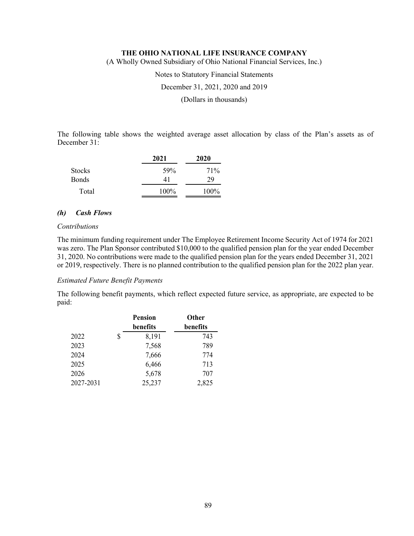(A Wholly Owned Subsidiary of Ohio National Financial Services, Inc.)

Notes to Statutory Financial Statements

December 31, 2021, 2020 and 2019

(Dollars in thousands)

The following table shows the weighted average asset allocation by class of the Plan's assets as of December 31:

|               | 2021 | 2020 |
|---------------|------|------|
| <b>Stocks</b> | 59%  | 71%  |
| <b>Bonds</b>  | 41   | 29   |
| Total         | 100% | 100% |

# *(h) Cash Flows*

#### *Contributions*

The minimum funding requirement under The Employee Retirement Income Security Act of 1974 for 2021 was zero. The Plan Sponsor contributed \$10,000 to the qualified pension plan for the year ended December 31, 2020. No contributions were made to the qualified pension plan for the years ended December 31, 2021 or 2019, respectively. There is no planned contribution to the qualified pension plan for the 2022 plan year.

#### *Estimated Future Benefit Payments*

The following benefit payments, which reflect expected future service, as appropriate, are expected to be paid:

|           | <b>Pension</b> | <b>Other</b> |
|-----------|----------------|--------------|
|           | benefits       | benefits     |
| 2022      | \$<br>8,191    | 743          |
| 2023      | 7,568          | 789          |
| 2024      | 7,666          | 774          |
| 2025      | 6,466          | 713          |
| 2026      | 5,678          | 707          |
| 2027-2031 | 25,237         | 2,825        |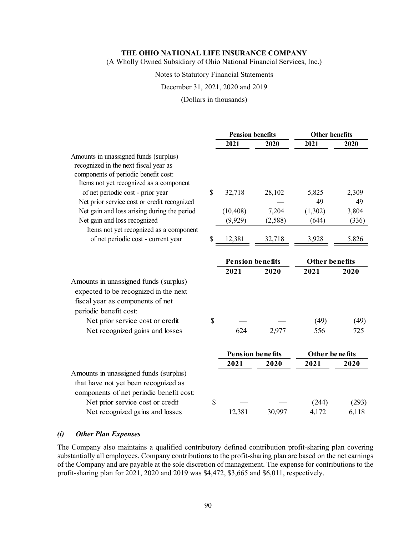(A Wholly Owned Subsidiary of Ohio National Financial Services, Inc.)

## Notes to Statutory Financial Statements

## December 31, 2021, 2020 and 2019

## (Dollars in thousands)

|                                                                                                                                                                                  |              | <b>Pension benefits</b> |         | <b>Other benefits</b> |             |
|----------------------------------------------------------------------------------------------------------------------------------------------------------------------------------|--------------|-------------------------|---------|-----------------------|-------------|
|                                                                                                                                                                                  |              | 2021                    | 2020    | 2021                  | 2020        |
| Amounts in unassigned funds (surplus)<br>recognized in the next fiscal year as<br>components of periodic benefit cost:<br>Items not yet recognized as a component                |              |                         |         |                       |             |
| of net periodic cost - prior year                                                                                                                                                | \$           | 32,718                  | 28,102  | 5,825                 | 2,309       |
| Net prior service cost or credit recognized                                                                                                                                      |              |                         | 7,204   | 49<br>(1,302)         | 49<br>3,804 |
| Net gain and loss arising during the period<br>Net gain and loss recognized                                                                                                      |              | (10, 408)<br>(9, 929)   | (2,588) | (644)                 | (336)       |
| Items not yet recognized as a component                                                                                                                                          |              |                         |         |                       |             |
| of net periodic cost - current year                                                                                                                                              | \$           | 12,381                  | 32,718  | 3,928                 | 5,826       |
|                                                                                                                                                                                  |              | <b>Pension benefits</b> |         | Other benefits        |             |
|                                                                                                                                                                                  |              | 2021                    | 2020    | 2021                  | 2020        |
| Amounts in unassigned funds (surplus)<br>expected to be recognized in the next<br>fiscal year as components of net<br>periodic benefit cost:<br>Net prior service cost or credit | $\mathbb{S}$ |                         |         | (49)                  | (49)        |
| Net recognized gains and losses                                                                                                                                                  |              | 624                     | 2,977   | 556                   | 725         |
|                                                                                                                                                                                  |              | <b>Pension benefits</b> |         | Other benefits        |             |
|                                                                                                                                                                                  |              | 2021                    | 2020    | 2021                  | 2020        |
| Amounts in unassigned funds (surplus)<br>that have not yet been recognized as<br>components of net periodic benefit cost:                                                        |              |                         |         |                       |             |
| Net prior service cost or credit                                                                                                                                                 | \$           |                         |         | (244)                 | (293)       |
| Net recognized gains and losses                                                                                                                                                  |              | 12,381                  | 30,997  | 4,172                 | 6,118       |

#### *(i) Other Plan Expenses*

The Company also maintains a qualified contributory defined contribution profit-sharing plan covering substantially all employees. Company contributions to the profit-sharing plan are based on the net earnings of the Company and are payable at the sole discretion of management. The expense for contributions to the profit-sharing plan for 2021, 2020 and 2019 was \$4,472, \$3,665 and \$6,011, respectively.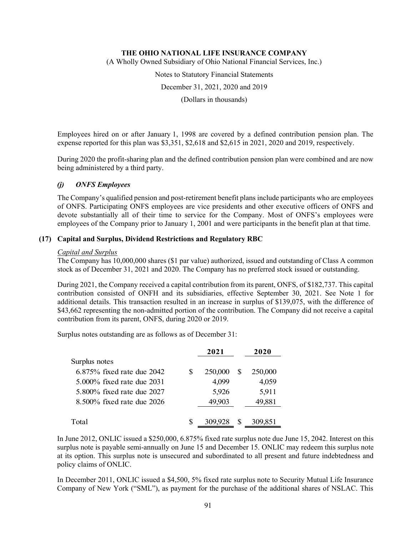(A Wholly Owned Subsidiary of Ohio National Financial Services, Inc.)

Notes to Statutory Financial Statements

December 31, 2021, 2020 and 2019

(Dollars in thousands)

Employees hired on or after January 1, 1998 are covered by a defined contribution pension plan. The expense reported for this plan was \$3,351, \$2,618 and \$2,615 in 2021, 2020 and 2019, respectively.

During 2020 the profit-sharing plan and the defined contribution pension plan were combined and are now being administered by a third party.

### *(j) ONFS Employees*

The Company's qualified pension and post-retirement benefit plans include participants who are employees of ONFS. Participating ONFS employees are vice presidents and other executive officers of ONFS and devote substantially all of their time to service for the Company. Most of ONFS's employees were employees of the Company prior to January 1, 2001 and were participants in the benefit plan at that time.

## **(17) Capital and Surplus, Dividend Restrictions and Regulatory RBC**

#### *Capital and Surplus*

The Company has 10,000,000 shares (\$1 par value) authorized, issued and outstanding of Class A common stock as of December 31, 2021 and 2020. The Company has no preferred stock issued or outstanding.

During 2021, the Company received a capital contribution from its parent, ONFS, of \$182,737. This capital contribution consisted of ONFH and its subsidiaries, effective September 30, 2021. See Note 1 for additional details. This transaction resulted in an increase in surplus of \$139,075, with the difference of \$43,662 representing the non-admitted portion of the contribution. The Company did not receive a capital contribution from its parent, ONFS, during 2020 or 2019.

Surplus notes outstanding are as follows as of December 31:

|                               |   | 2021    | 2020    |
|-------------------------------|---|---------|---------|
| Surplus notes                 |   |         |         |
| $6.875\%$ fixed rate due 2042 | S | 250,000 | 250,000 |
| 5,000% fixed rate due 2031    |   | 4,099   | 4,059   |
| 5.800% fixed rate due 2027    |   | 5,926   | 5,911   |
| 8.500% fixed rate due 2026    |   | 49,903  | 49,881  |
|                               |   |         |         |
| Total                         | S | 309,928 | 309,851 |

In June 2012, ONLIC issued a \$250,000, 6.875% fixed rate surplus note due June 15, 2042. Interest on this surplus note is payable semi-annually on June 15 and December 15. ONLIC may redeem this surplus note at its option. This surplus note is unsecured and subordinated to all present and future indebtedness and policy claims of ONLIC.

In December 2011, ONLIC issued a \$4,500, 5% fixed rate surplus note to Security Mutual Life Insurance Company of New York ("SML"), as payment for the purchase of the additional shares of NSLAC. This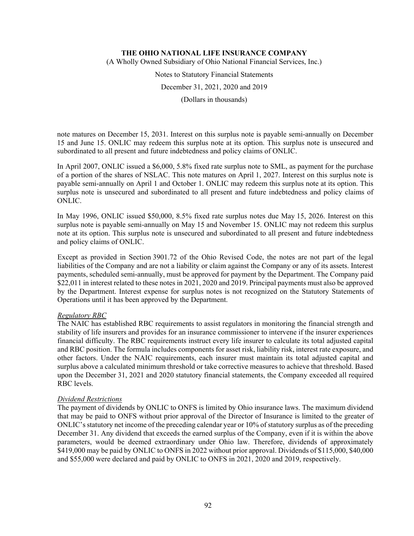(A Wholly Owned Subsidiary of Ohio National Financial Services, Inc.)

Notes to Statutory Financial Statements

December 31, 2021, 2020 and 2019

(Dollars in thousands)

note matures on December 15, 2031. Interest on this surplus note is payable semi-annually on December 15 and June 15. ONLIC may redeem this surplus note at its option. This surplus note is unsecured and subordinated to all present and future indebtedness and policy claims of ONLIC.

In April 2007, ONLIC issued a \$6,000, 5.8% fixed rate surplus note to SML, as payment for the purchase of a portion of the shares of NSLAC. This note matures on April 1, 2027. Interest on this surplus note is payable semi-annually on April 1 and October 1. ONLIC may redeem this surplus note at its option. This surplus note is unsecured and subordinated to all present and future indebtedness and policy claims of ONLIC.

In May 1996, ONLIC issued \$50,000, 8.5% fixed rate surplus notes due May 15, 2026. Interest on this surplus note is payable semi-annually on May 15 and November 15. ONLIC may not redeem this surplus note at its option. This surplus note is unsecured and subordinated to all present and future indebtedness and policy claims of ONLIC.

Except as provided in Section 3901.72 of the Ohio Revised Code, the notes are not part of the legal liabilities of the Company and are not a liability or claim against the Company or any of its assets. Interest payments, scheduled semi-annually, must be approved for payment by the Department. The Company paid \$22,011 in interest related to these notes in 2021, 2020 and 2019. Principal payments must also be approved by the Department. Interest expense for surplus notes is not recognized on the Statutory Statements of Operations until it has been approved by the Department.

#### *Regulatory RBC*

The NAIC has established RBC requirements to assist regulators in monitoring the financial strength and stability of life insurers and provides for an insurance commissioner to intervene if the insurer experiences financial difficulty. The RBC requirements instruct every life insurer to calculate its total adjusted capital and RBC position. The formula includes components for asset risk, liability risk, interest rate exposure, and other factors. Under the NAIC requirements, each insurer must maintain its total adjusted capital and surplus above a calculated minimum threshold or take corrective measures to achieve that threshold. Based upon the December 31, 2021 and 2020 statutory financial statements, the Company exceeded all required RBC levels.

#### *Dividend Restrictions*

The payment of dividends by ONLIC to ONFS is limited by Ohio insurance laws. The maximum dividend that may be paid to ONFS without prior approval of the Director of Insurance is limited to the greater of ONLIC's statutory net income of the preceding calendar year or 10% of statutory surplus as of the preceding December 31. Any dividend that exceeds the earned surplus of the Company, even if it is within the above parameters, would be deemed extraordinary under Ohio law. Therefore, dividends of approximately \$419,000 may be paid by ONLIC to ONFS in 2022 without prior approval. Dividends of \$115,000, \$40,000 and \$55,000 were declared and paid by ONLIC to ONFS in 2021, 2020 and 2019, respectively.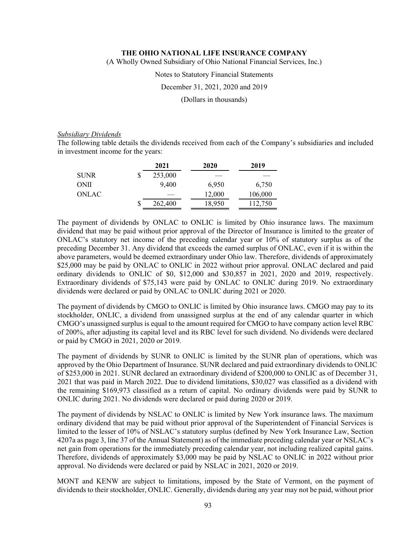(A Wholly Owned Subsidiary of Ohio National Financial Services, Inc.)

Notes to Statutory Financial Statements

December 31, 2021, 2020 and 2019

(Dollars in thousands)

#### *Subsidiary Dividends*

The following table details the dividends received from each of the Company's subsidiaries and included in investment income for the years:

|             |   | 2021    | 2020   | 2019    |
|-------------|---|---------|--------|---------|
| <b>SUNR</b> | S | 253,000 |        |         |
| ONII        |   | 9.400   | 6,950  | 6,750   |
| ONLAC       |   |         | 12,000 | 106,000 |
|             | S | 262,400 | 18,950 | 112,750 |

The payment of dividends by ONLAC to ONLIC is limited by Ohio insurance laws. The maximum dividend that may be paid without prior approval of the Director of Insurance is limited to the greater of ONLAC's statutory net income of the preceding calendar year or 10% of statutory surplus as of the preceding December 31. Any dividend that exceeds the earned surplus of ONLAC, even if it is within the above parameters, would be deemed extraordinary under Ohio law. Therefore, dividends of approximately \$25,000 may be paid by ONLAC to ONLIC in 2022 without prior approval. ONLAC declared and paid ordinary dividends to ONLIC of \$0, \$12,000 and \$30,857 in 2021, 2020 and 2019, respectively. Extraordinary dividends of \$75,143 were paid by ONLAC to ONLIC during 2019. No extraordinary dividends were declared or paid by ONLAC to ONLIC during 2021 or 2020.

The payment of dividends by CMGO to ONLIC is limited by Ohio insurance laws. CMGO may pay to its stockholder, ONLIC, a dividend from unassigned surplus at the end of any calendar quarter in which CMGO's unassigned surplus is equal to the amount required for CMGO to have company action level RBC of 200%, after adjusting its capital level and its RBC level for such dividend. No dividends were declared or paid by CMGO in 2021, 2020 or 2019.

The payment of dividends by SUNR to ONLIC is limited by the SUNR plan of operations, which was approved by the Ohio Department of Insurance. SUNR declared and paid extraordinary dividends to ONLIC of \$253,000 in 2021. SUNR declared an extraordinary dividend of \$200,000 to ONLIC as of December 31, 2021 that was paid in March 2022. Due to dividend limitations, \$30,027 was classified as a dividend with the remaining \$169,973 classified as a return of capital. No ordinary dividends were paid by SUNR to ONLIC during 2021. No dividends were declared or paid during 2020 or 2019.

The payment of dividends by NSLAC to ONLIC is limited by New York insurance laws. The maximum ordinary dividend that may be paid without prior approval of the Superintendent of Financial Services is limited to the lesser of 10% of NSLAC's statutory surplus (defined by New York Insurance Law, Section 4207a as page 3, line 37 of the Annual Statement) as of the immediate preceding calendar year or NSLAC's net gain from operations for the immediately preceding calendar year, not including realized capital gains. Therefore, dividends of approximately \$3,000 may be paid by NSLAC to ONLIC in 2022 without prior approval. No dividends were declared or paid by NSLAC in 2021, 2020 or 2019.

MONT and KENW are subject to limitations, imposed by the State of Vermont, on the payment of dividends to their stockholder, ONLIC. Generally, dividends during any year may not be paid, without prior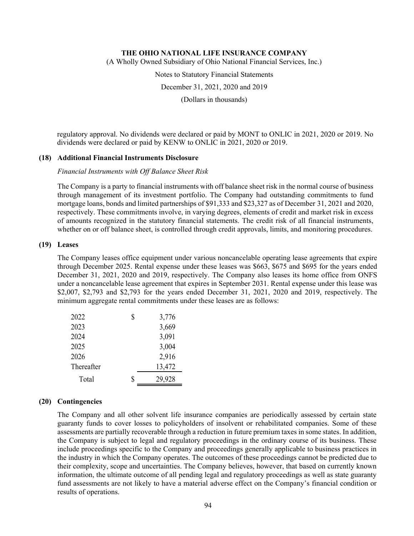(A Wholly Owned Subsidiary of Ohio National Financial Services, Inc.)

Notes to Statutory Financial Statements

December 31, 2021, 2020 and 2019

(Dollars in thousands)

regulatory approval. No dividends were declared or paid by MONT to ONLIC in 2021, 2020 or 2019. No dividends were declared or paid by KENW to ONLIC in 2021, 2020 or 2019.

#### **(18) Additional Financial Instruments Disclosure**

#### *Financial Instruments with Off Balance Sheet Risk*

The Company is a party to financial instruments with off balance sheet risk in the normal course of business through management of its investment portfolio. The Company had outstanding commitments to fund mortgage loans, bonds and limited partnerships of \$91,333 and \$23,327 as of December 31, 2021 and 2020, respectively. These commitments involve, in varying degrees, elements of credit and market risk in excess of amounts recognized in the statutory financial statements. The credit risk of all financial instruments, whether on or off balance sheet, is controlled through credit approvals, limits, and monitoring procedures.

#### **(19) Leases**

The Company leases office equipment under various noncancelable operating lease agreements that expire through December 2025. Rental expense under these leases was \$663, \$675 and \$695 for the years ended December 31, 2021, 2020 and 2019, respectively. The Company also leases its home office from ONFS under a noncancelable lease agreement that expires in September 2031. Rental expense under this lease was \$2,007, \$2,793 and \$2,793 for the years ended December 31, 2021, 2020 and 2019, respectively. The minimum aggregate rental commitments under these leases are as follows:

| 2022       | S  | 3,776  |
|------------|----|--------|
| 2023       |    | 3,669  |
| 2024       |    | 3,091  |
| 2025       |    | 3,004  |
| 2026       |    | 2,916  |
| Thereafter |    | 13,472 |
| Total      | \$ | 29,928 |

#### **(20) Contingencies**

The Company and all other solvent life insurance companies are periodically assessed by certain state guaranty funds to cover losses to policyholders of insolvent or rehabilitated companies. Some of these assessments are partially recoverable through a reduction in future premium taxes in some states. In addition, the Company is subject to legal and regulatory proceedings in the ordinary course of its business. These include proceedings specific to the Company and proceedings generally applicable to business practices in the industry in which the Company operates. The outcomes of these proceedings cannot be predicted due to their complexity, scope and uncertainties. The Company believes, however, that based on currently known information, the ultimate outcome of all pending legal and regulatory proceedings as well as state guaranty fund assessments are not likely to have a material adverse effect on the Company's financial condition or results of operations.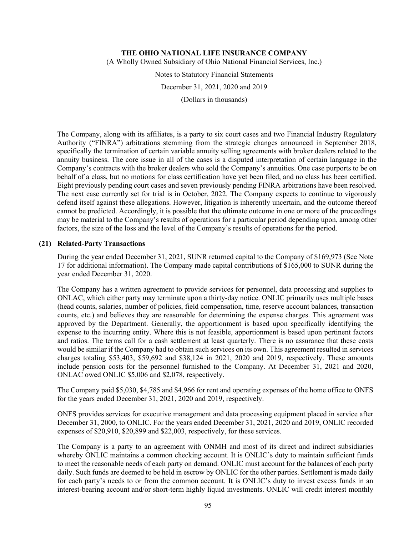(A Wholly Owned Subsidiary of Ohio National Financial Services, Inc.)

Notes to Statutory Financial Statements

December 31, 2021, 2020 and 2019

(Dollars in thousands)

The Company, along with its affiliates, is a party to six court cases and two Financial Industry Regulatory Authority ("FINRA") arbitrations stemming from the strategic changes announced in September 2018, specifically the termination of certain variable annuity selling agreements with broker dealers related to the annuity business. The core issue in all of the cases is a disputed interpretation of certain language in the Company's contracts with the broker dealers who sold the Company's annuities. One case purports to be on behalf of a class, but no motions for class certification have yet been filed, and no class has been certified. Eight previously pending court cases and seven previously pending FINRA arbitrations have been resolved. The next case currently set for trial is in October, 2022. The Company expects to continue to vigorously defend itself against these allegations. However, litigation is inherently uncertain, and the outcome thereof cannot be predicted. Accordingly, it is possible that the ultimate outcome in one or more of the proceedings may be material to the Company's results of operations for a particular period depending upon, among other factors, the size of the loss and the level of the Company's results of operations for the period.

## **(21) Related-Party Transactions**

During the year ended December 31, 2021, SUNR returned capital to the Company of \$169,973 (See Note 17 for additional information). The Company made capital contributions of \$165,000 to SUNR during the year ended December 31, 2020.

The Company has a written agreement to provide services for personnel, data processing and supplies to ONLAC, which either party may terminate upon a thirty-day notice. ONLIC primarily uses multiple bases (head counts, salaries, number of policies, field compensation, time, reserve account balances, transaction counts, etc.) and believes they are reasonable for determining the expense charges. This agreement was approved by the Department. Generally, the apportionment is based upon specifically identifying the expense to the incurring entity. Where this is not feasible, apportionment is based upon pertinent factors and ratios. The terms call for a cash settlement at least quarterly. There is no assurance that these costs would be similar if the Company had to obtain such services on its own. This agreement resulted in services charges totaling \$53,403, \$59,692 and \$38,124 in 2021, 2020 and 2019, respectively. These amounts include pension costs for the personnel furnished to the Company. At December 31, 2021 and 2020, ONLAC owed ONLIC \$5,006 and \$2,078, respectively.

The Company paid \$5,030, \$4,785 and \$4,966 for rent and operating expenses of the home office to ONFS for the years ended December 31, 2021, 2020 and 2019, respectively.

ONFS provides services for executive management and data processing equipment placed in service after December 31, 2000, to ONLIC. For the years ended December 31, 2021, 2020 and 2019, ONLIC recorded expenses of \$20,910, \$20,899 and \$22,003, respectively, for these services.

The Company is a party to an agreement with ONMH and most of its direct and indirect subsidiaries whereby ONLIC maintains a common checking account. It is ONLIC's duty to maintain sufficient funds to meet the reasonable needs of each party on demand. ONLIC must account for the balances of each party daily. Such funds are deemed to be held in escrow by ONLIC for the other parties. Settlement is made daily for each party's needs to or from the common account. It is ONLIC's duty to invest excess funds in an interest-bearing account and/or short-term highly liquid investments. ONLIC will credit interest monthly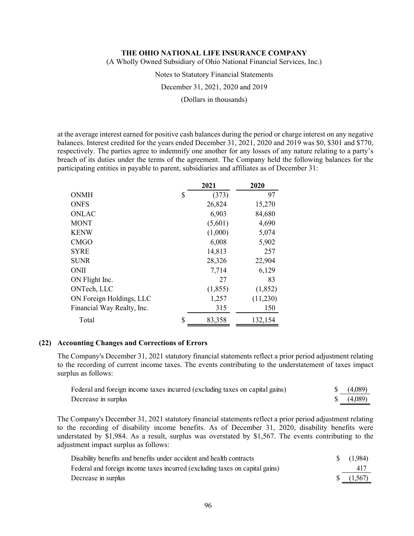(A Wholly Owned Subsidiary of Ohio National Financial Services, Inc.)

Notes to Statutory Financial Statements

December 31, 2021, 2020 and 2019

(Dollars in thousands)

at the average interest earned for positive cash balances during the period or charge interest on any negative balances. Interest credited for the years ended December 31, 2021, 2020 and 2019 was \$0, \$301 and \$770, respectively. The parties agree to indemnify one another for any losses of any nature relating to a party's breach of its duties under the terms of the agreement. The Company held the following balances for the participating entities in payable to parent, subsidiaries and affiliates as of December 31:

|                            | 2021         | 2020     |
|----------------------------|--------------|----------|
| <b>ONMH</b>                | \$<br>(373)  | 97       |
| <b>ONFS</b>                | 26,824       | 15,270   |
| ONLAC                      | 6,903        | 84,680   |
| <b>MONT</b>                | (5,601)      | 4,690    |
| <b>KENW</b>                | (1,000)      | 5,074    |
| <b>CMGO</b>                | 6,008        | 5,902    |
| <b>SYRE</b>                | 14,813       | 257      |
| <b>SUNR</b>                | 28,326       | 22,904   |
| <b>ONII</b>                | 7,714        | 6,129    |
| ON Flight Inc.             | 27           | 83       |
| ONTech, LLC                | (1,855)      | (1,852)  |
| ON Foreign Holdings, LLC   | 1,257        | (11,230) |
| Financial Way Realty, Inc. | 315          | 150      |
| Total                      | \$<br>83,358 | 132,154  |

#### **(22) Accounting Changes and Corrections of Errors**

The Company's December 31, 2021 statutory financial statements reflect a prior period adjustment relating to the recording of current income taxes. The events contributing to the understatement of taxes impact surplus as follows:

| Federal and foreign income taxes incurred (excluding taxes on capital gains) | $\frac{1}{2}$ (4,089) |
|------------------------------------------------------------------------------|-----------------------|
| Decrease in surplus                                                          | $\{(4,089)\}$         |

The Company's December 31, 2021 statutory financial statements reflect a prior period adjustment relating to the recording of disability income benefits. As of December 31, 2020, disability benefits were understated by \$1,984. As a result, surplus was overstated by \$1,567. The events contributing to the adjustment impact surplus as follows:

| Disability benefits and benefits under accident and health contracts         | $\frac{1}{984}$ |
|------------------------------------------------------------------------------|-----------------|
| Federal and foreign income taxes incurred (excluding taxes on capital gains) | 417             |
| Decrease in surplus                                                          | $\{(1,567)\}$   |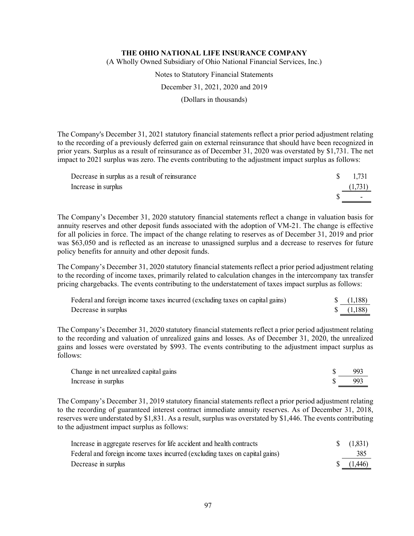(A Wholly Owned Subsidiary of Ohio National Financial Services, Inc.)

Notes to Statutory Financial Statements

December 31, 2021, 2020 and 2019

(Dollars in thousands)

The Company's December 31, 2021 statutory financial statements reflect a prior period adjustment relating to the recording of a previously deferred gain on external reinsurance that should have been recognized in prior years. Surplus as a result of reinsurance as of December 31, 2020 was overstated by \$1,731. The net impact to 2021 surplus was zero. The events contributing to the adjustment impact surplus as follows:

| Decrease in surplus as a result of reinsurance | \$ 1.731 |
|------------------------------------------------|----------|
| Increase in surplus                            | (1,731)  |
|                                                |          |

The Company's December 31, 2020 statutory financial statements reflect a change in valuation basis for annuity reserves and other deposit funds associated with the adoption of VM-21. The change is effective for all policies in force. The impact of the change relating to reserves as of December 31, 2019 and prior was \$63,050 and is reflected as an increase to unassigned surplus and a decrease to reserves for future policy benefits for annuity and other deposit funds.

The Company's December 31, 2020 statutory financial statements reflect a prior period adjustment relating to the recording of income taxes, primarily related to calculation changes in the intercompany tax transfer pricing chargebacks. The events contributing to the understatement of taxes impact surplus as follows:

| Federal and foreign income taxes incurred (excluding taxes on capital gains) | $\frac{1}{2}$ (1,188) |
|------------------------------------------------------------------------------|-----------------------|
| Decrease in surplus                                                          | $\frac{1}{2}$ (1,188) |

The Company's December 31, 2020 statutory financial statements reflect a prior period adjustment relating to the recording and valuation of unrealized gains and losses. As of December 31, 2020, the unrealized gains and losses were overstated by \$993. The events contributing to the adjustment impact surplus as follows:

| Change in net unrealized capital gains | 993  |
|----------------------------------------|------|
| Increase in surplus                    | -993 |

The Company's December 31, 2019 statutory financial statements reflect a prior period adjustment relating to the recording of guaranteed interest contract immediate annuity reserves. As of December 31, 2018, reserves were understated by \$1,831. As a result, surplus was overstated by \$1,446. The events contributing to the adjustment impact surplus as follows:

| Increase in aggregate reserves for life accident and health contracts        | (1,831) |
|------------------------------------------------------------------------------|---------|
| Federal and foreign income taxes incurred (excluding taxes on capital gains) | 385     |
| Decrease in surplus                                                          | (1,446) |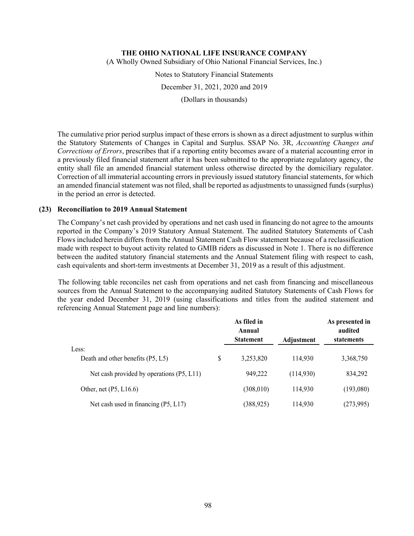(A Wholly Owned Subsidiary of Ohio National Financial Services, Inc.)

Notes to Statutory Financial Statements

December 31, 2021, 2020 and 2019

(Dollars in thousands)

The cumulative prior period surplus impact of these errors is shown as a direct adjustment to surplus within the Statutory Statements of Changes in Capital and Surplus. SSAP No. 3R, *Accounting Changes and Corrections of Errors*, prescribes that if a reporting entity becomes aware of a material accounting error in a previously filed financial statement after it has been submitted to the appropriate regulatory agency, the entity shall file an amended financial statement unless otherwise directed by the domiciliary regulator. Correction of all immaterial accounting errors in previously issued statutory financial statements, for which an amended financial statement was not filed, shall be reported as adjustments to unassigned funds (surplus) in the period an error is detected.

#### **(23) Reconciliation to 2019 Annual Statement**

The Company's net cash provided by operations and net cash used in financing do not agree to the amounts reported in the Company's 2019 Statutory Annual Statement. The audited Statutory Statements of Cash Flows included herein differs from the Annual Statement Cash Flow statement because of a reclassification made with respect to buyout activity related to GMIB riders as discussed in Note 1. There is no difference between the audited statutory financial statements and the Annual Statement filing with respect to cash, cash equivalents and short-term investments at December 31, 2019 as a result of this adjustment.

The following table reconciles net cash from operations and net cash from financing and miscellaneous sources from the Annual Statement to the accompanying audited Statutory Statements of Cash Flows for the year ended December 31, 2019 (using classifications and titles from the audited statement and referencing Annual Statement page and line numbers):

|                                           |   | As filed in<br>Annual<br><b>Statement</b> | <b>Adjustment</b> | As presented in<br>audited<br>statements |
|-------------------------------------------|---|-------------------------------------------|-------------------|------------------------------------------|
| Less:                                     |   |                                           |                   |                                          |
| Death and other benefits (P5, L5)         | S | 3,253,820                                 | 114,930           | 3,368,750                                |
| Net cash provided by operations (P5, L11) |   | 949,222                                   | (114,930)         | 834.292                                  |
| Other, net (P5, L16.6)                    |   | (308,010)                                 | 114,930           | (193,080)                                |
| Net cash used in financing (P5, L17)      |   | (388, 925)                                | 114,930           | (273,995)                                |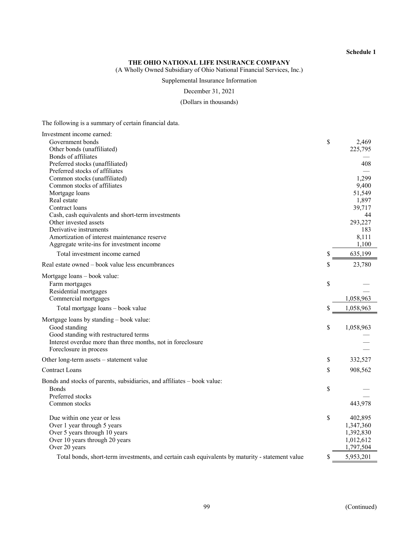#### **Schedule 1**

#### **THE OHIO NATIONAL LIFE INSURANCE COMPANY**

(A Wholly Owned Subsidiary of Ohio National Financial Services, Inc.)

# Supplemental Insurance Information

December 31, 2021

(Dollars in thousands)

The following is a summary of certain financial data.

| Investment income earned:                                                                       |                 |
|-------------------------------------------------------------------------------------------------|-----------------|
| Government bonds                                                                                | \$<br>2,469     |
| Other bonds (unaffiliated)                                                                      | 225,795         |
| Bonds of affiliates                                                                             |                 |
| Preferred stocks (unaffiliated)                                                                 | 408             |
| Preferred stocks of affiliates                                                                  |                 |
| Common stocks (unaffiliated)                                                                    | 1,299           |
| Common stocks of affiliates                                                                     | 9,400           |
| Mortgage loans                                                                                  | 51,549          |
| Real estate                                                                                     | 1,897           |
| Contract loans                                                                                  | 39,717          |
| Cash, cash equivalents and short-term investments                                               | 44              |
| Other invested assets                                                                           | 293,227         |
| Derivative instruments                                                                          | 183             |
| Amortization of interest maintenance reserve                                                    | 8,111           |
| Aggregate write-ins for investment income                                                       | 1,100           |
| Total investment income earned                                                                  | \$<br>635,199   |
| Real estate owned – book value less encumbrances                                                | \$<br>23,780    |
| Mortgage loans - book value:                                                                    |                 |
| Farm mortgages                                                                                  | \$              |
| Residential mortgages                                                                           |                 |
| Commercial mortgages                                                                            | 1,058,963       |
|                                                                                                 |                 |
| Total mortgage loans - book value                                                               | \$<br>1,058,963 |
| Mortgage loans by standing - book value:                                                        |                 |
| Good standing                                                                                   | \$<br>1,058,963 |
| Good standing with restructured terms                                                           |                 |
| Interest overdue more than three months, not in foreclosure                                     |                 |
| Foreclosure in process                                                                          |                 |
| Other long-term assets - statement value                                                        | \$<br>332,527   |
| <b>Contract Loans</b>                                                                           | \$<br>908,562   |
|                                                                                                 |                 |
| Bonds and stocks of parents, subsidiaries, and affiliates - book value:                         |                 |
| <b>Bonds</b>                                                                                    | \$              |
| Preferred stocks                                                                                |                 |
| Common stocks                                                                                   | 443,978         |
| Due within one year or less                                                                     | \$<br>402,895   |
| Over 1 year through 5 years                                                                     | 1,347,360       |
| Over 5 years through 10 years                                                                   | 1,392,830       |
| Over 10 years through 20 years                                                                  | 1,012,612       |
| Over 20 years                                                                                   | 1,797,504       |
| Total bonds, short-term investments, and certain cash equivalents by maturity - statement value | \$<br>5,953,201 |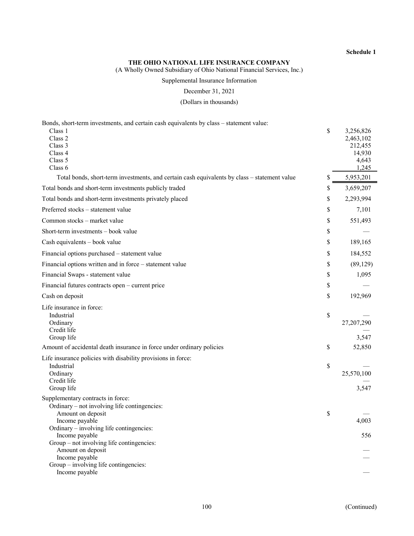#### **Schedule 1**

#### **THE OHIO NATIONAL LIFE INSURANCE COMPANY**

(A Wholly Owned Subsidiary of Ohio National Financial Services, Inc.)

# Supplemental Insurance Information

December 31, 2021

(Dollars in thousands)

| Bonds, short-term investments, and certain cash equivalents by class - statement value:                             |                                                            |
|---------------------------------------------------------------------------------------------------------------------|------------------------------------------------------------|
| Class 1<br>Class 2<br>Class 3<br>Class 4<br>Class 5                                                                 | \$<br>3,256,826<br>2,463,102<br>212,455<br>14,930<br>4,643 |
| Class 6                                                                                                             | 1,245                                                      |
| Total bonds, short-term investments, and certain cash equivalents by class - statement value                        | \$<br>5,953,201                                            |
| Total bonds and short-term investments publicly traded                                                              | \$<br>3,659,207                                            |
| Total bonds and short-term investments privately placed                                                             | \$<br>2,293,994                                            |
| Preferred stocks - statement value                                                                                  | \$<br>7,101                                                |
| Common stocks - market value                                                                                        | \$<br>551,493                                              |
| Short-term investments – book value                                                                                 | \$                                                         |
| Cash equivalents - book value                                                                                       | \$<br>189,165                                              |
| Financial options purchased - statement value                                                                       | \$<br>184,552                                              |
| Financial options written and in force - statement value                                                            | \$<br>(89, 129)                                            |
| Financial Swaps - statement value                                                                                   | \$<br>1,095                                                |
| Financial futures contracts open – current price                                                                    | \$                                                         |
| Cash on deposit                                                                                                     | \$<br>192,969                                              |
| Life insurance in force:<br>Industrial<br>Ordinary<br>Credit life<br>Group life                                     | \$<br>27,207,290<br>3,547                                  |
| Amount of accidental death insurance in force under ordinary policies                                               | \$<br>52,850                                               |
| Life insurance policies with disability provisions in force:<br>Industrial<br>Ordinary<br>Credit life<br>Group life | \$<br>25,570,100<br>3,547                                  |
| Supplementary contracts in force:<br>Ordinary – not involving life contingencies:                                   |                                                            |
| Amount on deposit<br>Income payable<br>Ordinary – involving life contingencies:                                     | \$<br>4.003                                                |
| Income payable<br>Group – not involving life contingencies:                                                         | 556                                                        |
| Amount on deposit<br>Income payable<br>Group - involving life contingencies:                                        |                                                            |
| Income payable                                                                                                      |                                                            |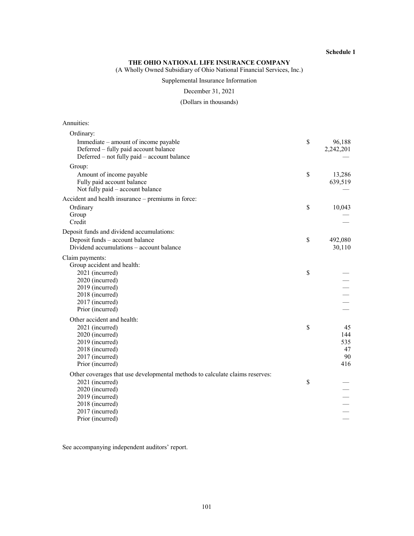#### **Schedule 1**

#### **THE OHIO NATIONAL LIFE INSURANCE COMPANY**

(A Wholly Owned Subsidiary of Ohio National Financial Services, Inc.)

# Supplemental Insurance Information

#### December 31, 2021

## (Dollars in thousands)

| Annuities:                                                                                                                   |               |                     |
|------------------------------------------------------------------------------------------------------------------------------|---------------|---------------------|
| Ordinary:                                                                                                                    |               |                     |
| Immediate – amount of income payable<br>Deferred - fully paid account balance<br>Deferred – not fully paid – account balance | \$            | 96,188<br>2,242,201 |
| Group:                                                                                                                       |               |                     |
| Amount of income payable<br>Fully paid account balance<br>Not fully paid – account balance                                   | \$            | 13,286<br>639,519   |
| Accident and health insurance - premiums in force:                                                                           |               |                     |
| Ordinary<br>Group<br>Credit                                                                                                  | \$            | 10,043              |
| Deposit funds and dividend accumulations:                                                                                    |               |                     |
| Deposit funds - account balance<br>Dividend accumulations - account balance                                                  | \$            | 492,080<br>30,110   |
| Claim payments:                                                                                                              |               |                     |
| Group accident and health:<br>2021 (incurred)                                                                                | \$            |                     |
| 2020 (incurred)                                                                                                              |               |                     |
| 2019 (incurred)                                                                                                              |               |                     |
| 2018 (incurred)                                                                                                              |               |                     |
| 2017 (incurred)<br>Prior (incurred)                                                                                          |               |                     |
| Other accident and health:                                                                                                   |               |                     |
| 2021 (incurred)                                                                                                              | \$            | 45                  |
| 2020 (incurred)                                                                                                              |               | 144                 |
| 2019 (incurred)                                                                                                              |               | 535                 |
| 2018 (incurred)                                                                                                              |               | 47                  |
| 2017 (incurred)<br>Prior (incurred)                                                                                          |               | 90<br>416           |
|                                                                                                                              |               |                     |
| Other coverages that use developmental methods to calculate claims reserves:<br>2021 (incurred)                              | $\mathcal{S}$ |                     |
| 2020 (incurred)                                                                                                              |               |                     |
| 2019 (incurred)                                                                                                              |               |                     |
| 2018 (incurred)                                                                                                              |               |                     |
| 2017 (incurred)                                                                                                              |               |                     |
| Prior (incurred)                                                                                                             |               |                     |

See accompanying independent auditors' report.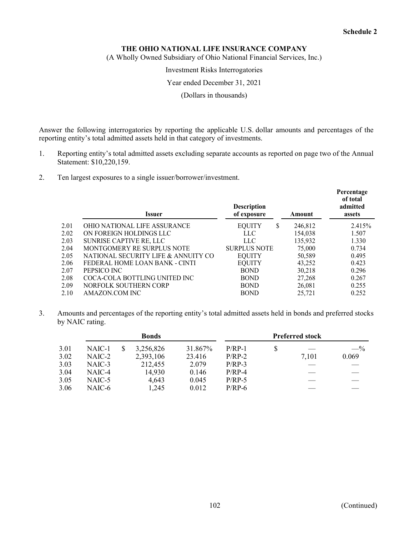(A Wholly Owned Subsidiary of Ohio National Financial Services, Inc.)

Investment Risks Interrogatories

Year ended December 31, 2021

(Dollars in thousands)

Answer the following interrogatories by reporting the applicable U.S. dollar amounts and percentages of the reporting entity's total admitted assets held in that category of investments.

- 1. Reporting entity's total admitted assets excluding separate accounts as reported on page two of the Annual Statement: \$10,220,159.
- 2. Ten largest exposures to a single issuer/borrower/investment.

|      | <b>Issuer</b>                       | <b>Description</b><br>of exposure | Amount  | Percentage<br>of total<br>admitted<br>assets |
|------|-------------------------------------|-----------------------------------|---------|----------------------------------------------|
| 2.01 | <b>OHIO NATIONAL LIFE ASSURANCE</b> | <b>EQUITY</b><br>\$               | 246,812 | 2.415%                                       |
| 2.02 | ON FOREIGN HOLDINGS LLC             | LLC                               | 154,038 | 1.507                                        |
| 2.03 | SUNRISE CAPTIVE RE, LLC             | LLC.                              | 135,932 | 1.330                                        |
| 2.04 | MONTGOMERY RE SURPLUS NOTE          | <b>SURPLUS NOTE</b>               | 75,000  | 0.734                                        |
| 2.05 | NATIONAL SECURITY LIFE & ANNUITY CO | <b>EQUITY</b>                     | 50,589  | 0.495                                        |
| 2.06 | FEDERAL HOME LOAN BANK - CINTI      | <b>EQUITY</b>                     | 43,252  | 0.423                                        |
| 2.07 | PEPSICO INC                         | <b>BOND</b>                       | 30,218  | 0.296                                        |
| 2.08 | COCA-COLA BOTTLING UNITED INC       | <b>BOND</b>                       | 27,268  | 0.267                                        |
| 2.09 | NORFOLK SOUTHERN CORP               | <b>BOND</b>                       | 26,081  | 0.255                                        |
| 2.10 | AMAZON.COM INC                      | <b>BOND</b>                       | 25,721  | 0.252                                        |

3. Amounts and percentages of the reporting entity's total admitted assets held in bonds and preferred stocks by NAIC rating.

|      | <b>Bonds</b> |  |           | <b>Preferred stock</b> |          |   |       |       |
|------|--------------|--|-----------|------------------------|----------|---|-------|-------|
| 3.01 | NAIC-1       |  | 3,256,826 | 31.867%                | $P/RP-1$ | S |       | $-$ % |
| 3.02 | NAIC-2       |  | 2,393,106 | 23.416                 | $P/RP-2$ |   | 7.101 | 0.069 |
| 3.03 | NAIC-3       |  | 212,455   | 2.079                  | $P/RP-3$ |   |       |       |
| 3.04 | NAIC-4       |  | 14,930    | 0.146                  | $P/RP-4$ |   |       |       |
| 3.05 | NAIC-5       |  | 4,643     | 0.045                  | $P/RP-5$ |   |       |       |
| 3.06 | NAIC-6       |  | 1,245     | 0.012                  | $P/RP-6$ |   |       |       |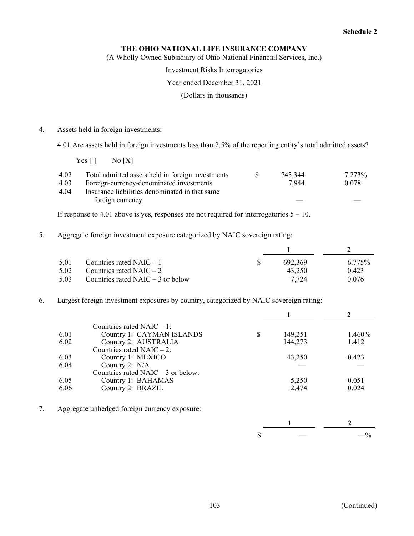(A Wholly Owned Subsidiary of Ohio National Financial Services, Inc.)

Investment Risks Interrogatories

Year ended December 31, 2021

(Dollars in thousands)

4. Assets held in foreign investments:

4.01 Are assets held in foreign investments less than 2.5% of the reporting entity's total admitted assets?

 $Yes [ ] No [ X ]$ 

| 4.02<br>4.03<br>4.04 | Total admitted assets held in foreign investments<br>Foreign-currency-denominated investments<br>Insurance liabilities denominated in that same | 743,344<br>7.944 | 7.273%<br>0.078 |
|----------------------|-------------------------------------------------------------------------------------------------------------------------------------------------|------------------|-----------------|
|                      | foreign currency                                                                                                                                |                  |                 |

If response to 4.01 above is yes, responses are not required for interrogatories 5 – 10.

5. Aggregate foreign investment exposure categorized by NAIC sovereign rating:

| 5.01 | Countries rated $NAIC - 1$          | 692.369 | 6.775% |
|------|-------------------------------------|---------|--------|
| 5.02 | Countries rated $NAIC - 2$          | 43,250  | 0.423  |
| 5.03 | Countries rated NAIC $-$ 3 or below | 7.724   | 0.076  |

6. Largest foreign investment exposures by country, categorized by NAIC sovereign rating:

|      | Countries rated NAIC $-1$ :          |   |         |        |
|------|--------------------------------------|---|---------|--------|
| 6.01 | Country 1: CAYMAN ISLANDS            | S | 149,251 | 1.460% |
| 6.02 | Country 2: AUSTRALIA                 |   | 144,273 | 1.412  |
|      | Countries rated $NAIC - 2$ :         |   |         |        |
| 6.03 | Country 1: MEXICO                    |   | 43,250  | 0.423  |
| 6.04 | Country 2: $N/A$                     |   |         |        |
|      | Countries rated $NAIC - 3$ or below: |   |         |        |
| 6.05 | Country 1: BAHAMAS                   |   | 5,250   | 0.051  |
| 6.06 | Country 2: BRAZIL                    |   | 2.474   | 0.024  |
|      |                                      |   |         |        |
|      |                                      |   |         |        |

7. Aggregate unhedged foreign currency exposure:

|  | —`<br>′ U |
|--|-----------|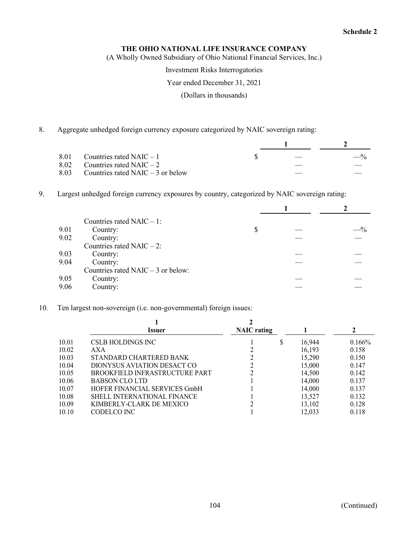(A Wholly Owned Subsidiary of Ohio National Financial Services, Inc.)

Investment Risks Interrogatories

Year ended December 31, 2021

(Dollars in thousands)

8. Aggregate unhedged foreign currency exposure categorized by NAIC sovereign rating:

| 8.01 Countries rated NAIC $-1$           |  | $-$ % |
|------------------------------------------|--|-------|
| 8.02 Countries rated NAIC $-2$           |  |       |
| 8.03 Countries rated NAIC $-$ 3 or below |  |       |

9. Largest unhedged foreign currency exposures by country, categorized by NAIC sovereign rating:

|      | Countries rated NAIC $-1$ :         |    |       |
|------|-------------------------------------|----|-------|
| 9.01 | Country:                            | \$ | $-$ % |
| 9.02 | Country:                            |    |       |
|      | Countries rated $NAIC - 2$ :        |    |       |
| 9.03 | Country:                            |    |       |
| 9.04 | Country:                            |    |       |
|      | Countries rated NAIC $-3$ or below: |    |       |
| 9.05 | Country:                            |    |       |
| 9.06 | Country:                            |    |       |
|      |                                     |    |       |

10. Ten largest non-sovereign (i.e. non-governmental) foreign issues:

|       | Issuer                         | <b>NAIC</b> rating |   |        |        |
|-------|--------------------------------|--------------------|---|--------|--------|
| 10.01 | CSLB HOLDINGS INC              |                    | S | 16,944 | 0.166% |
| 10.02 | AXA                            |                    |   | 16,193 | 0.158  |
| 10.03 | STANDARD CHARTERED BANK        |                    |   | 15,290 | 0.150  |
| 10.04 | DIONYSUS AVIATION DESACT CO    |                    |   | 15,000 | 0.147  |
| 10.05 | BROOKFIELD INFRASTRUCTURE PART |                    |   | 14,500 | 0.142  |
| 10.06 | <b>BABSON CLO LTD</b>          |                    |   | 14,000 | 0.137  |
| 10.07 | HOFER FINANCIAL SERVICES GmbH  |                    |   | 14,000 | 0.137  |
| 10.08 | SHELL INTERNATIONAL FINANCE    |                    |   | 13,527 | 0.132  |
| 10.09 | KIMBERLY-CLARK DE MEXICO       |                    |   | 13,102 | 0.128  |
| 10.10 | CODELCO INC                    |                    |   | 12,033 | 0.118  |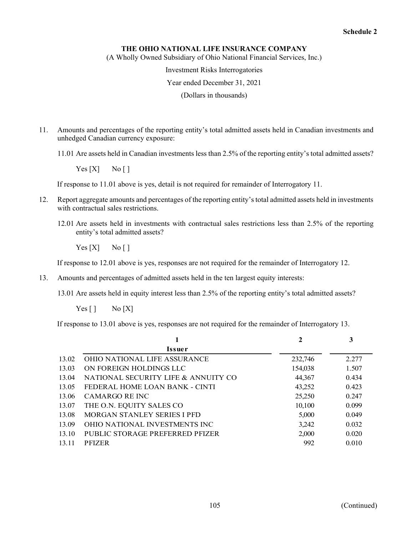(A Wholly Owned Subsidiary of Ohio National Financial Services, Inc.)

Investment Risks Interrogatories

Year ended December 31, 2021

(Dollars in thousands)

11. Amounts and percentages of the reporting entity's total admitted assets held in Canadian investments and unhedged Canadian currency exposure:

11.01 Are assets held in Canadian investments less than 2.5% of the reporting entity's total admitted assets?

 $Yes [X]$  No [ ]

If response to 11.01 above is yes, detail is not required for remainder of Interrogatory 11.

- 12. Report aggregate amounts and percentages of the reporting entity's total admitted assets held in investments with contractual sales restrictions.
	- 12.01 Are assets held in investments with contractual sales restrictions less than 2.5% of the reporting entity's total admitted assets?

 $Yes [X]$  No []

If response to 12.01 above is yes, responses are not required for the remainder of Interrogatory 12.

13. Amounts and percentages of admitted assets held in the ten largest equity interests:

13.01 Are assets held in equity interest less than 2.5% of the reporting entity's total admitted assets?

 $Yes [ ] No [ X ]$ 

If response to 13.01 above is yes, responses are not required for the remainder of Interrogatory 13.

|       | 1                                   | 2       | 3     |
|-------|-------------------------------------|---------|-------|
|       | <b>Issuer</b>                       |         |       |
| 13.02 | <b>OHIO NATIONAL LIFE ASSURANCE</b> | 232,746 | 2.277 |
| 13.03 | ON FOREIGN HOLDINGS LLC             | 154,038 | 1.507 |
| 13.04 | NATIONAL SECURITY LIFE & ANNUITY CO | 44,367  | 0.434 |
| 13.05 | FEDERAL HOME LOAN BANK - CINTI      | 43,252  | 0.423 |
| 13.06 | CAMARGO RE INC                      | 25,250  | 0.247 |
| 13.07 | THE O.N. EQUITY SALES CO            | 10,100  | 0.099 |
| 13.08 | MORGAN STANLEY SERIES I PFD         | 5,000   | 0.049 |
| 13.09 | OHIO NATIONAL INVESTMENTS INC       | 3,242   | 0.032 |
| 13.10 | PUBLIC STORAGE PREFERRED PFIZER     | 2,000   | 0.020 |
| 13.11 | <b>PFIZER</b>                       | 992     | 0.010 |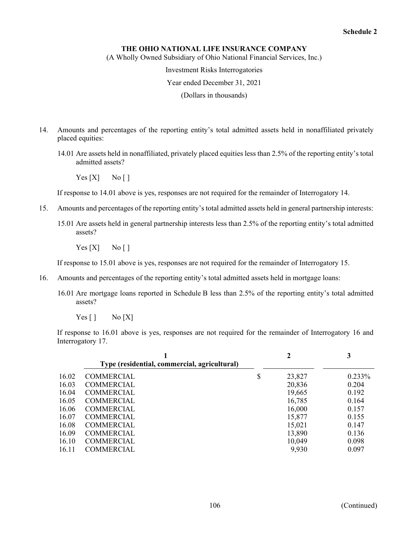(A Wholly Owned Subsidiary of Ohio National Financial Services, Inc.)

Investment Risks Interrogatories

Year ended December 31, 2021

(Dollars in thousands)

- 14. Amounts and percentages of the reporting entity's total admitted assets held in nonaffiliated privately placed equities:
	- 14.01 Are assets held in nonaffiliated, privately placed equities less than 2.5% of the reporting entity's total admitted assets?

 $Yes [X]$  No []

If response to 14.01 above is yes, responses are not required for the remainder of Interrogatory 14.

- 15. Amounts and percentages of the reporting entity's total admitted assets held in general partnership interests:
	- 15.01 Are assets held in general partnership interests less than 2.5% of the reporting entity's total admitted assets?

 $Yes [X]$  No []

If response to 15.01 above is yes, responses are not required for the remainder of Interrogatory 15.

- 16. Amounts and percentages of the reporting entity's total admitted assets held in mortgage loans:
	- 16.01 Are mortgage loans reported in Schedule B less than 2.5% of the reporting entity's total admitted assets?
		- $Yes [ ]$  No  $[X]$

If response to 16.01 above is yes, responses are not required for the remainder of Interrogatory 16 and Interrogatory 17.

|       | Type (residential, commercial, agricultural) |              |        |
|-------|----------------------------------------------|--------------|--------|
| 16.02 | <b>COMMERCIAL</b>                            | \$<br>23,827 | 0.233% |
| 16.03 | <b>COMMERCIAL</b>                            | 20,836       | 0.204  |
| 16.04 | <b>COMMERCIAL</b>                            | 19,665       | 0.192  |
| 16.05 | <b>COMMERCIAL</b>                            | 16,785       | 0.164  |
| 16.06 | <b>COMMERCIAL</b>                            | 16,000       | 0.157  |
| 16.07 | <b>COMMERCIAL</b>                            | 15,877       | 0.155  |
| 16.08 | <b>COMMERCIAL</b>                            | 15,021       | 0.147  |
| 16.09 | <b>COMMERCIAL</b>                            | 13,890       | 0.136  |
| 16.10 | <b>COMMERCIAL</b>                            | 10,049       | 0.098  |
| 16.11 | <b>COMMERCIAL</b>                            | 9,930        | 0.097  |
|       |                                              |              |        |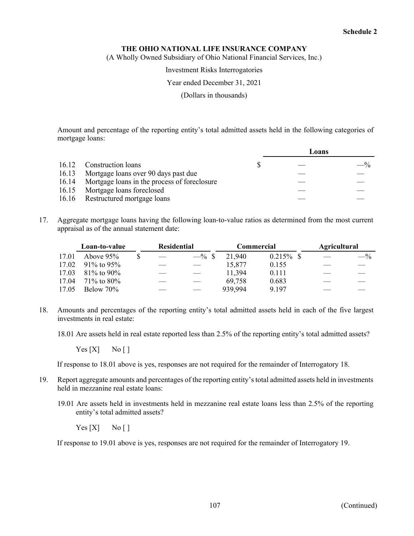(A Wholly Owned Subsidiary of Ohio National Financial Services, Inc.)

Investment Risks Interrogatories

Year ended December 31, 2021

(Dollars in thousands)

Amount and percentage of the reporting entity's total admitted assets held in the following categories of mortgage loans:

|       |                                                    |  | Loans |
|-------|----------------------------------------------------|--|-------|
|       | 16.12 Construction loans                           |  | $-$ % |
| 16.13 | Mortgage loans over 90 days past due               |  |       |
|       | 16.14 Mortgage loans in the process of foreclosure |  |       |
| 16.15 | Mortgage loans foreclosed                          |  |       |
|       | 16.16 Restructured mortgage loans                  |  |       |

17. Aggregate mortgage loans having the following loan-to-value ratios as determined from the most current appraisal as of the annual statement date:

|       | Loan-to-value      | <b>Residential</b> |  |          |         | Commercial   | <b>Agricultural</b> |       |
|-------|--------------------|--------------------|--|----------|---------|--------------|---------------------|-------|
| 17.01 | Above $95%$        |                    |  | $-$ % \$ | 21,940  | $0.215\%$ \$ |                     | $-$ % |
|       | 17.02 91\% to 95\% |                    |  |          | 15,877  | 0.155        |                     |       |
| 17.03 | 81\% to 90\%       |                    |  |          | 11,394  | 0.111        |                     |       |
| 17.04 | 71\% to 80\%       |                    |  |          | 69,758  | 0.683        |                     |       |
| 17.05 | Below $70\%$       |                    |  |          | 939.994 | 9.197        |                     |       |

18. Amounts and percentages of the reporting entity's total admitted assets held in each of the five largest investments in real estate:

18.01 Are assets held in real estate reported less than 2.5% of the reporting entity's total admitted assets?

 $Yes [X]$  No []

If response to 18.01 above is yes, responses are not required for the remainder of Interrogatory 18.

- 19. Report aggregate amounts and percentages of the reporting entity's total admitted assets held in investments held in mezzanine real estate loans:
	- 19.01 Are assets held in investments held in mezzanine real estate loans less than 2.5% of the reporting entity's total admitted assets?

 $Yes [X]$  No []

If response to 19.01 above is yes, responses are not required for the remainder of Interrogatory 19.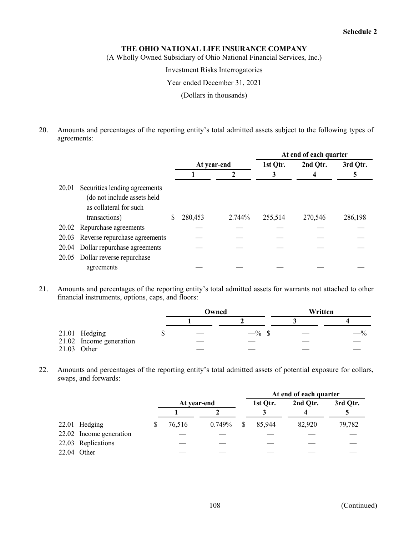(A Wholly Owned Subsidiary of Ohio National Financial Services, Inc.)

Investment Risks Interrogatories

Year ended December 31, 2021

(Dollars in thousands)

20. Amounts and percentages of the reporting entity's total admitted assets subject to the following types of agreements:

|       |                                                                                                         |             |        | At end of each quarter |          |          |
|-------|---------------------------------------------------------------------------------------------------------|-------------|--------|------------------------|----------|----------|
|       |                                                                                                         | At year-end |        | 1st Qtr.               | 2nd Otr. | 3rd Qtr. |
|       |                                                                                                         |             |        | 3                      |          | 5        |
| 20.01 | Securities lending agreements<br>(do not include assets held<br>as collateral for such<br>transactions) | 280,453     | 2.744% | 255,514                | 270,546  | 286,198  |
| 20.02 | Repurchase agreements                                                                                   |             |        |                        |          |          |
| 20.03 | Reverse repurchase agreements                                                                           |             |        |                        |          |          |
| 20.04 | Dollar repurchase agreements                                                                            |             |        |                        |          |          |
| 20.05 | Dollar reverse repurchase<br>agreements                                                                 |             |        |                        |          |          |

21. Amounts and percentages of the reporting entity's total admitted assets for warrants not attached to other financial instruments, options, caps, and floors:

|       |                         | Owned |          | Written |       |  |  |
|-------|-------------------------|-------|----------|---------|-------|--|--|
|       |                         |       |          |         |       |  |  |
|       | 21.01 Hedging           |       | $-$ % \$ |         | $-$ % |  |  |
|       | 21.02 Income generation |       |          |         |       |  |  |
| 21.03 | Other                   |       |          |         |       |  |  |

22. Amounts and percentages of the reporting entity's total admitted assets of potential exposure for collars, swaps, and forwards:

|                         |        |             | At end of each quarter |          |          |
|-------------------------|--------|-------------|------------------------|----------|----------|
|                         |        | At year-end | 1st Qtr.               | 2nd Qtr. | 3rd Qtr. |
|                         |        |             |                        |          |          |
| 22.01 Hedging           | 76,516 | 0.749%      | 85,944                 | 82,920   | 79,782   |
| 22.02 Income generation |        |             |                        |          |          |
| 22.03 Replications      |        |             |                        |          |          |
| 22.04 Other             |        |             |                        |          |          |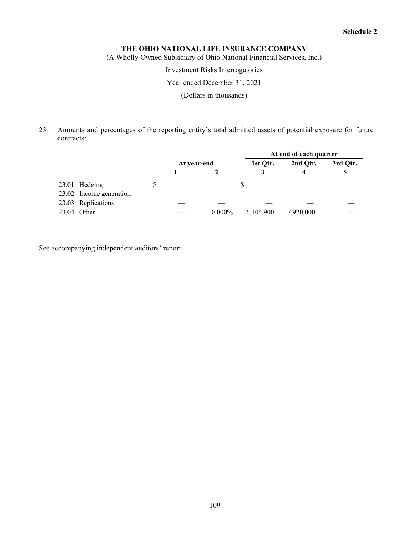(A Wholly Owned Subsidiary of Ohio National Financial Services, Inc.)

Investment Risks Interrogatories

Year ended December 31, 2021

(Dollars in thousands)

23. Amounts and percentages of the reporting entity's total admitted assets of potential exposure for future contracts:

|                         |             |           |           | At end of each quarter |          |  |  |
|-------------------------|-------------|-----------|-----------|------------------------|----------|--|--|
|                         | At year-end |           | 1st Qtr.  | 2nd Qtr.               | 3rd Qtr. |  |  |
|                         |             |           |           |                        |          |  |  |
| 23.01 Hedging           |             |           |           |                        |          |  |  |
| 23.02 Income generation |             |           |           |                        |          |  |  |
| 23.03 Replications      |             |           |           |                        |          |  |  |
| 23.04 Other             |             | $0.000\%$ | 6,104,900 | 7,920,000              |          |  |  |

See accompanying independent auditors' report.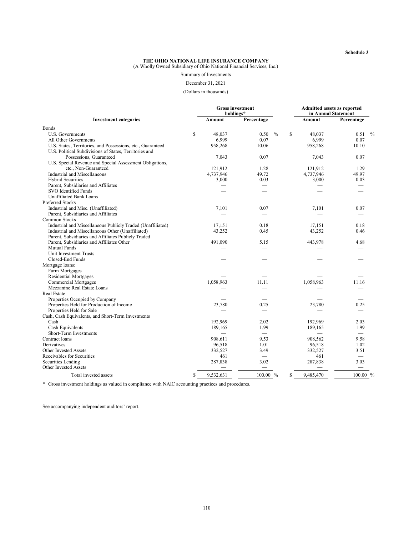**Schedule 3**

# **THE OHIO NATIONAL LIFE INSURANCE COMPANY** (A Wholly Owned Subsidiary of Ohio National Financial Services, Inc.)

### Summary of Investments December 31, 2021

#### (Dollars in thousands)

|                                                             |    | holdings*                | <b>Gross investment</b>  |               |   |           | <b>Admitted assets as reported</b><br>in Annual Statement |      |
|-------------------------------------------------------------|----|--------------------------|--------------------------|---------------|---|-----------|-----------------------------------------------------------|------|
| <b>Investment categories</b>                                |    | Amount                   | Percentage               |               |   | Amount    | Percentage                                                |      |
| <b>Bonds</b>                                                |    |                          |                          |               |   |           |                                                           |      |
| U.S. Governments                                            | \$ | 48.037                   | 0.50                     | $\frac{0}{0}$ | S | 48.037    | 0.51                                                      | $\%$ |
| All Other Governments                                       |    | 6,999                    | 0.07                     |               |   | 6,999     | 0.07                                                      |      |
| U.S. States, Territories, and Possessions, etc., Guaranteed |    | 958,268                  | 10.06                    |               |   | 958,268   | 10.10                                                     |      |
| U.S. Political Subdivisions of States, Territories and      |    |                          |                          |               |   |           |                                                           |      |
| Possessions, Guaranteed                                     |    | 7.043                    | 0.07                     |               |   | 7.043     | 0.07                                                      |      |
| U.S. Special Revenue and Special Assessment Obligations,    |    |                          |                          |               |   |           |                                                           |      |
| etc., Non-Guaranteed                                        |    | 121,912                  | 1.28                     |               |   | 121,912   | 1.29                                                      |      |
| Industrial and Miscellaneous                                |    | 4,737,946                | 49.72                    |               |   | 4,737,946 | 49.97                                                     |      |
| <b>Hybrid Securities</b>                                    |    | 3,000                    | 0.03                     |               |   | 3,000     | 0.03                                                      |      |
| Parent, Subsidiaries and Affiliates                         |    |                          |                          |               |   |           |                                                           |      |
| SVO Identified Funds                                        |    |                          |                          |               |   |           |                                                           |      |
| Unaffiliated Bank Loans                                     |    |                          |                          |               |   |           | $\overline{\phantom{0}}$                                  |      |
| <b>Preferred Stocks</b>                                     |    |                          |                          |               |   |           |                                                           |      |
| Industrial and Misc. (Unaffiliated)                         |    | 7,101                    | 0.07                     |               |   | 7,101     | 0.07                                                      |      |
| Parent, Subsidiaries and Affiliates                         |    |                          |                          |               |   |           |                                                           |      |
| <b>Common Stocks</b>                                        |    |                          |                          |               |   |           |                                                           |      |
| Industrial and Miscellaneous Publicly Traded (Unaffiliated) |    | 17,151                   | 0.18                     |               |   | 17,151    | 0.18                                                      |      |
|                                                             |    |                          | 0.45                     |               |   | 43,252    | 0.46                                                      |      |
| Industrial and Miscellaneous Other (Unaffiliated)           |    | 43,252                   |                          |               |   |           |                                                           |      |
| Parent, Subsidiaries and Affiliates Publicly Traded         |    | $\overline{\phantom{0}}$ | $\equiv$                 |               |   |           | $\equiv$                                                  |      |
| Parent, Subsidiaries and Affiliates Other                   |    | 491,090                  | 5.15                     |               |   | 443,978   | 4.68                                                      |      |
| Mutual Funds                                                |    |                          |                          |               |   |           |                                                           |      |
| Unit Investment Trusts                                      |    |                          |                          |               |   |           |                                                           |      |
| Closed-End Funds                                            |    |                          |                          |               |   |           |                                                           |      |
| Mortgage loans:                                             |    |                          |                          |               |   |           |                                                           |      |
| Farm Mortgages                                              |    |                          |                          |               |   |           |                                                           |      |
| <b>Residential Mortgages</b>                                |    |                          |                          |               |   |           |                                                           |      |
| Commercial Mortgages                                        |    | 1,058,963                | 11.11                    |               |   | 1,058,963 | 11.16                                                     |      |
| Mezzanine Real Estate Loans                                 |    |                          |                          |               |   |           |                                                           |      |
| Real Estate                                                 |    |                          |                          |               |   |           |                                                           |      |
| Properties Occupied by Company                              |    |                          |                          |               |   |           |                                                           |      |
| Properties Held for Production of Income                    |    | 23,780                   | 0.25                     |               |   | 23,780    | 0.25                                                      |      |
| Properties Held for Sale                                    |    |                          |                          |               |   |           |                                                           |      |
| Cash, Cash Equivalents, and Short-Term Investments          |    |                          |                          |               |   |           |                                                           |      |
| Cash                                                        |    | 192,969                  | 2.02                     |               |   | 192,969   | 2.03                                                      |      |
| Cash Equivalents                                            |    | 189,165                  | 1.99                     |               |   | 189,165   | 1.99                                                      |      |
| Short-Term Investments                                      |    |                          | $\overline{\phantom{0}}$ |               |   |           | $\overline{\phantom{m}}$                                  |      |
| Contract loans                                              |    | 908.611                  | 9.53                     |               |   | 908,562   | 9.58                                                      |      |
| Derivatives                                                 |    | 96,518                   | 1.01                     |               |   | 96,518    | 1.02                                                      |      |
| Other Invested Assets                                       |    | 332,527                  | 3.49                     |               |   | 332,527   | 3.51                                                      |      |
| Receivables for Securities                                  |    | 461                      | $\overline{\phantom{0}}$ |               |   | 461       | $\overline{\phantom{0}}$                                  |      |
| Securities Lending                                          |    | 287,838                  | 3.02                     |               |   | 287,838   | 3.03                                                      |      |
| Other Invested Assets                                       |    |                          |                          |               |   |           |                                                           |      |
| Total invested assets                                       | S  | 9.532.631                | 100.00 %                 |               | S | 9,485,470 | 100.00 %                                                  |      |

\* Gross investment holdings as valued in compliance with NAIC accounting practices and procedures.

See accompanying independent auditors' report.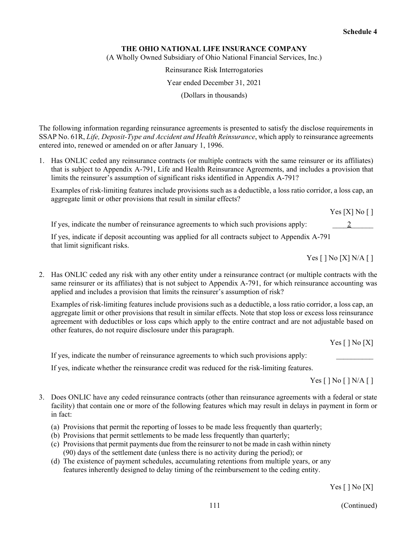(A Wholly Owned Subsidiary of Ohio National Financial Services, Inc.)

Reinsurance Risk Interrogatories

Year ended December 31, 2021

(Dollars in thousands)

The following information regarding reinsurance agreements is presented to satisfy the disclose requirements in SSAP No. 61R, *Life, Deposit-Type and Accident and Health Reinsurance*, which apply to reinsurance agreements entered into, renewed or amended on or after January 1, 1996.

1. Has ONLIC ceded any reinsurance contracts (or multiple contracts with the same reinsurer or its affiliates) that is subject to Appendix A-791, Life and Health Reinsurance Agreements, and includes a provision that limits the reinsurer's assumption of significant risks identified in Appendix A-791?

Examples of risk-limiting features include provisions such as a deductible, a loss ratio corridor, a loss cap, an aggregate limit or other provisions that result in similar effects?

Yes [X] No [ ]

If yes, indicate the number of reinsurance agreements to which such provisions apply: 2

If yes, indicate if deposit accounting was applied for all contracts subject to Appendix A-791 that limit significant risks.

Yes [ ] No [X] N/A [ ]

2. Has ONLIC ceded any risk with any other entity under a reinsurance contract (or multiple contracts with the same reinsurer or its affiliates) that is not subject to Appendix A-791, for which reinsurance accounting was applied and includes a provision that limits the reinsurer's assumption of risk?

Examples of risk-limiting features include provisions such as a deductible, a loss ratio corridor, a loss cap, an aggregate limit or other provisions that result in similar effects. Note that stop loss or excess loss reinsurance agreement with deductibles or loss caps which apply to the entire contract and are not adjustable based on other features, do not require disclosure under this paragraph.

 $Yes [ ] No [ X ]$ 

If yes, indicate the number of reinsurance agreements to which such provisions apply:

If yes, indicate whether the reinsurance credit was reduced for the risk-limiting features.

Yes [ ] No [ ] N/A [ ]

- 3. Does ONLIC have any ceded reinsurance contracts (other than reinsurance agreements with a federal or state facility) that contain one or more of the following features which may result in delays in payment in form or in fact:
	- (a) Provisions that permit the reporting of losses to be made less frequently than quarterly;
	- (b) Provisions that permit settlements to be made less frequently than quarterly;
	- (c) Provisions that permit payments due from the reinsurer to not be made in cash within ninety (90) days of the settlement date (unless there is no activity during the period); or
	- (d) The existence of payment schedules, accumulating retentions from multiple years, or any features inherently designed to delay timing of the reimbursement to the ceding entity.

 $Yes [ ] No [ X ]$